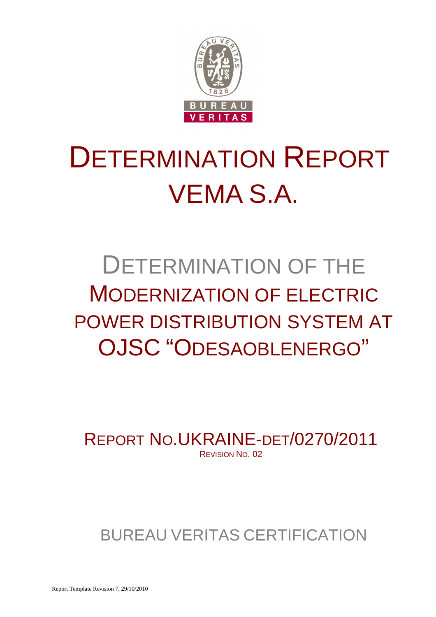

# DETERMINATION REPORT VEMA S.A.

## DETERMINATION OF THE MODERNIZATION OF ELECTRIC POWER DISTRIBUTION SYSTEM AT OJSC "ODESAOBLENERGO"

REPORT NO.UKRAINE-DET/0270/2011 REVISION NO. 02

## BUREAU VERITAS CERTIFICATION

Report Template Revision 7, 29/10/2010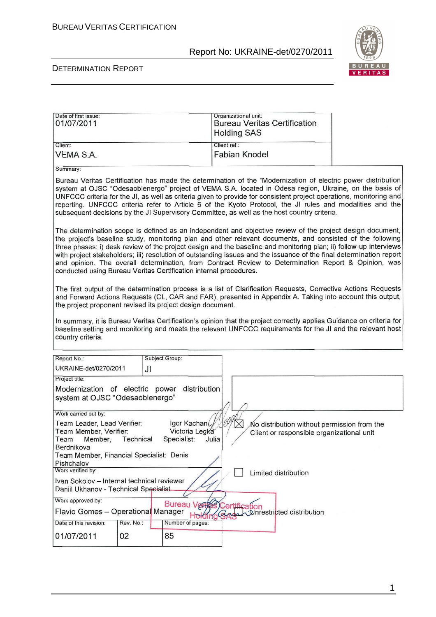

#### DETERMINATION REPORT

| Date of first issue:<br>01/07/2011                                                  |                                                                                                                                                                                                                                                                                           |                                                    | Organizational unit:<br><b>Bureau Veritas Certification</b><br><b>Holding SAS</b>                                                                                                                                                                                                                                                                                                                                                                                                                                                                                          |  |
|-------------------------------------------------------------------------------------|-------------------------------------------------------------------------------------------------------------------------------------------------------------------------------------------------------------------------------------------------------------------------------------------|----------------------------------------------------|----------------------------------------------------------------------------------------------------------------------------------------------------------------------------------------------------------------------------------------------------------------------------------------------------------------------------------------------------------------------------------------------------------------------------------------------------------------------------------------------------------------------------------------------------------------------------|--|
| Client:                                                                             |                                                                                                                                                                                                                                                                                           |                                                    | Client ref.:                                                                                                                                                                                                                                                                                                                                                                                                                                                                                                                                                               |  |
| VEMA S.A.                                                                           |                                                                                                                                                                                                                                                                                           |                                                    | <b>Fabian Knodel</b>                                                                                                                                                                                                                                                                                                                                                                                                                                                                                                                                                       |  |
| Summary:                                                                            |                                                                                                                                                                                                                                                                                           |                                                    |                                                                                                                                                                                                                                                                                                                                                                                                                                                                                                                                                                            |  |
|                                                                                     |                                                                                                                                                                                                                                                                                           |                                                    | Bureau Veritas Certification has made the determination of the "Modernization of electric power distribution<br>system at OJSC "Odesaoblenergo" project of VEMA S.A. located in Odesa region, Ukraine, on the basis of<br>UNFCCC criteria for the JI, as well as criteria given to provide for consistent project operations, monitoring and<br>reporting. UNFCCC criteria refer to Article 6 of the Kyoto Protocol, the JI rules and modalities and the<br>subsequent decisions by the JI Supervisory Committee, as well as the host country criteria.                    |  |
| conducted using Bureau Veritas Certification internal procedures.                   |                                                                                                                                                                                                                                                                                           |                                                    | The determination scope is defined as an independent and objective review of the project design document,<br>the project's baseline study, monitoring plan and other relevant documents, and consisted of the following<br>three phases: i) desk review of the project design and the baseline and monitoring plan; ii) follow-up interviews<br>with project stakeholders; iii) resolution of outstanding issues and the issuance of the final determination report<br>and opinion. The overall determination, from Contract Review to Determination Report & Opinion, was |  |
|                                                                                     | The first output of the determination process is a list of Clarification Requests, Corrective Actions Requests<br>and Forward Actions Requests (CL, CAR and FAR), presented in Appendix A. Taking into account this output,<br>the project proponent revised its project design document. |                                                    |                                                                                                                                                                                                                                                                                                                                                                                                                                                                                                                                                                            |  |
| country criteria.                                                                   |                                                                                                                                                                                                                                                                                           |                                                    | In summary, it is Bureau Veritas Certification's opinion that the project correctly applies Guidance on criteria for<br>baseline setting and monitoring and meets the relevant UNFCCC requirements for the JI and the relevant host                                                                                                                                                                                                                                                                                                                                        |  |
| Report No.:                                                                         |                                                                                                                                                                                                                                                                                           | Subject Group:                                     |                                                                                                                                                                                                                                                                                                                                                                                                                                                                                                                                                                            |  |
| UKRAINE-det/0270/2011                                                               | JI                                                                                                                                                                                                                                                                                        |                                                    |                                                                                                                                                                                                                                                                                                                                                                                                                                                                                                                                                                            |  |
| Project title:                                                                      |                                                                                                                                                                                                                                                                                           |                                                    |                                                                                                                                                                                                                                                                                                                                                                                                                                                                                                                                                                            |  |
| Modernization of electric power<br>system at OJSC "Odesaoblenergo"                  |                                                                                                                                                                                                                                                                                           | distribution                                       |                                                                                                                                                                                                                                                                                                                                                                                                                                                                                                                                                                            |  |
| Work carried out by:                                                                |                                                                                                                                                                                                                                                                                           |                                                    |                                                                                                                                                                                                                                                                                                                                                                                                                                                                                                                                                                            |  |
| Team Leader, Lead Verifier:<br>Team Member, Verifier:<br>Team Member,<br>Berdnikova | Technical                                                                                                                                                                                                                                                                                 | Igor Kachan<br>Victoria Legka<br>Specialist: Julia | 1004<br>No distribution without permission from the<br>Client or responsible organizational unit                                                                                                                                                                                                                                                                                                                                                                                                                                                                           |  |
| Team Member, Financial Specialist: Denis<br>Pishchalov                              |                                                                                                                                                                                                                                                                                           |                                                    |                                                                                                                                                                                                                                                                                                                                                                                                                                                                                                                                                                            |  |
| Work verified by:                                                                   |                                                                                                                                                                                                                                                                                           |                                                    | Limited distribution                                                                                                                                                                                                                                                                                                                                                                                                                                                                                                                                                       |  |
| Ivan Sokolov - Internal technical reviewer<br>Daniil Ukhanov - Technical Specialist |                                                                                                                                                                                                                                                                                           |                                                    |                                                                                                                                                                                                                                                                                                                                                                                                                                                                                                                                                                            |  |
| Work approved by:                                                                   |                                                                                                                                                                                                                                                                                           |                                                    |                                                                                                                                                                                                                                                                                                                                                                                                                                                                                                                                                                            |  |
| Flavio Gomes - Operational Manager                                                  |                                                                                                                                                                                                                                                                                           | <b>Bureau Verfas Certification</b>                 | Unrestricted distribution                                                                                                                                                                                                                                                                                                                                                                                                                                                                                                                                                  |  |
| Date of this revision:                                                              | Rev. No.:                                                                                                                                                                                                                                                                                 | Number of pages:                                   |                                                                                                                                                                                                                                                                                                                                                                                                                                                                                                                                                                            |  |
| 01/07/2011                                                                          | 02                                                                                                                                                                                                                                                                                        | 85                                                 |                                                                                                                                                                                                                                                                                                                                                                                                                                                                                                                                                                            |  |

1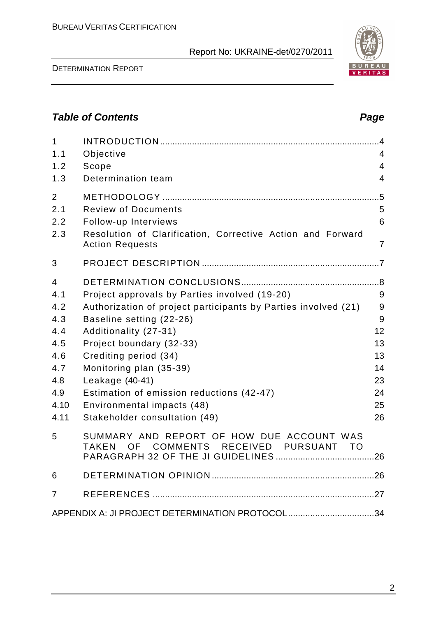DETERMINATION REPORT

| $\mathbf{1}$<br>1.1<br>1.2<br>1.3                                                | Objective<br>Scope<br>Determination team                                                                                                                                                                                                                                                                                                                                            | $\overline{4}$<br>$\overline{4}$<br>$\overline{4}$          |
|----------------------------------------------------------------------------------|-------------------------------------------------------------------------------------------------------------------------------------------------------------------------------------------------------------------------------------------------------------------------------------------------------------------------------------------------------------------------------------|-------------------------------------------------------------|
| $\overline{2}$<br>2.1<br>2.2<br>2.3                                              | <b>Review of Documents</b><br>Follow-up Interviews<br>Resolution of Clarification, Corrective Action and Forward<br><b>Action Requests</b>                                                                                                                                                                                                                                          | .5<br>5<br>6<br>$\overline{7}$                              |
| 3                                                                                |                                                                                                                                                                                                                                                                                                                                                                                     |                                                             |
| 4<br>4.1<br>4.2<br>4.3<br>4.4<br>4.5<br>4.6<br>4.7<br>4.8<br>4.9<br>4.10<br>4.11 | Project approvals by Parties involved (19-20)<br>Authorization of project participants by Parties involved (21)<br>Baseline setting (22-26)<br>Additionality (27-31)<br>Project boundary (32-33)<br>Crediting period (34)<br>Monitoring plan (35-39)<br>Leakage (40-41)<br>Estimation of emission reductions (42-47)<br>Environmental impacts (48)<br>Stakeholder consultation (49) | 9<br>9<br>9<br>12<br>13<br>13<br>14<br>23<br>24<br>25<br>26 |
| 5                                                                                | SUMMARY AND REPORT OF HOW DUE ACCOUNT WAS<br>OF COMMENTS RECEIVED PURSUANT TO<br><b>TAKEN</b>                                                                                                                                                                                                                                                                                       |                                                             |
| 6                                                                                |                                                                                                                                                                                                                                                                                                                                                                                     |                                                             |
| 7                                                                                |                                                                                                                                                                                                                                                                                                                                                                                     |                                                             |
|                                                                                  | APPENDIX A: JI PROJECT DETERMINATION PROTOCOL34                                                                                                                                                                                                                                                                                                                                     |                                                             |

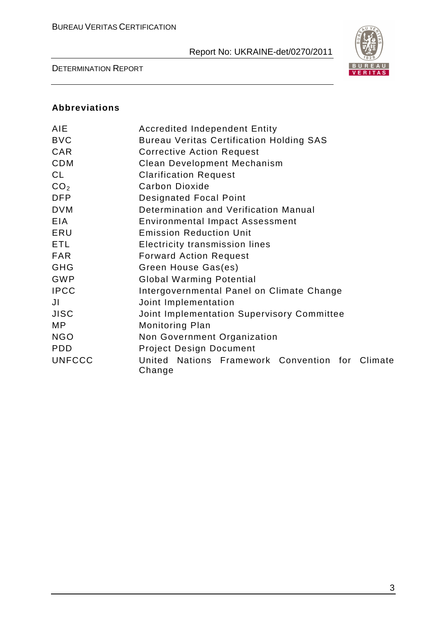

DETERMINATION REPORT

### **Abbreviations**

| <b>AIE</b>      | <b>Accredited Independent Entity</b>                      |  |  |  |
|-----------------|-----------------------------------------------------------|--|--|--|
| <b>BVC</b>      | <b>Bureau Veritas Certification Holding SAS</b>           |  |  |  |
| CAR             | <b>Corrective Action Request</b>                          |  |  |  |
| <b>CDM</b>      | Clean Development Mechanism                               |  |  |  |
| CL              | <b>Clarification Request</b>                              |  |  |  |
| CO <sub>2</sub> | <b>Carbon Dioxide</b>                                     |  |  |  |
| <b>DFP</b>      | <b>Designated Focal Point</b>                             |  |  |  |
| <b>DVM</b>      | Determination and Verification Manual                     |  |  |  |
| <b>EIA</b>      | Environmental Impact Assessment                           |  |  |  |
| ERU             | <b>Emission Reduction Unit</b>                            |  |  |  |
| ETL             | Electricity transmission lines                            |  |  |  |
| <b>FAR</b>      | <b>Forward Action Request</b>                             |  |  |  |
| <b>GHG</b>      | Green House Gas(es)                                       |  |  |  |
| GWP             | <b>Global Warming Potential</b>                           |  |  |  |
| <b>IPCC</b>     | Intergovernmental Panel on Climate Change                 |  |  |  |
| JI              | Joint Implementation                                      |  |  |  |
| <b>JISC</b>     | Joint Implementation Supervisory Committee                |  |  |  |
| MP              | <b>Monitoring Plan</b>                                    |  |  |  |
| <b>NGO</b>      | Non Government Organization                               |  |  |  |
| <b>PDD</b>      | <b>Project Design Document</b>                            |  |  |  |
| <b>UNFCCC</b>   | United Nations Framework Convention for Climate<br>Change |  |  |  |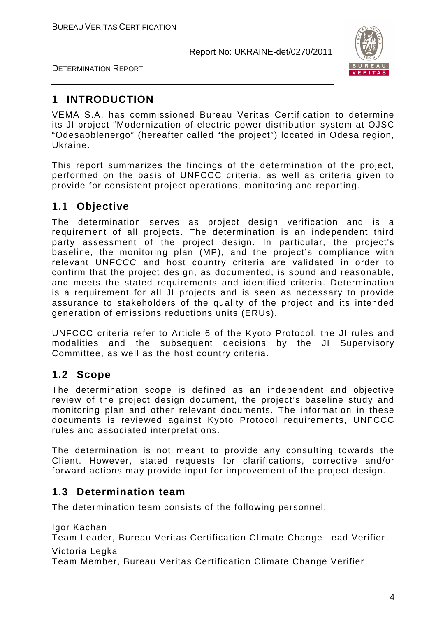

DETERMINATION REPORT

## **1 INTRODUCTION**

VEMA S.A. has commissioned Bureau Veritas Certification to determine its JI project "Modernization of electric power distribution system at OJSC "Odesaoblenergo" (hereafter called "the project") located in Odesa region, Ukraine.

This report summarizes the findings of the determination of the project, performed on the basis of UNFCCC criteria, as well as criteria given to provide for consistent project operations, monitoring and reporting.

## **1.1 Objective**

The determination serves as project design verification and is a requirement of all projects. The determination is an independent third party assessment of the project design. In particular, the project's baseline, the monitoring plan (MP), and the project's compliance with relevant UNFCCC and host country criteria are validated in order to confirm that the project design, as documented, is sound and reasonable, and meets the stated requirements and identified criteria. Determination is a requirement for all JI projects and is seen as necessary to provide assurance to stakeholders of the quality of the project and its intended generation of emissions reductions units (ERUs).

UNFCCC criteria refer to Article 6 of the Kyoto Protocol, the JI rules and modalities and the subsequent decisions by the JI Supervisory Committee, as well as the host country criteria.

## **1.2 Scope**

The determination scope is defined as an independent and objective review of the project design document, the project's baseline study and monitoring plan and other relevant documents. The information in these documents is reviewed against Kyoto Protocol requirements, UNFCCC rules and associated interpretations.

The determination is not meant to provide any consulting towards the Client. However, stated requests for clarifications, corrective and/or forward actions may provide input for improvement of the project design.

## **1.3 Determination team**

The determination team consists of the following personnel:

Igor Kachan

Team Leader, Bureau Veritas Certification Climate Change Lead Verifier Victoria Legka

Team Member, Bureau Veritas Certification Climate Change Verifier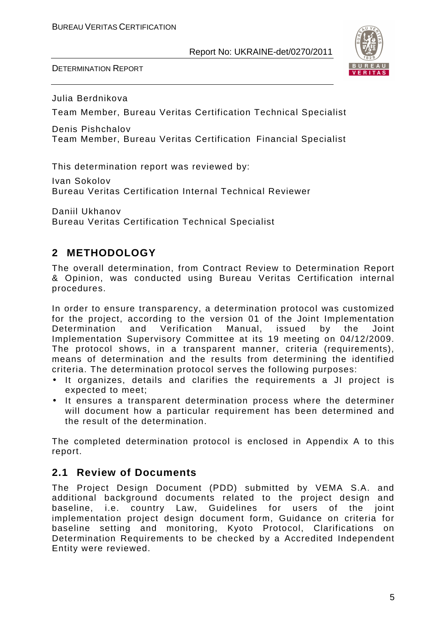DETERMINATION REPORT



Julia Berdnikova

Team Member, Bureau Veritas Certification Technical Specialist

Denis Pishchalov Team Member, Bureau Veritas Certification Financial Specialist

This determination report was reviewed by:

Ivan Sokolov Bureau Veritas Certification Internal Technical Reviewer

Daniil Ukhanov Bureau Veritas Certification Technical Specialist

## **2 METHODOLOGY**

The overall determination, from Contract Review to Determination Report & Opinion, was conducted using Bureau Veritas Certification internal procedures.

In order to ensure transparency, a determination protocol was customized for the project, according to the version 01 of the Joint Implementation Determination and Verification Manual, issued by the Joint Implementation Supervisory Committee at its 19 meeting on 04/12/2009. The protocol shows, in a transparent manner, criteria (requirements), means of determination and the results from determining the identified criteria. The determination protocol serves the following purposes:

- It organizes, details and clarifies the requirements a JI project is expected to meet;
- It ensures a transparent determination process where the determiner will document how a particular requirement has been determined and the result of the determination.

The completed determination protocol is enclosed in Appendix A to this report.

## **2.1 Review of Documents**

The Project Design Document (PDD) submitted by VEMA S.A. and additional background documents related to the project design and baseline, i.e. country Law, Guidelines for users of the joint implementation project design document form, Guidance on criteria for baseline setting and monitoring, Kyoto Protocol, Clarifications on Determination Requirements to be checked by a Accredited Independent Entity were reviewed.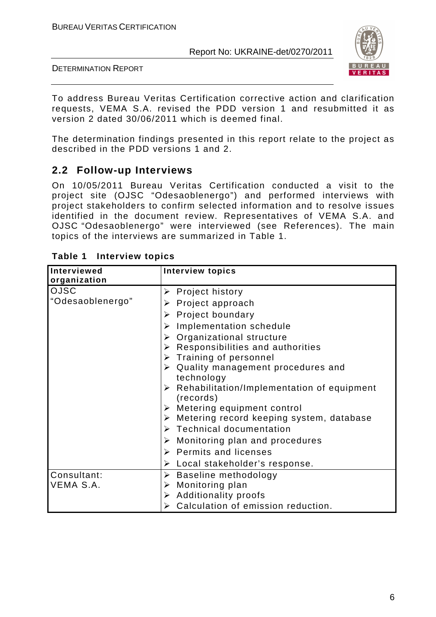

DETERMINATION REPORT

To address Bureau Veritas Certification corrective action and clarification requests, VEMA S.A. revised the PDD version 1 and resubmitted it as version 2 dated 30/06/2011 which is deemed final.

The determination findings presented in this report relate to the project as described in the PDD versions 1 and 2.

## **2.2 Follow-up Interviews**

On 10/05/2011 Bureau Veritas Certification conducted a visit to the project site (OJSC "Odesaoblenergo") and performed interviews with project stakeholders to confirm selected information and to resolve issues identified in the document review. Representatives of VEMA S.A. and OJSC "Odesaoblenergo" were interviewed (see References). The main topics of the interviews are summarized in Table 1.

| Interviewed      | <b>Interview topics</b>                                     |
|------------------|-------------------------------------------------------------|
| organization     |                                                             |
| <b>OJSC</b>      | $\triangleright$ Project history                            |
| "Odesaoblenergo" | $\triangleright$ Project approach                           |
|                  | $\triangleright$ Project boundary                           |
|                  | $\triangleright$ Implementation schedule                    |
|                  | $\triangleright$ Organizational structure                   |
|                  | $\triangleright$ Responsibilities and authorities           |
|                  | $\triangleright$ Training of personnel                      |
|                  | $\triangleright$ Quality management procedures and          |
|                  | technology                                                  |
|                  | $\triangleright$ Rehabilitation/Implementation of equipment |
|                  | (records)                                                   |
|                  | $\triangleright$ Metering equipment control                 |
|                  | $\triangleright$ Metering record keeping system, database   |
|                  | $\triangleright$ Technical documentation                    |
|                  | $\triangleright$ Monitoring plan and procedures             |
|                  | $\triangleright$ Permits and licenses                       |
|                  | $\triangleright$ Local stakeholder's response.              |
| Consultant:      | $\triangleright$ Baseline methodology                       |
| VEMA S.A.        | $\triangleright$ Monitoring plan                            |
|                  | > Additionality proofs                                      |
|                  | $\triangleright$ Calculation of emission reduction.         |

| Table 1 | Interview topics |  |
|---------|------------------|--|
|---------|------------------|--|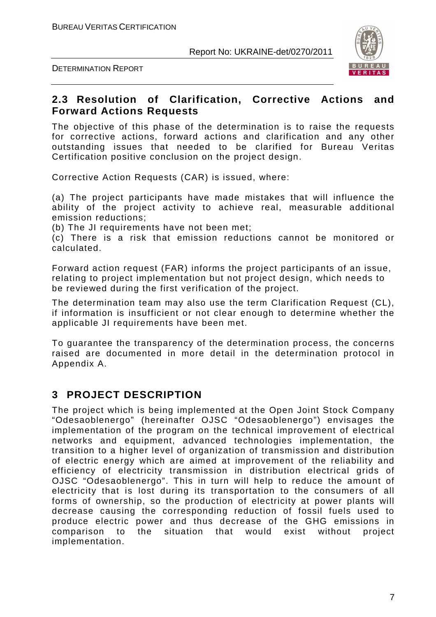DETERMINATION REPORT



## **2.3 Resolution of Clarification, Corrective Actions and Forward Actions Requests**

The objective of this phase of the determination is to raise the requests for corrective actions, forward actions and clarification and any other outstanding issues that needed to be clarified for Bureau Veritas Certification positive conclusion on the project design.

Corrective Action Requests (CAR) is issued, where:

(a) The project participants have made mistakes that will influence the ability of the project activity to achieve real, measurable additional emission reductions;

(b) The JI requirements have not been met;

(c) There is a risk that emission reductions cannot be monitored or calculated.

Forward action request (FAR) informs the project participants of an issue, relating to project implementation but not project design, which needs to be reviewed during the first verification of the project.

The determination team may also use the term Clarification Request (CL), if information is insufficient or not clear enough to determine whether the applicable JI requirements have been met.

To guarantee the transparency of the determination process, the concerns raised are documented in more detail in the determination protocol in Appendix A.

## **3 PROJECT DESCRIPTION**

The project which is being implemented at the Open Joint Stock Company "Odesaoblenergo" (hereinafter OJSC "Odesaoblenergo") envisages the implementation of the program on the technical improvement of electrical networks and equipment, advanced technologies implementation, the transition to a higher level of organization of transmission and distribution of electric energy which are aimed at improvement of the reliability and efficiency of electricity transmission in distribution electrical grids of OJSC "Odesaoblenergo". This in turn will help to reduce the amount of electricity that is lost during its transportation to the consumers of all forms of ownership, so the production of electricity at power plants will decrease causing the corresponding reduction of fossil fuels used to produce electric power and thus decrease of the GHG emissions in comparison to the situation that would exist without project implementation.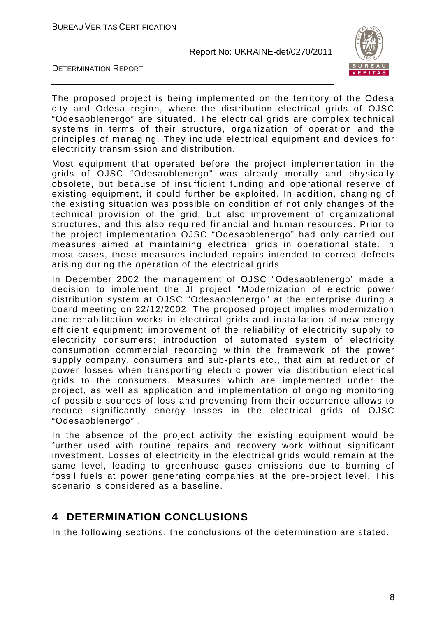



The proposed project is being implemented on the territory of the Odesa city and Odesa region, where the distribution electrical grids of OJSC "Odesaoblenergo" are situated. The electrical grids are complex technical systems in terms of their structure, organization of operation and the principles of managing. They include electrical equipment and devices for electricity transmission and distribution.

Most equipment that operated before the project implementation in the grids of OJSC "Odesaoblenergo" was already morally and physically obsolete, but because of insufficient funding and operational reserve of existing equipment, it could further be exploited. In addition, changing of the existing situation was possible on condition of not only changes of the technical provision of the grid, but also improvement of organizational structures, and this also required financial and human resources. Prior to the project implementation OJSC "Odesaoblenergo" had only carried out measures aimed at maintaining electrical grids in operational state. In most cases, these measures included repairs intended to correct defects arising during the operation of the electrical grids.

In December 2002 the management of OJSC "Odesaoblenergo" made a decision to implement the JI project "Modernization of electric power distribution system at OJSC "Odesaoblenergo" at the enterprise during a board meeting on 22/12/2002. The proposed project implies modernization and rehabilitation works in electrical grids and installation of new energy efficient equipment; improvement of the reliability of electricity supply to electricity consumers; introduction of automated system of electricity consumption commercial recording within the framework of the power supply company, consumers and sub-plants etc., that aim at reduction of power losses when transporting electric power via distribution electrical grids to the consumers. Measures which are implemented under the project, as well as application and implementation of ongoing monitoring of possible sources of loss and preventing from their occurrence allows to reduce significantly energy losses in the electrical grids of OJSC "Odesaoblenergo" .

In the absence of the project activity the existing equipment would be further used with routine repairs and recovery work without significant investment. Losses of electricity in the electrical grids would remain at the same level, leading to greenhouse gases emissions due to burning of fossil fuels at power generating companies at the pre-project level. This scenario is considered as a baseline.

## **4 DETERMINATION CONCLUSIONS**

In the following sections, the conclusions of the determination are stated.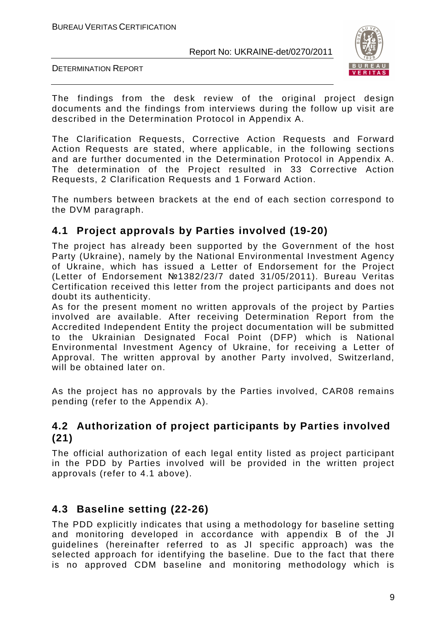

DETERMINATION REPORT

The findings from the desk review of the original project design documents and the findings from interviews during the follow up visit are described in the Determination Protocol in Appendix A.

The Clarification Requests, Corrective Action Requests and Forward Action Requests are stated, where applicable, in the following sections and are further documented in the Determination Protocol in Appendix A. The determination of the Project resulted in 33 Corrective Action Requests, 2 Clarification Requests and 1 Forward Action.

The numbers between brackets at the end of each section correspond to the DVM paragraph.

## **4.1 Project approvals by Parties involved (19-20)**

The project has already been supported by the Government of the host Party (Ukraine), namely by the National Environmental Investment Agency of Ukraine, which has issued a Letter of Endorsement for the Project (Letter of Endorsement №1382/23/7 dated 31/05/2011). Bureau Veritas Certification received this letter from the project participants and does not doubt its authenticity.

As for the present moment no written approvals of the project by Parties involved are available. After receiving Determination Report from the Accredited Independent Entity the project documentation will be submitted to the Ukrainian Designated Focal Point (DFP) which is National Environmental Investment Agency of Ukraine, for receiving a Letter of Approval. The written approval by another Party involved, Switzerland, will be obtained later on.

As the project has no approvals by the Parties involved, CAR08 remains pending (refer to the Appendix A).

## **4.2 Authorization of project participants by Parties involved (21)**

The official authorization of each legal entity listed as project participant in the PDD by Parties involved will be provided in the written project approvals (refer to 4.1 above).

## **4.3 Baseline setting (22-26)**

The PDD explicitly indicates that using a methodology for baseline setting and monitoring developed in accordance with appendix B of the JI guidelines (hereinafter referred to as JI specific approach) was the selected approach for identifying the baseline. Due to the fact that there is no approved CDM baseline and monitoring methodology which is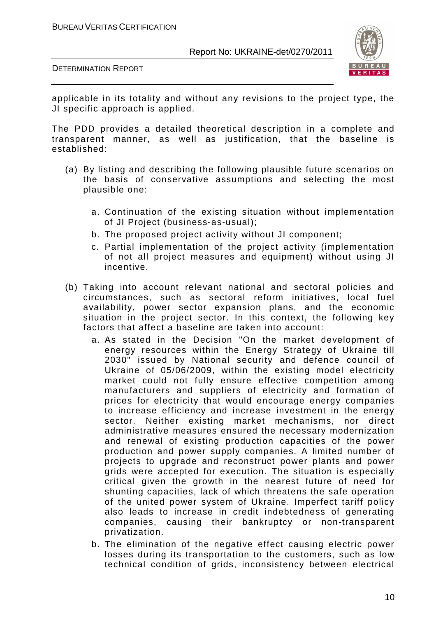



applicable in its totality and without any revisions to the project type, the JI specific approach is applied.

The PDD provides a detailed theoretical description in a complete and transparent manner, as well as justification, that the baseline is established:

- (a) By listing and describing the following plausible future scenarios on the basis of conservative assumptions and selecting the most plausible one:
	- a. Continuation of the existing situation without implementation of JI Project (business-as-usual);
	- b. The proposed project activity without JI component;
	- c. Partial implementation of the project activity (implementation of not all project measures and equipment) without using JI incentive.
- (b) Taking into account relevant national and sectoral policies and circumstances, such as sectoral reform initiatives, local fuel availability, power sector expansion plans, and the economic situation in the project sector. In this context, the following key factors that affect a baseline are taken into account:
	- a. As stated in the Decision "On the market development of energy resources within the Energy Strategy of Ukraine till 2030" issued by National security and defence council of Ukraine of 05/06/2009, within the existing model electricity market could not fully ensure effective competition among manufacturers and suppliers of electricity and formation of prices for electricity that would encourage energy companies to increase efficiency and increase investment in the energy sector. Neither existing market mechanisms, nor direct administrative measures ensured the necessary modernization and renewal of existing production capacities of the power production and power supply companies. A limited number of projects to upgrade and reconstruct power plants and power grids were accepted for execution. The situation is especially critical given the growth in the nearest future of need for shunting capacities, lack of which threatens the safe operation of the united power system of Ukraine. Imperfect tariff policy also leads to increase in credit indebtedness of generating companies, causing their bankruptcy or non-transparent privatization.
	- b. The elimination of the negative effect causing electric power losses during its transportation to the customers, such as low technical condition of grids, inconsistency between electrical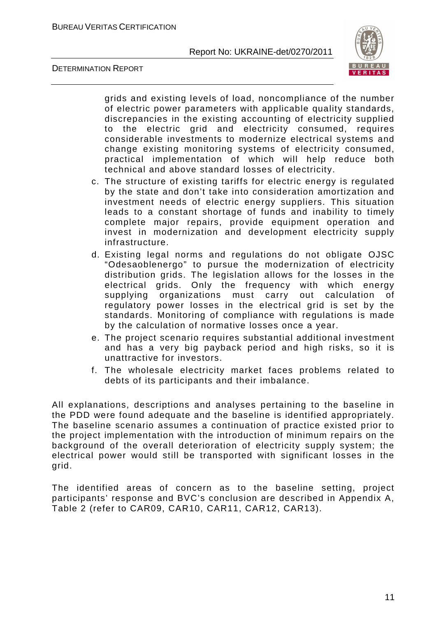

DETERMINATION REPORT

grids and existing levels of load, noncompliance of the number of electric power parameters with applicable quality standards, discrepancies in the existing accounting of electricity supplied to the electric grid and electricity consumed, requires considerable investments to modernize electrical systems and change existing monitoring systems of electricity consumed, practical implementation of which will help reduce both technical and above standard losses of electricity.

- c. The structure of existing tariffs for electric energy is regulated by the state and don't take into consideration amortization and investment needs of electric energy suppliers. This situation leads to a constant shortage of funds and inability to timely complete major repairs, provide equipment operation and invest in modernization and development electricity supply infrastructure.
- d. Existing legal norms and regulations do not obligate OJSC "Odesaoblenergo" to pursue the modernization of electricity distribution grids. The legislation allows for the losses in the electrical grids. Only the frequency with which energy supplying organizations must carry out calculation of regulatory power losses in the electrical grid is set by the standards. Monitoring of compliance with regulations is made by the calculation of normative losses once a year.
- e. The project scenario requires substantial additional investment and has a very big payback period and high risks, so it is unattractive for investors.
- f. The wholesale electricity market faces problems related to debts of its participants and their imbalance.

All explanations, descriptions and analyses pertaining to the baseline in the PDD were found adequate and the baseline is identified appropriately. The baseline scenario assumes a continuation of practice existed prior to the project implementation with the introduction of minimum repairs on the background of the overall deterioration of electricity supply system; the electrical power would still be transported with significant losses in the grid.

The identified areas of concern as to the baseline setting, project participants' response and BVC's conclusion are described in Appendix A, Table 2 (refer to CAR09, CAR10, CAR11, CAR12, CAR13).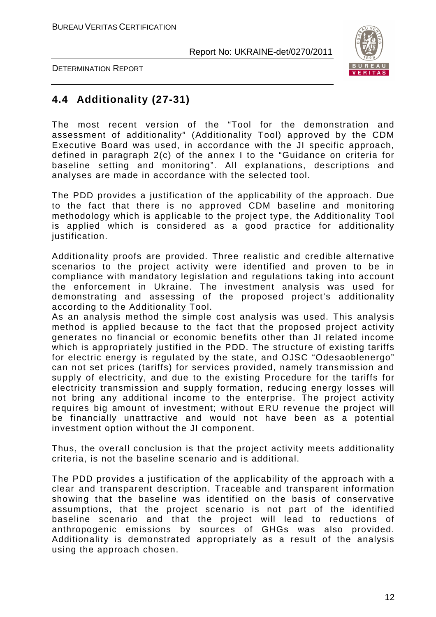

DETERMINATION REPORT

## **4.4 Additionality (27-31)**

The most recent version of the "Tool for the demonstration and assessment of additionality" (Additionality Tool) approved by the CDM Executive Board was used, in accordance with the JI specific approach, defined in paragraph 2(c) of the annex I to the "Guidance on criteria for baseline setting and monitoring". All explanations, descriptions and analyses are made in accordance with the selected tool.

The PDD provides a justification of the applicability of the approach. Due to the fact that there is no approved CDM baseline and monitoring methodology which is applicable to the project type, the Additionality Tool is applied which is considered as a good practice for additionality justification.

Additionality proofs are provided. Three realistic and credible alternative scenarios to the project activity were identified and proven to be in compliance with mandatory legislation and regulations taking into account the enforcement in Ukraine. The investment analysis was used for demonstrating and assessing of the proposed project's additionality according to the Additionality Tool.

As an analysis method the simple cost analysis was used. This analysis method is applied because to the fact that the proposed project activity generates no financial or economic benefits other than JI related income which is appropriately justified in the PDD. The structure of existing tariffs for electric energy is regulated by the state, and OJSC "Odesaoblenergo" can not set prices (tariffs) for services provided, namely transmission and supply of electricity, and due to the existing Procedure for the tariffs for electricity transmission and supply formation, reducing energy losses will not bring any additional income to the enterprise. The project activity requires big amount of investment; without ERU revenue the project will be financially unattractive and would not have been as a potential investment option without the JI component.

Thus, the overall conclusion is that the project activity meets additionality criteria, is not the baseline scenario and is additional.

The PDD provides a justification of the applicability of the approach with a clear and transparent description. Traceable and transparent information showing that the baseline was identified on the basis of conservative assumptions, that the project scenario is not part of the identified baseline scenario and that the project will lead to reductions of anthropogenic emissions by sources of GHGs was also provided. Additionality is demonstrated appropriately as a result of the analysis using the approach chosen.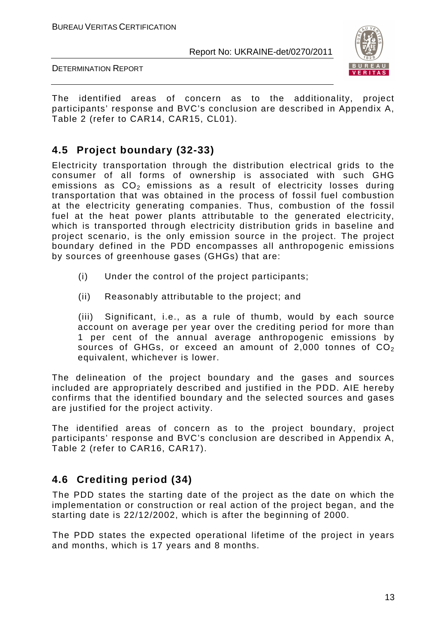

DETERMINATION REPORT

The identified areas of concern as to the additionality, project participants' response and BVC's conclusion are described in Appendix A, Table 2 (refer to CAR14, CAR15, CL01).

## **4.5 Project boundary (32-33)**

Electricity transportation through the distribution electrical grids to the consumer of all forms of ownership is associated with such GHG emissions as  $CO<sub>2</sub>$  emissions as a result of electricity losses during transportation that was obtained in the process of fossil fuel combustion at the electricity generating companies. Thus, combustion of the fossil fuel at the heat power plants attributable to the generated electricity, which is transported through electricity distribution grids in baseline and project scenario, is the only emission source in the project. The project boundary defined in the PDD encompasses all anthropogenic emissions by sources of greenhouse gases (GHGs) that are:

- (i) Under the control of the project participants;
- (ii) Reasonably attributable to the project; and

(iii) Significant, i.e., as a rule of thumb, would by each source account on average per year over the crediting period for more than 1 per cent of the annual average anthropogenic emissions by sources of GHGs, or exceed an amount of 2,000 tonnes of  $CO<sub>2</sub>$ equivalent, whichever is lower.

The delineation of the project boundary and the gases and sources included are appropriately described and justified in the PDD. AIE hereby confirms that the identified boundary and the selected sources and gases are justified for the project activity.

The identified areas of concern as to the project boundary, project participants' response and BVC's conclusion are described in Appendix A, Table 2 (refer to CAR16, CAR17).

## **4.6 Crediting period (34)**

The PDD states the starting date of the project as the date on which the implementation or construction or real action of the project began, and the starting date is 22/12/2002, which is after the beginning of 2000.

The PDD states the expected operational lifetime of the project in years and months, which is 17 years and 8 months.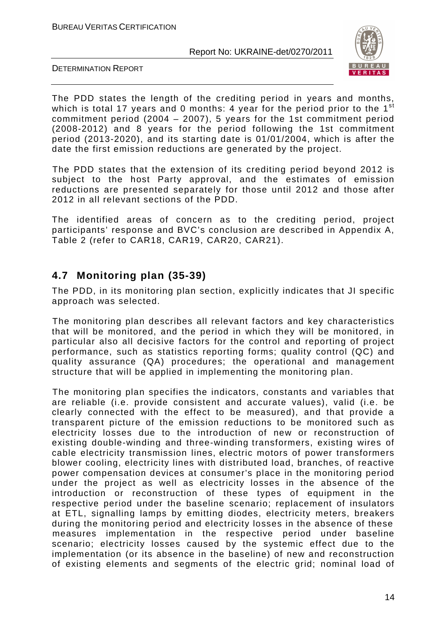

DETERMINATION REPORT

The PDD states the length of the crediting period in years and months, which is total 17 years and 0 months: 4 year for the period prior to the 1<sup>st</sup> commitment period (2004 – 2007), 5 years for the 1st commitment period (2008-2012) and 8 years for the period following the 1st commitment period (2013-2020), and its starting date is 01/01/2004, which is after the date the first emission reductions are generated by the project.

The PDD states that the extension of its crediting period beyond 2012 is subject to the host Party approval, and the estimates of emission reductions are presented separately for those until 2012 and those after 2012 in all relevant sections of the PDD.

The identified areas of concern as to the crediting period, project participants' response and BVC's conclusion are described in Appendix A, Table 2 (refer to CAR18, CAR19, CAR20, CAR21).

## **4.7 Monitoring plan (35-39)**

The PDD, in its monitoring plan section, explicitly indicates that JI specific approach was selected.

The monitoring plan describes all relevant factors and key characteristics that will be monitored, and the period in which they will be monitored, in particular also all decisive factors for the control and reporting of project performance, such as statistics reporting forms; quality control (QC) and quality assurance (QA) procedures; the operational and management structure that will be applied in implementing the monitoring plan.

The monitoring plan specifies the indicators, constants and variables that are reliable (i.e. provide consistent and accurate values), valid (i.e. be clearly connected with the effect to be measured), and that provide a transparent picture of the emission reductions to be monitored such as electricity losses due to the introduction of new or reconstruction of existing double-winding and three-winding transformers, existing wires of cable electricity transmission lines, electric motors of power transformers blower cooling, electricity lines with distributed load, branches, of reactive power compensation devices at consumer's place in the monitoring period under the project as well as electricity losses in the absence of the introduction or reconstruction of these types of equipment in the respective period under the baseline scenario; replacement of insulators at ETL, signalling lamps by emitting diodes, electricity meters, breakers during the monitoring period and electricity losses in the absence of these measures implementation in the respective period under baseline scenario; electricity losses caused by the systemic effect due to the implementation (or its absence in the baseline) of new and reconstruction of existing elements and segments of the electric grid; nominal load of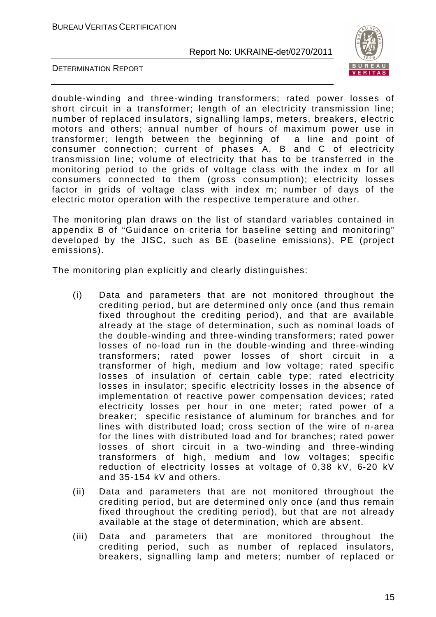

DETERMINATION REPORT

double-winding and three-winding transformers; rated power losses of short circuit in a transformer; length of an electricity transmission line; number of replaced insulators, signalling lamps, meters, breakers, electric motors and others; annual number of hours of maximum power use in transformer; length between the beginning of a line and point of consumer connection; current of phases A, B and C of electricity transmission line; volume of electricity that has to be transferred in the monitoring period to the grids of voltage class with the index m for all consumers connected to them (gross consumption); electricity losses factor in grids of voltage class with index m; number of days of the electric motor operation with the respective temperature and other.

The monitoring plan draws on the list of standard variables contained in appendix B of "Guidance on criteria for baseline setting and monitoring" developed by the JISC, such as BE (baseline emissions), PE (project emissions).

The monitoring plan explicitly and clearly distinguishes:

- (i) Data and parameters that are not monitored throughout the crediting period, but are determined only once (and thus remain fixed throughout the crediting period), and that are available already at the stage of determination, such as nominal loads of the double-winding and three-winding transformers; rated power losses of no-load run in the double-winding and three-winding transformers; rated power losses of short circuit in a transformer of high, medium and low voltage; rated specific losses of insulation of certain cable type; rated electricity losses in insulator; specific electricity losses in the absence of implementation of reactive power compensation devices; rated electricity losses per hour in one meter; rated power of a breaker; specific resistance of aluminum for branches and for lines with distributed load; cross section of the wire of n-area for the lines with distributed load and for branches; rated power losses of short circuit in a two-winding and three-winding transformers of high, medium and low voltages; specific reduction of electricity losses at voltage of 0,38 kV, 6-20 kV and 35-154 kV and others.
- (ii) Data and parameters that are not monitored throughout the crediting period, but are determined only once (and thus remain fixed throughout the crediting period), but that are not already available at the stage of determination, which are absent.
- (iii) Data and parameters that are monitored throughout the crediting period, such as number of replaced insulators, breakers, signalling lamp and meters; number of replaced or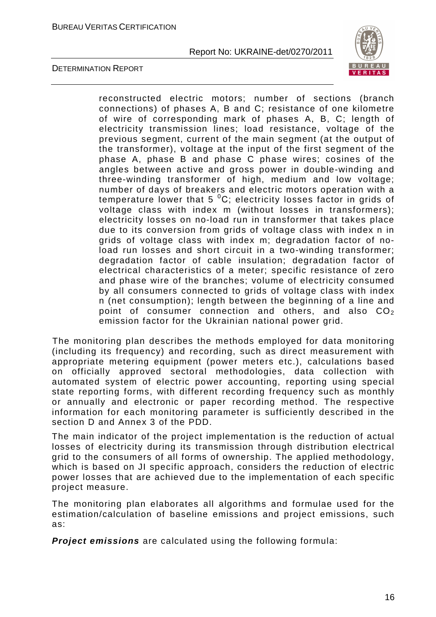

DETERMINATION REPORT

reconstructed electric motors; number of sections (branch connections) of phases A, B and C; resistance of one kilometre of wire of corresponding mark of phases A, B, C; length of electricity transmission lines; load resistance, voltage of the previous segment, current of the main segment (at the output of the transformer), voltage at the input of the first segment of the phase A, phase B and phase C phase wires; cosines of the angles between active and gross power in double-winding and three-winding transformer of high, medium and low voltage; number of days of breakers and electric motors operation with a temperature lower that 5  $^{0}C$ ; electricity losses factor in grids of voltage class with index m (without losses in transformers); electricity losses on no-load run in transformer that takes place due to its conversion from grids of voltage class with index n in grids of voltage class with index m; degradation factor of noload run losses and short circuit in a two-winding transformer; degradation factor of cable insulation; degradation factor of electrical characteristics of a meter; specific resistance of zero and phase wire of the branches; volume of electricity consumed by all consumers connected to grids of voltage class with index n (net consumption); length between the beginning of a line and point of consumer connection and others, and also  $CO<sub>2</sub>$ emission factor for the Ukrainian national power grid.

The monitoring plan describes the methods employed for data monitoring (including its frequency) and recording, such as direct measurement with appropriate metering equipment (power meters etc.), calculations based on officially approved sectoral methodologies, data collection with automated system of electric power accounting, reporting using special state reporting forms, with different recording frequency such as monthly or annually and electronic or paper recording method. The respective information for each monitoring parameter is sufficiently described in the section D and Annex 3 of the PDD.

The main indicator of the project implementation is the reduction of actual losses of electricity during its transmission through distribution electrical grid to the consumers of all forms of ownership. The applied methodology, which is based on JI specific approach, considers the reduction of electric power losses that are achieved due to the implementation of each specific project measure.

The monitoring plan elaborates all algorithms and formulae used for the estimation/calculation of baseline emissions and project emissions, such as:

**Project emissions** are calculated using the following formula: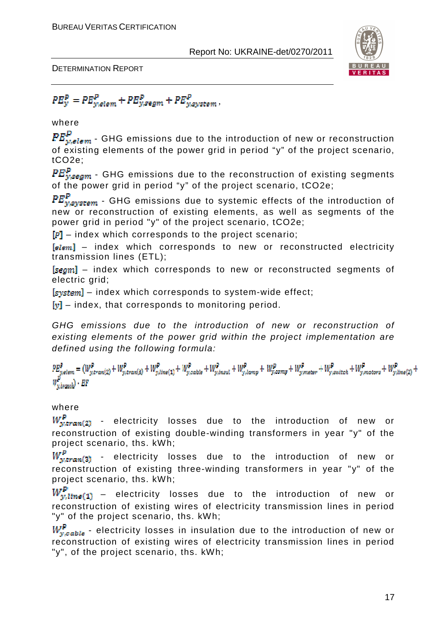

DETERMINATION REPORT

 $PE_{y}^{P} = PE_{y,elem}^{P} + PE_{y,segm}^{P} + PE_{y,system}^{P}$ 

where

 $PE_{y,elem}^P$  - GHG emissions due to the introduction of new or reconstruction of existing elements of the power grid in period "y" of the project scenario, tCO2e;

 ${PE}_{v,\text{seam}}^p$  - GHG emissions due to the reconstruction of existing segments of the power grid in period "y" of the project scenario, tCO2e;

 $PE_{ysystem}^P$  - GHG emissions due to systemic effects of the introduction of new or reconstruction of existing elements, as well as segments of the power grid in period "y" of the project scenario, tCO2e;

 $\left[P\right]$  – index which corresponds to the project scenario;

 $[elem]$  – index which corresponds to new or reconstructed electricity transmission lines (ETL);

[segm] - index which corresponds to new or reconstructed segments of electric grid;

 $[s<sub>system</sub>]$  – index which corresponds to system-wide effect;

 $[v]$  – index, that corresponds to monitoring period.

GHG emissions due to the introduction of new or reconstruction of existing elements of the power grid within the project implementation are defined using the following formula:

 $\label{eq:2} \begin{aligned} P E_{y,elem}^P = (W_{y,tran(2)}^P + W_{y,tran(3)}^P + W_{y,time(1)}^P + W_{y,calcle}^P + W_{y,insul}^P + W_{y,lang}^P + W_{y,comp}^P + W_{y,name}^P + W_{y,switch}^P + W_{y,matter}^P + W_{y,line(2)}^P + W_{y,time(3)}^P + W_{y,time(4)}^P + W_{y,time(5)}^P + W_{y,time(6)}^P + W_{y,time(7)}^P + W_{y,time(8)}^P + W_{y,time(9)}^P + W_{y,time(9)}^P +$  $\mathbb{F}_{y,branch}^P$  . EF

#### where

 $W_{\text{wtran}(2)}^P$  - electricity losses due to the introduction of new or reconstruction of existing double-winding transformers in year "y" of the project scenario, ths. kWh;

 $W^p_{y,tran(3)}$  - electricity losses due to the introduction of new or reconstruction of existing three-winding transformers in year "y" of the project scenario, ths. kWh;

 $W_{y, line(1)}^P$  – electricity losses due to the introduction of new or reconstruction of existing wires of electricity transmission lines in period "y" of the project scenario, ths. kWh;

 $W_{v, c_0 h l_0}^P$  - electricity losses in insulation due to the introduction of new or reconstruction of existing wires of electricity transmission lines in period "y", of the project scenario, ths. kWh;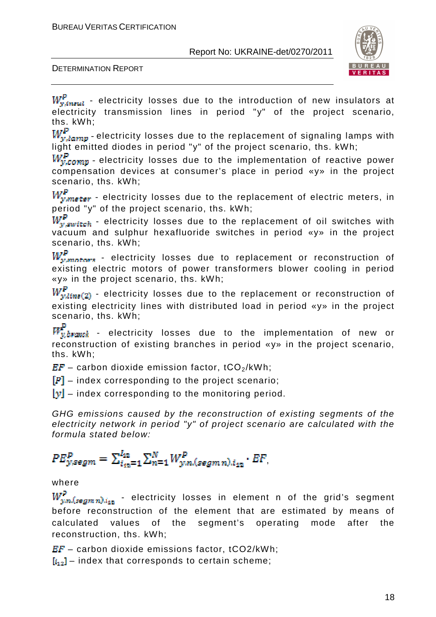

DETERMINATION REPORT

 $W_{y,inual}^{\mathbb{P}}$  - electricity losses due to the introduction of new insulators at electricity transmission lines in period "y" of the project scenario, ths. kWh;<br>*W.*P.

r $r_{y, lamp}$  - electricity losses due to the replacement of signaling lamps with light emitted diodes in period "y" of the project scenario, ths. kWh;

 $W_{v,comp}^P$  - electricity losses due to the implementation of reactive power compensation devices at consumer's place in period «y» in the project scenario, ths. kWh;

 $W_{y,meter}^{P}$  - electricity losses due to the replacement of electric meters, in period "y" of the project scenario, ths. kWh;

 $W_{v, switch}^{P}$  - electricity losses due to the replacement of oil switches with vacuum and sulphur hexafluoride switches in period «y» in the project

scenario, ths.  $kWh$ ;<br> $W_r^P$  $f_{w, matter}$  - electricity losses due to replacement or reconstruction of existing electric motors of power transformers blower cooling in period «y» in the project scenario, ths. kWh;

 $W_{y,lins(2)}^P$  - electricity losses due to the replacement or reconstruction of existing electricity lines with distributed load in period «y» in the project scenario, ths. kWh;

 $\frac{1}{v\, branch}$  - electricity losses due to the implementation of new or reconstruction of existing branches in period «y» in the project scenario, ths. kWh;

 $EF -$  carbon dioxide emission factor, tCO<sub>2</sub>/kWh;

 $[P]$  – index corresponding to the project scenario;

 $[y]$  – index corresponding to the monitoring period.

GHG emissions caused by the reconstruction of existing segments of the electricity network in period "y" of project scenario are calculated with the formula stated below:

## $PE_{y,segm}^{P} = \sum_{i_{m}=1}^{I_{12}} \sum_{n=1}^{N} W_{y,n,(segmn),i_{12}}^{P} \cdot EF_{n}$

#### where

 $\frac{dV}{d\mu m}(\mathit{segmn})_{d_{12}}$  - electricity losses in element n of the grid's segment before reconstruction of the element that are estimated by means of calculated values of the segment's operating mode after the reconstruction, ths. kWh;

 $EF -$  carbon dioxide emissions factor, tCO2/kWh;

 $[i_{12}]$  – index that corresponds to certain scheme;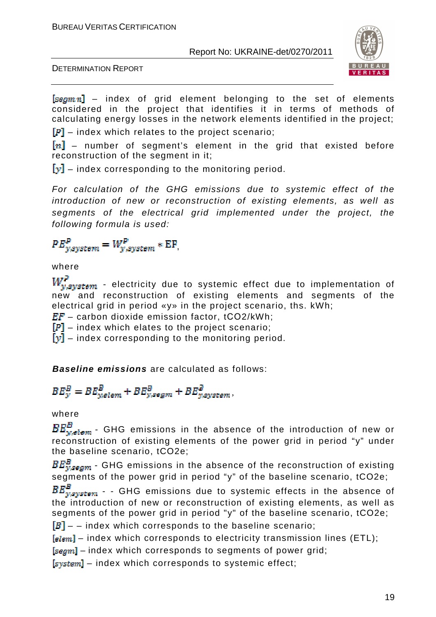

DETERMINATION REPORT

 $[segmn]$  – index of grid element belonging to the set of elements considered in the project that identifies it in terms of methods of calculating energy losses in the network elements identified in the project;

 $\mathbb{F}$  – index which relates to the project scenario;

 $[n]$  – number of segment's element in the grid that existed before reconstruction of the segment in it;

 $[y]$  – index corresponding to the monitoring period.

For calculation of the GHG emissions due to systemic effect of the introduction of new or reconstruction of existing elements, as well as segments of the electrical grid implemented under the project, the following formula is used:

 $PE_{vsvstem}^P = W_{v,svstem}^P * EF,$ 

where<br> $\boldsymbol{W}^P$ 

 $\mathcal{L}_{\mathit{asystem}}$  - electricity due to systemic effect due to implementation of new and reconstruction of existing elements and segments of the electrical grid in period «y» in the project scenario, ths. kWh;

 $EF -$  carbon dioxide emission factor, tCO2/kWh;

 $[P]$  – index which elates to the project scenario;

 $[y]$  – index corresponding to the monitoring period.

**Baseline emissions** are calculated as follows:

 $BE_{y}^{B} = BE_{yellow}^{B} + BE_{y,segm}^{B} + BE_{y,system}^{B},$ 

where

 $\frac{1}{\omega_{\text{elem}}}$  – GHG emissions in the absence of the introduction of new or reconstruction of existing elements of the power grid in period "y" under the baseline scenario, tCO2e;

 $BE_{ysgam}^B$  - GHG emissions in the absence of the reconstruction of existing segments of the power grid in period "y" of the baseline scenario, tCO2e;<br> $BE_{vsystem}^B$  - GHG emissions due to systemic effects in the absence c

 $\frac{P}{V}$  - - GHG emissions due to systemic effects in the absence of the introduction of new or reconstruction of existing elements, as well as segments of the power grid in period "y" of the baseline scenario, tCO2e;

 $[B]$  – – index which corresponds to the baseline scenario;

 $[elem]$  – index which corresponds to electricity transmission lines (ETL);

 $[segm]$  – index which corresponds to segments of power grid;

 $[system]$  – index which corresponds to systemic effect;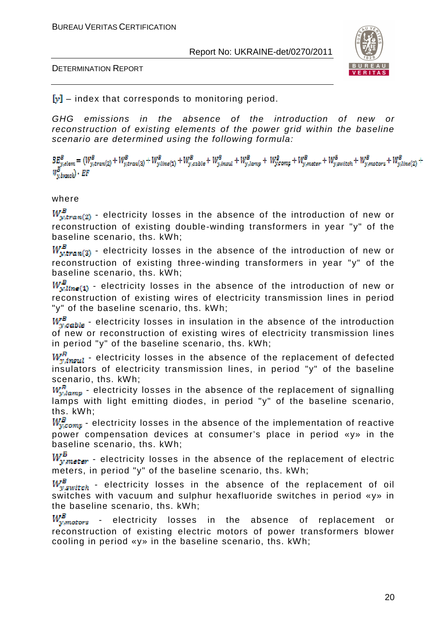



 $[y]$  – index that corresponds to monitoring period.

GHG emissions in the absence of the introduction of new or reconstruction of existing elements of the power grid within the baseline scenario are determined using the following formula:

 $B_{\underline{y},elem}^{B}=(W_{y,tran(2)}^{B}+W_{y,tran(3)}^{B}+W_{y,tran(1)}^{B}+W_{y,calb}^{B}+W_{y,insul}^{B}+W_{y,long}^{B}+W_{y,comp}^{B}+W_{y,inner}^{B}+W_{y,suitch}^{B}+W_{y,matter}^{B}+W_{y,mass}^{B}+W_{y,mincl}^{B})$  $W_{y,brank}^{B}$ . EF

#### where

 $W_{y,tran(2)}^B$  - electricity losses in the absence of the introduction of new or reconstruction of existing double-winding transformers in year "y" of the baseline scenario, ths. kWh;

 $W_{w,tran(3)}^B$  - electricity losses in the absence of the introduction of new or reconstruction of existing three-winding transformers in year "y" of the baseline scenario, ths. kWh;

 $W_{w, line(1)}^B$  - electricity losses in the absence of the introduction of new or reconstruction of existing wires of electricity transmission lines in period "y" of the baseline scenario, ths. kWh;

 $W_{\nu, cable}^B$  - electricity losses in insulation in the absence of the introduction of new or reconstruction of existing wires of electricity transmission lines in period "y" of the baseline scenario, ths. kWh;

 $W_{\text{w,insul}}^{\text{F}}$  - electricity losses in the absence of the replacement of defected insulators of electricity transmission lines, in period "y" of the baseline scenario, ths. kWh;

 $W_{v, lmm}^R$  - electricity losses in the absence of the replacement of signalling lamps with light emitting diodes, in period "y" of the baseline scenario, ths. kWh;

 $W_{v,com}^B$  - electricity losses in the absence of the implementation of reactive power compensation devices at consumer's place in period «y» in the baseline scenario, ths. kWh;

 $W_{y,meter}^B$  - electricity losses in the absence of the replacement of electric meters, in period "y" of the baseline scenario, ths. kWh;

 $W_{v, switch}^B$  - electricity losses in the absence of the replacement of oil switches with vacuum and sulphur hexafluoride switches in period «y» in the baseline scenario, ths. kWh;

 $W_{y, motors}^B$  - electricity losses in the absence of replacement or reconstruction of existing electric motors of power transformers blower cooling in period «y» in the baseline scenario, ths. kWh;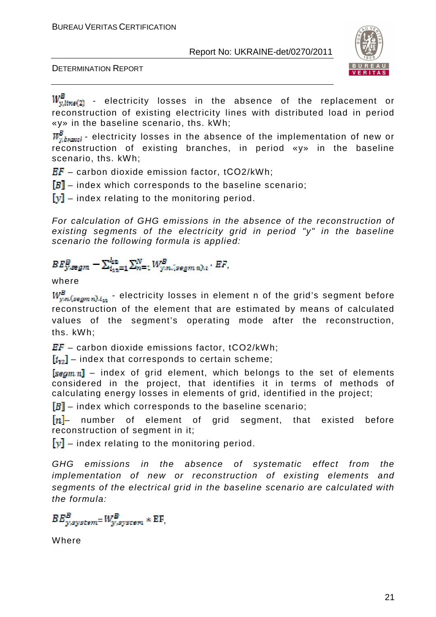



 $W^B_{y,line(2)}$  - electricity losses in the absence of the replacement or reconstruction of existing electricity lines with distributed load in period «y» in the baseline scenario, ths. kWh;

 $W_{v\,h\nu\,mol}^B$  - electricity losses in the absence of the implementation of new or reconstruction of existing branches, in period «y» in the baseline scenario, ths. kWh;

 $EF -$  carbon dioxide emission factor, tCO2/kWh;

 $[B]$  – index which corresponds to the baseline scenario;

 $[y]$  – index relating to the monitoring period.

For calculation of GHG emissions in the absence of the reconstruction of existing segments of the electricity grid in period "y" in the baseline scenario the following formula is applied:

$$
BE_{y,segm}^{B} - \sum_{i_{12}=1}^{i_{12}} \sum_{n=1}^{N} W_{y,n,(segm n),i}^{B} \cdot EF,
$$

#### where

 $W^B_{y,n, (segmn), i_{43}}$  - electricity losses in element n of the grid's segment before reconstruction of the element that are estimated by means of calculated values of the segment's operating mode after the reconstruction, ths. kWh;

 $EF -$  carbon dioxide emissions factor, tCO2/kWh;

 $[i_{12}]$  – index that corresponds to certain scheme;

 $\sqrt{\text{tau}}$  – index of grid element, which belongs to the set of elements considered in the project, that identifies it in terms of methods of calculating energy losses in elements of grid, identified in the project;

 $[B]$  – index which corresponds to the baseline scenario;

 $[n]$  number of element of grid segment, that existed before reconstruction of segment in it;

 $\|\mathbf{v}\|$  – index relating to the monitoring period.

GHG emissions in the absence of systematic effect from the implementation of new or reconstruction of existing elements and segments of the electrical grid in the baseline scenario are calculated with the formula:

 $BE_{w, system}^B = W_{w, system}^B * EF,$ 

Where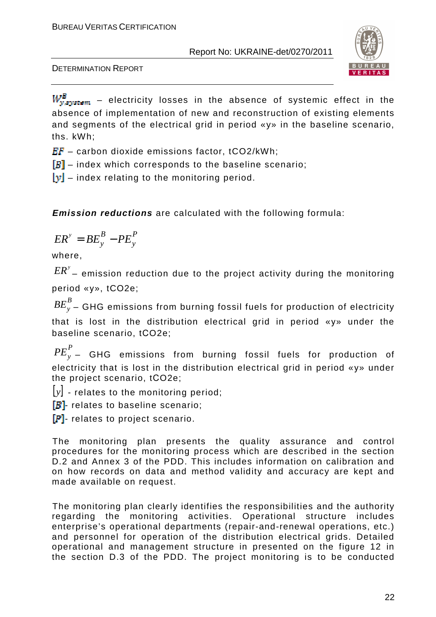

DETERMINATION REPORT

 $W_{y, system}^B$  – electricity losses in the absence of systemic effect in the absence of implementation of new and reconstruction of existing elements and segments of the electrical grid in period «y» in the baseline scenario, ths. kWh;

 $EF -$  carbon dioxide emissions factor, tCO2/kWh;

 $[B]$  – index which corresponds to the baseline scenario;

 $[y]$  – index relating to the monitoring period.

**Emission reductions** are calculated with the following formula:

$$
ER^y = BE_y^B - PE_y^P
$$

where,

 ${\it ER}^{\rm y}$  – emission reduction due to the project activity during the monitoring period «у», tCO2e;

*B BE<sup>y</sup>* – GHG emissions from burning fossil fuels for production of electricity that is lost in the distribution electrical grid in period «у» under the baseline scenario, tСO2e;

*P PE<sup>y</sup>* – GHG emissions from burning fossil fuels for production of electricity that is lost in the distribution electrical grid in period «y» under the project scenario, tСO2e;

 $|y|$  - relates to the monitoring period;

 $[B]$ - relates to baseline scenario;

 $[P]$ - relates to project scenario.

The monitoring plan presents the quality assurance and control procedures for the monitoring process which are described in the section D.2 and Annex 3 of the PDD. This includes information on calibration and on how records on data and method validity and accuracy are kept and made available on request.

The monitoring plan clearly identifies the responsibilities and the authority regarding the monitoring activities. Operational structure includes enterprise's operational departments (repair-and-renewal operations, etc.) and personnel for operation of the distribution electrical grids. Detailed operational and management structure in presented on the figure 12 in the section D.3 of the PDD. The project monitoring is to be conducted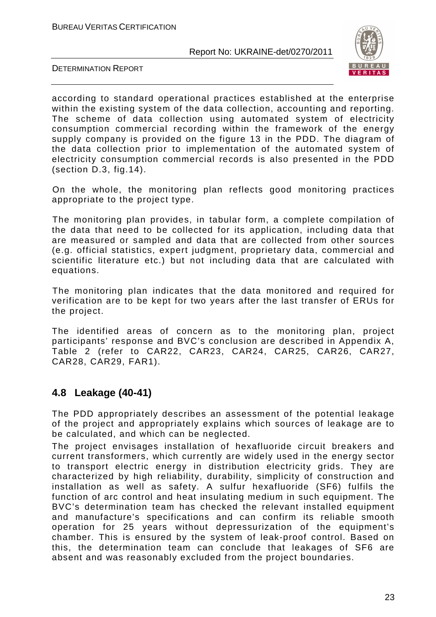

DETERMINATION REPORT

according to standard operational practices established at the enterprise within the existing system of the data collection, accounting and reporting. The scheme of data collection using automated system of electricity consumption commercial recording within the framework of the energy supply company is provided on the figure 13 in the PDD. The diagram of the data collection prior to implementation of the automated system of electricity consumption commercial records is also presented in the PDD (section D.3, fig.14).

On the whole, the monitoring plan reflects good monitoring practices appropriate to the project type.

The monitoring plan provides, in tabular form, a complete compilation of the data that need to be collected for its application, including data that are measured or sampled and data that are collected from other sources (e.g. official statistics, expert judgment, proprietary data, commercial and scientific literature etc.) but not including data that are calculated with equations.

The monitoring plan indicates that the data monitored and required for verification are to be kept for two years after the last transfer of ERUs for the project.

The identified areas of concern as to the monitoring plan, project participants' response and BVC's conclusion are described in Appendix A, Table 2 (refer to CAR22, CAR23, CAR24, CAR25, CAR26, CAR27, CAR28, CAR29, FAR1).

## **4.8 Leakage (40-41)**

The PDD appropriately describes an assessment of the potential leakage of the project and appropriately explains which sources of leakage are to be calculated, and which can be neglected.

The project envisages installation of hexafluoride circuit breakers and current transformers, which currently are widely used in the energy sector to transport electric energy in distribution electricity grids. They are characterized by high reliability, durability, simplicity of construction and installation as well as safety. A sulfur hexafluoride (SF6) fulfils the function of arc control and heat insulating medium in such equipment. The BVC's determination team has checked the relevant installed equipment and manufacture's specifications and can confirm its reliable smooth operation for 25 years without depressurization of the equipment's chamber. This is ensured by the system of leak-proof control. Based on this, the determination team can conclude that leakages of SF6 are absent and was reasonably excluded from the project boundaries.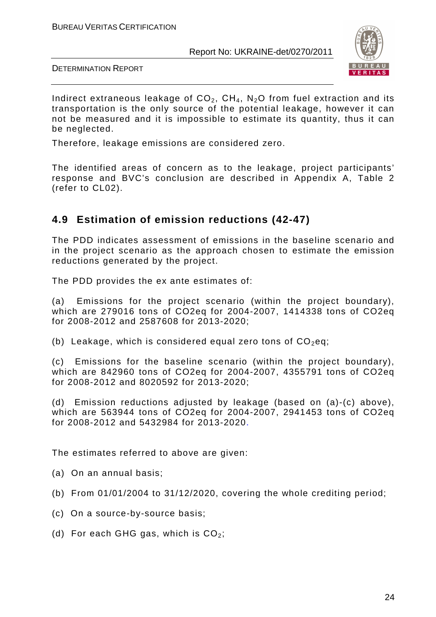

DETERMINATION REPORT

Indirect extraneous leakage of  $CO<sub>2</sub>$ ,  $CH<sub>4</sub>$ , N<sub>2</sub>O from fuel extraction and its transportation is the only source of the potential leakage, however it can not be measured and it is impossible to estimate its quantity, thus it can be neglected.

Therefore, leakage emissions are considered zero.

The identified areas of concern as to the leakage, project participants' response and BVC's conclusion are described in Appendix A, Table 2 (refer to CL02).

## **4.9 Estimation of emission reductions (42-47)**

The PDD indicates assessment of emissions in the baseline scenario and in the project scenario as the approach chosen to estimate the emission reductions generated by the project.

The PDD provides the ex ante estimates of:

(a) Emissions for the project scenario (within the project boundary), which are 279016 tons of CO2eq for 2004-2007, 1414338 tons of CO2eq for 2008-2012 and 2587608 for 2013-2020;

(b) Leakage, which is considered equal zero tons of  $CO<sub>2</sub>$ eq;

(c) Emissions for the baseline scenario (within the project boundary), which are 842960 tons of CO2eq for 2004-2007, 4355791 tons of CO2eq for 2008-2012 and 8020592 for 2013-2020;

(d) Emission reductions adjusted by leakage (based on (a)-(c) above), which are 563944 tons of CO2eq for 2004-2007, 2941453 tons of CO2eq for 2008-2012 and 5432984 for 2013-2020.

The estimates referred to above are given:

- (a) On an annual basis;
- (b) From 01/01/2004 to 31/12/2020, covering the whole crediting period;
- (c) On a source-by-source basis;
- (d) For each GHG gas, which is  $CO<sub>2</sub>$ ;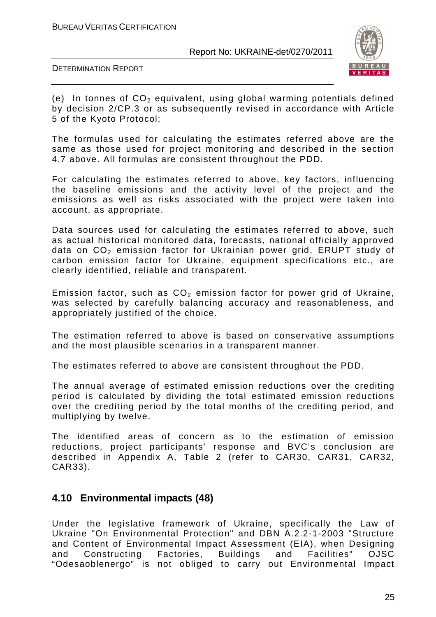

DETERMINATION REPORT

(e) In tonnes of  $CO<sub>2</sub>$  equivalent, using global warming potentials defined by decision 2/CP.3 or as subsequently revised in accordance with Article 5 of the Kyoto Protocol;

The formulas used for calculating the estimates referred above are the same as those used for project monitoring and described in the section 4.7 above. All formulas are consistent throughout the PDD.

For calculating the estimates referred to above, key factors, influencing the baseline emissions and the activity level of the project and the emissions as well as risks associated with the project were taken into account, as appropriate.

Data sources used for calculating the estimates referred to above, such as actual historical monitored data, forecasts, national officially approved data on  $CO<sub>2</sub>$  emission factor for Ukrainian power grid, ERUPT study of carbon emission factor for Ukraine, equipment specifications etc., are clearly identified, reliable and transparent.

Emission factor, such as  $CO<sub>2</sub>$  emission factor for power grid of Ukraine, was selected by carefully balancing accuracy and reasonableness, and appropriately justified of the choice.

The estimation referred to above is based on conservative assumptions and the most plausible scenarios in a transparent manner.

The estimates referred to above are consistent throughout the PDD.

The annual average of estimated emission reductions over the crediting period is calculated by dividing the total estimated emission reductions over the crediting period by the total months of the crediting period, and multiplying by twelve.

The identified areas of concern as to the estimation of emission reductions, project participants' response and BVC's conclusion are described in Appendix A, Table 2 (refer to CAR30, CAR31, CAR32, CAR33).

## **4.10 Environmental impacts (48)**

Under the legislative framework of Ukraine, specifically the Law of Ukraine "On Environmental Protection" and DBN А.2.2-1-2003 "Structure and Content of Environmental Impact Assessment (EIA), when Designing and Constructing Factories, Buildings and Facilities" OJSC "Odesaoblenergo" is not obliged to carry out Environmental Impact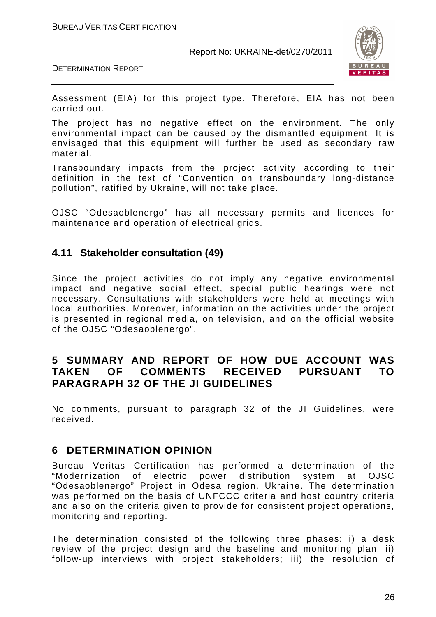



Assessment (EIA) for this project type. Therefore, EIA has not been carried out.

The project has no negative effect on the environment. The only environmental impact can be caused by the dismantled equipment. It is envisaged that this equipment will further be used as secondary raw material.

Transboundary impacts from the project activity according to their definition in the text of "Convention on transboundary long-distance pollution", ratified by Ukraine, will not take place.

OJSC "Odesaoblenergo" has all necessary permits and licences for maintenance and operation of electrical grids.

### **4.11 Stakeholder consultation (49)**

Since the project activities do not imply any negative environmental impact and negative social effect, special public hearings were not necessary. Consultations with stakeholders were held at meetings with local authorities. Moreover, information on the activities under the project is presented in regional media, on television, and on the official website of the OJSC "Odesaoblenergo".

## **5 SUMMARY AND REPORT OF HOW DUE ACCOUNT WAS TAKEN OF COMMENTS RECEIVED PURSUANT TO PARAGRAPH 32 OF THE JI GUIDELINES**

No comments, pursuant to paragraph 32 of the JI Guidelines, were received.

### **6 DETERMINATION OPINION**

Bureau Veritas Certification has performed a determination of the "Modernization of electric power distribution system at OJSC "Odesaoblenergo" Project in Odesa region, Ukraine. The determination was performed on the basis of UNFCCC criteria and host country criteria and also on the criteria given to provide for consistent project operations, monitoring and reporting.

The determination consisted of the following three phases: i) a desk review of the project design and the baseline and monitoring plan; ii) follow-up interviews with project stakeholders; iii) the resolution of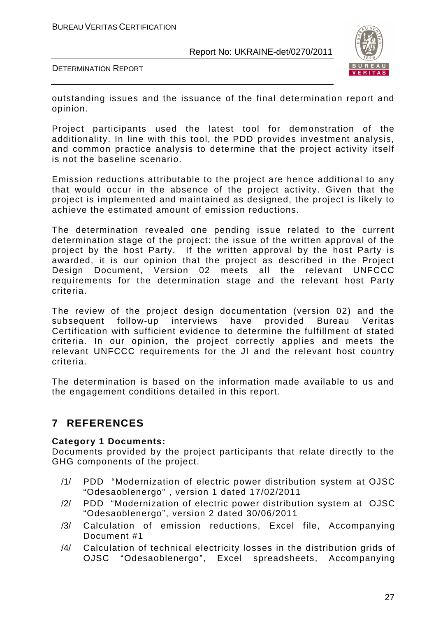

DETERMINATION REPORT

outstanding issues and the issuance of the final determination report and opinion.

Project participants used the latest tool for demonstration of the additionality. In line with this tool, the PDD provides investment analysis, and common practice analysis to determine that the project activity itself is not the baseline scenario.

Emission reductions attributable to the project are hence additional to any that would occur in the absence of the project activity. Given that the project is implemented and maintained as designed, the project is likely to achieve the estimated amount of emission reductions.

The determination revealed one pending issue related to the current determination stage of the project: the issue of the written approval of the project by the host Party. If the written approval by the host Party is awarded, it is our opinion that the project as described in the Project Design Document, Version 02 meets all the relevant UNFCCC requirements for the determination stage and the relevant host Party criteria.

The review of the project design documentation (version 02) and the subsequent follow-up interviews have provided Bureau Veritas Certification with sufficient evidence to determine the fulfillment of stated criteria. In our opinion, the project correctly applies and meets the relevant UNFCCC requirements for the JI and the relevant host country criteria.

The determination is based on the information made available to us and the engagement conditions detailed in this report.

## **7 REFERENCES**

#### **Category 1 Documents:**

Documents provided by the project participants that relate directly to the GHG components of the project.

- /1/ PDD "Modernization of electric power distribution system at OJSC "Odesaoblenergo" , version 1 dated 17/02/2011
- /2/ PDD "Modernization of electric power distribution system at OJSC "Odesaoblenergo", version 2 dated 30/06/2011
- /3/ Calculation of emission reductions, Excel file, Accompanying Document #1
- /4/ Calculation of technical electricity losses in the distribution grids of OJSC "Odesaoblenergo", Excel spreadsheets, Accompanying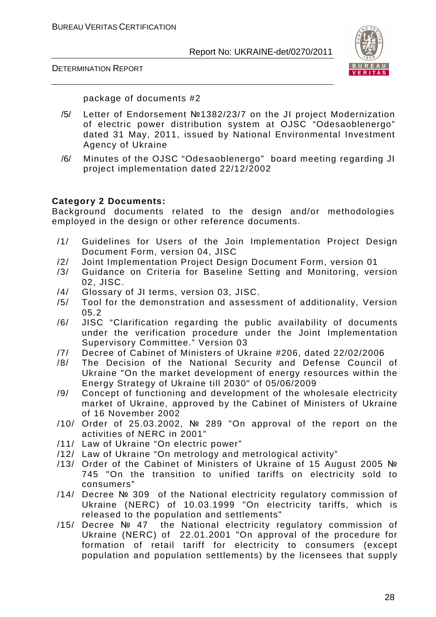DETERMINATION REPORT



package of documents #2

- /5/ Letter of Endorsement №1382/23/7 on the JI project Modernization of electric power distribution system at OJSC "Odesaoblenergo" dated 31 May, 2011, issued by National Environmental Investment Agency of Ukraine
- /6/ Minutes of the OJSC "Odesaoblenergo" board meeting regarding JI project implementation dated 22/12/2002

#### **Category 2 Documents:**

Background documents related to the design and/or methodologies employed in the design or other reference documents.

- /1/ Guidelines for Users of the Join Implementation Project Design Document Form, version 04, JISC
- /2/ Joint Implementation Project Design Document Form, version 01
- /3/ Guidance on Criteria for Baseline Setting and Monitoring, version 02, JISC.
- /4/ Glossary of JI terms, version 03, JISC.
- /5/ Tool for the demonstration and assessment of additionality, Version 05.2
- /6/ JISC "Clarification regarding the public availability of documents under the verification procedure under the Joint Implementation Supervisory Committee." Version 03
- /7/ Decree of Cabinet of Ministers of Ukraine #206, dated 22/02/2006
- /8/ The Decision of the National Security and Defense Council of Ukraine "On the market development of energy resources within the Energy Strategy of Ukraine till 2030" of 05/06/2009
- /9/ Concept of functioning and development of the wholesale electricity market of Ukraine, approved by the Cabinet of Ministers of Ukraine of 16 November 2002
- /10/ Order of 25.03.2002, № 289 "On approval of the report on the activities of NERC in 2001"
- /11/ Law of Ukraine "On electric power"
- /12/ Law of Ukraine "On metrology and metrological activity"
- /13/ Order of the Cabinet of Ministers of Ukraine of 15 August 2005 № 745 "On the transition to unified tariffs on electricity sold to consumers"
- /14/ Decree № 309 of the National electricity regulatory commission of Ukraine (NERC) of 10.03.1999 "On electricity tariffs, which is released to the population and settlements"
- /15/ Decree № 47 the National electricity regulatory commission of Ukraine (NERC) of 22.01.2001 "On approval of the procedure for formation of retail tariff for electricity to consumers (except population and population settlements) by the licensees that supply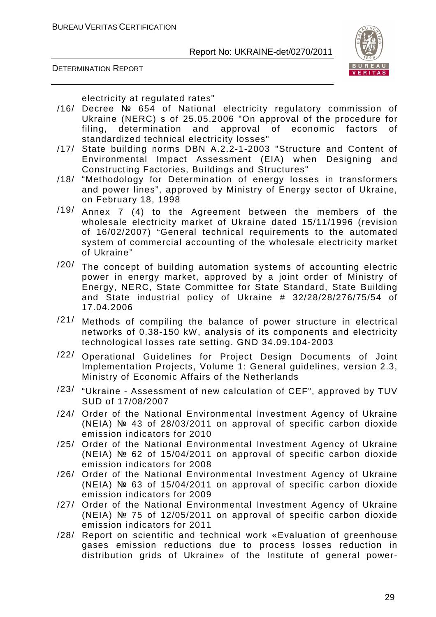

DETERMINATION REPORT

electricity at regulated rates"

- /16/ Decree № 654 of National electricity regulatory commission of Ukraine (NERC) s of 25.05.2006 "On approval of the procedure for filing, determination and approval of economic factors of standardized technical electricity losses"
- /17/ State building norms DBN A.2.2-1-2003 "Structure and Content of Environmental Impact Assessment (EIA) when Designing and Constructing Factories, Buildings and Structures"
- /18/ "Methodology for Determination of energy losses in transformers and power lines", approved by Ministry of Energy sector of Ukraine, on February 18, 1998
- /19/ Annex 7 (4) to the Agreement between the members of the wholesale electricity market of Ukraine dated 15/11/1996 (revision of 16/02/2007) "General technical requirements to the automated system of commercial accounting of the wholesale electricity market of Ukraine"
- /20/ The concept of building automation systems of accounting electric power in energy market, approved by a joint order of Ministry of Energy, NERC, State Committee for State Standard, State Building and State industrial policy of Ukraine # 32/28/28/276/75/54 of 17.04.2006
- /21/ Methods of compiling the balance of power structure in electrical networks of 0.38-150 kW, analysis of its components and electricity technological losses rate setting. GND 34.09.104-2003
- /22/ Operational Guidelines for Project Design Documents of Joint Implementation Projects, Volume 1: General guidelines, version 2.3, Ministry of Economic Affairs of the Netherlands
- /23/ "Ukraine Assessment of new calculation of CEF", approved by TUV SUD of 17/08/2007
- /24/ Order of the National Environmental Investment Agency of Ukraine (NEIA) № 43 of 28/03/2011 on approval of specific carbon dioxide emission indicators for 2010
- /25/ Order of the National Environmental Investment Agency of Ukraine (NEIA) № 62 of 15/04/2011 on approval of specific carbon dioxide emission indicators for 2008
- /26/ Order of the National Environmental Investment Agency of Ukraine (NEIA) № 63 of 15/04/2011 on approval of specific carbon dioxide emission indicators for 2009
- /27/ Order of the National Environmental Investment Agency of Ukraine (NEIA) № 75 of 12/05/2011 on approval of specific carbon dioxide emission indicators for 2011
- /28/ Report on scientific and technical work «Evaluation of greenhouse gases emission reductions due to process losses reduction in distribution grids of Ukraine» of the Institute of general power-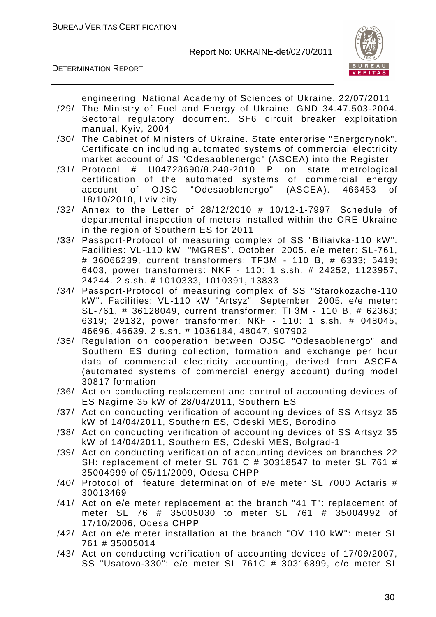



engineering, National Academy of Sciences of Ukraine, 22/07/2011

- /29/ The Ministry of Fuel and Energy of Ukraine. GND 34.47.503-2004. Sectoral regulatory document. SF6 circuit breaker exploitation manual, Kyiv, 2004
- /30/ The Cabinet of Ministers of Ukraine. State enterprise "Energorynok". Certificate on including automated systems of commercial electricity market account of JS "Odesaoblenergo" (ASCEA) into the Register
- /31/ Protocol # U04728690/8.248-2010 P on state metrological certification of the automated systems of commercial energy account of OJSC "Odesaoblenergo" (ASCEA). 466453 of 18/10/2010, Lviv city
- /32/ Annex to the Letter of 28/12/2010 # 10/12-1-7997. Schedule of departmental inspection of meters installed within the ORE Ukraine in the region of Southern ES for 2011
- /33/ Passport-Protocol of measuring complex of SS "Biliaivka-110 kW". Facilities: VL-110 kW "MGRES". October, 2005. e/e meter: SL-761, # 36066239, current transformers: TFЗМ - 110 B, # 6333; 5419; 6403, power transformers: NKF - 110: 1 s.sh. # 24252, 1123957, 24244. 2 s.sh. # 1010333, 1010391, 13833
- /34/ Passport-Protocol of measuring complex of SS "Starokozache-110 kW". Facilities: VL-110 kW "Artsyz", September, 2005. e/e meter: SL-761, # 36128049, current transformer: ТFЗМ - 110 B, # 62363; 6319; 29132, power transformer: NКF - 110: 1 s.sh. # 048045, 46696, 46639. 2 s.sh. # 1036184, 48047, 907902
- /35/ Regulation on cooperation between OJSC "Odesaoblenergo" and Southern ES during collection, formation and exchange per hour data of commercial electricity accounting, derived from ASCEA (automated systems of commercial energy account) during model 30817 formation
- /36/ Act on conducting replacement and control of accounting devices of ES Nagirne 35 kW of 28/04/2011, Southern ES
- /37/ Act on conducting verification of accounting devices of SS Artsyz 35 kW of 14/04/2011, Southern ES, Odeski MES, Borodino
- /38/ Act on conducting verification of accounting devices of SS Artsyz 35 kW of 14/04/2011, Southern ES, Odeski MES, Bolgrad-1
- /39/ Act on conducting verification of accounting devices on branches 22 SH: replacement of meter SL 761 C # 30318547 to meter SL 761 # 35004999 of 05/11/2009, Оdesa CHPP
- /40/ Protocol of feature determination of e/e meter SL 7000 Actaris # 30013469
- /41/ Act on e/e meter replacement at the branch "41 T": replacement of meter SL 76 # 35005030 to meter SL 761 # 35004992 of 17/10/2006, Оdesa CHPP
- /42/ Act on e/e meter installation at the branch "OV 110 kW": meter SL 761 # 35005014
- /43/ Act on conducting verification of accounting devices of 17/09/2007, SS "Usatovo-330": e/e meter SL 761C # 30316899, е/е meter SL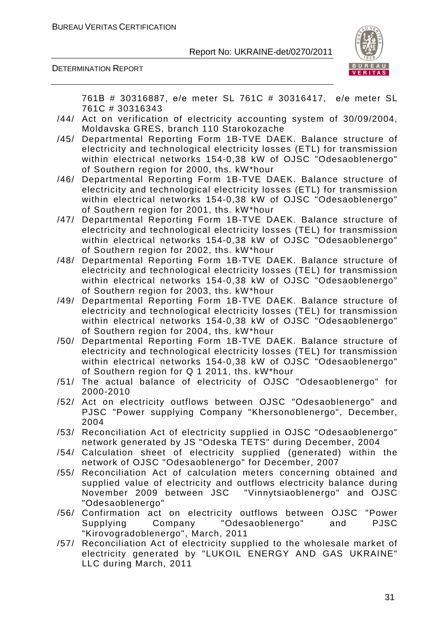

DETERMINATION REPORT

761В # 30316887, е/е meter SL 761C # 30316417, е/е meter SL 761C # 30316343

- /44/ Act on verification of electricity accounting system of 30/09/2004, Moldavska GRES, branch 110 Starokozache
- /45/ Departmental Reporting Form 1B-TVE DAEK. Balance structure of electricity and technological electricity losses (ETL) for transmission within electrical networks 154-0,38 kW of OJSC "Odesaoblenergo" of Southern region for 2000, ths. kW\*hour
- /46/ Departmental Reporting Form 1B-TVE DAEK. Balance structure of electricity and technological electricity losses (ETL) for transmission within electrical networks 154-0,38 kW of OJSC "Odesaoblenergo" of Southern region for 2001, ths. kW\*hour
- /47/ Departmental Reporting Form 1B-TVE DAEK. Balance structure of electricity and technological electricity losses (TEL) for transmission within electrical networks 154-0,38 kW of OJSC "Odesaoblenergo" of Southern region for 2002, ths. kW\*hour
- /48/ Departmental Reporting Form 1B-TVE DAEK. Balance structure of electricity and technological electricity losses (TEL) for transmission within electrical networks 154-0,38 kW of OJSC "Odesaoblenergo" of Southern region for 2003, ths. kW\*hour
- /49/ Departmental Reporting Form 1B-TVE DAEK. Balance structure of electricity and technological electricity losses (TEL) for transmission within electrical networks 154-0,38 kW of OJSC "Odesaoblenergo" of Southern region for 2004, ths. kW\*hour
- /50/ Departmental Reporting Form 1B-TVE DAEK. Balance structure of electricity and technological electricity losses (TEL) for transmission within electrical networks 154-0,38 kW of OJSC "Odesaoblenergo" of Southern region for Q 1 2011, ths. kW\*hour
- /51/ The actual balance of electricity of OJSC "Odesaoblenergo" for 2000-2010
- /52/ Act on electricity outflows between OJSC "Odesaoblenergo" and PJSC "Power supplying Company "Khersonoblenergo", December, 2004
- /53/ Reconciliation Act of electricity supplied in OJSC "Odesaoblenergo" network generated by JS "Odeska TETS" during December, 2004
- /54/ Calculation sheet of electricity supplied (generated) within the network of OJSC "Odesaoblenergo" for December, 2007
- /55/ Reconciliation Act of calculation meters concerning obtained and supplied value of electricity and outflows electricity balance during November 2009 between JSC "Vinnytsiaoblenergo" and OJSC "Odesaoblenergo"
- /56/ Confirmation act on electricity outflows between OJSC "Power Supplying Company "Odesaoblenergo" and PJSC "Kirovogradoblenergo", March, 2011
- /57/ Reconciliation Act of electricity supplied to the wholesale market of electricity generated by "LUKOIL ENERGY AND GAS UKRAINE" LLC during March, 2011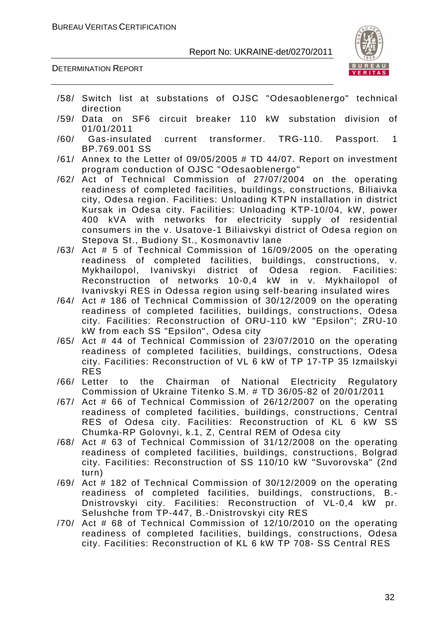

DETERMINATION REPORT

- /58/ Switch list at substations of OJSC "Odesaoblenergo" technical direction
- /59/ Data on SF6 circuit breaker 110 kW substation division of 01/01/2011
- /60/ Gas-insulated current transformer. TRG-110. Passport. 1 BP.769.001 SS
- /61/ Annex to the Letter of 09/05/2005 # TD 44/07. Report on investment program conduction of OJSC "Odesaoblenergo"
- /62/ Act of Technical Commission of 27/07/2004 on the operating readiness of completed facilities, buildings, constructions, Biliaivka city, Odesa region. Facilities: Unloading KTPN installation in district Kursak in Odesa city. Facilities: Unloading KTP-10/04, kW, power 400 kVA with networks for electricity supply of residential consumers in the v. Usatove-1 Biliaivskyi district of Odesa region on Stepova St., Budiony St., Kosmonavtiv lane
- /63/ Act # 5 of Technical Commission of 16/09/2005 on the operating readiness of completed facilities, buildings, constructions, v. Mykhailopol, Ivanivskyi district of Odesa region. Facilities: Reconstruction of networks 10-0,4 kW in v. Mykhailopol of Ivanivskyi RES in Odessa region using self-bearing insulated wires
- /64/ Act # 186 of Technical Commission of 30/12/2009 on the operating readiness of completed facilities, buildings, constructions, Odesa city. Facilities: Reconstruction of ORU-110 kW "Epsilon"; ZRU-10 kW from each SS "Epsilon", Odesa city
- /65/ Act # 44 of Technical Commission of 23/07/2010 on the operating readiness of completed facilities, buildings, constructions, Odesa city. Facilities: Reconstruction of VL 6 kW of TP 17-TP 35 Izmailskyi RES
- /66/ Letter to the Chairman of National Electricity Regulatory Commission of Ukraine Titenko S.M. # TD 36/05-82 of 20/01/2011
- /67/ Act # 66 of Technical Commission of 26/12/2007 on the operating readiness of completed facilities, buildings, constructions, Central RES of Odesa city. Facilities: Reconstruction of KL 6 kW SS Chumka-RP Golovnyi, k.1, Z, Central REM of Odesa city
- /68/ Act # 63 of Technical Commission of 31/12/2008 on the operating readiness of completed facilities, buildings, constructions, Bolgrad city. Facilities: Reconstruction of SS 110/10 kW "Suvorovska" (2nd turn)
- /69/ Act # 182 of Technical Commission of 30/12/2009 on the operating readiness of completed facilities, buildings, constructions, B.- Dnistrovskyi city. Facilities: Reconstruction of VL-0,4 kW pr. Selushche from TP-447, B.-Dnistrovskyi city RES
- /70/ Act # 68 of Technical Commission of 12/10/2010 on the operating readiness of completed facilities, buildings, constructions, Odesa city. Facilities: Reconstruction of KL 6 kW TP 708- SS Central RES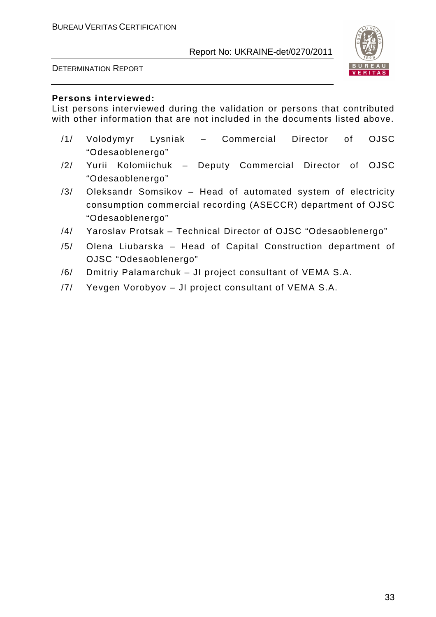



#### **Persons interviewed:**

List persons interviewed during the validation or persons that contributed with other information that are not included in the documents listed above.

- /1/ Volodymyr Lysniak Commercial Director of OJSC "Odesaoblenergo"
- /2/ Yurii Kolomiichuk Deputy Commercial Director of OJSC "Odesaoblenergo"
- /3/ Oleksandr Somsikov Head of automated system of electricity consumption commercial recording (ASECCR) department of OJSC "Odesaoblenergo"
- /4/ Yaroslav Protsak Technical Director of OJSC "Odesaoblenergo"
- /5/ Olena Liubarska Head of Capital Construction department of OJSC "Odesaoblenergo"
- /6/ Dmitriy Palamarchuk JI project consultant of VEMA S.A.
- /7/ Yevgen Vorobyov JI project consultant of VEMA S.A.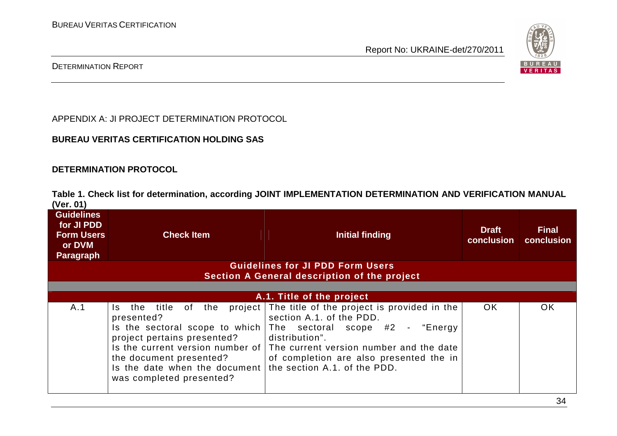

### DETERMINATION REPORT

APPENDIX A: JI PROJECT DETERMINATION PROTOCOL

### **BUREAU VERITAS CERTIFICATION HOLDING SAS**

#### **DETERMINATION PROTOCOL**

**Table 1. Check list for determination, according JOINT IMPLEMENTATION DETERMINATION AND VERIFICATION MANUAL (Ver. 01)** 

| <b>Guidelines</b><br>for JI PDD<br><b>Form Users</b><br>or DVM<br>Paragraph             | <b>Check Item</b>                                                                                                                                                                                    | Initial finding                                                                                                                                                                                                                                                                             | <b>Draft</b><br>conclusion | <b>Final</b><br>conclusion |
|-----------------------------------------------------------------------------------------|------------------------------------------------------------------------------------------------------------------------------------------------------------------------------------------------------|---------------------------------------------------------------------------------------------------------------------------------------------------------------------------------------------------------------------------------------------------------------------------------------------|----------------------------|----------------------------|
| <b>Guidelines for JI PDD Form Users</b><br>Section A General description of the project |                                                                                                                                                                                                      |                                                                                                                                                                                                                                                                                             |                            |                            |
| A.1. Title of the project                                                               |                                                                                                                                                                                                      |                                                                                                                                                                                                                                                                                             |                            |                            |
| A.1                                                                                     | title<br>of the<br>Is.<br>the<br>presented?<br>Is the sectoral scope to which<br>project pertains presented?<br>the document presented?<br>Is the date when the document<br>was completed presented? | project The title of the project is provided in the<br>section A.1. of the PDD.<br>The sectoral scope #2 - "Energy<br>distribution".<br>Is the current version number of The current version number and the date<br>of completion are also presented the in<br>the section A.1, of the PDD. | OK.                        | OK                         |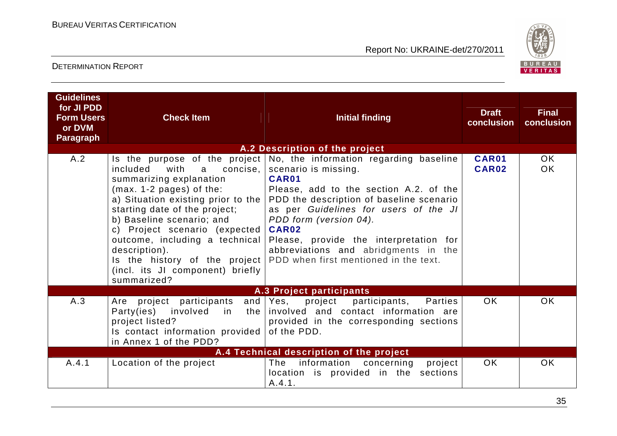

## DETERMINATION REPORT

| <b>Guidelines</b><br>for JI PDD<br><b>Form Users</b><br>or DVM<br><b>Paragraph</b> | <b>Check Item</b>                                                                                                                                                                                                                                                                                                                                                       | <b>Initial finding</b>                                                                                                                                                                                                                                                                                                                                                                                     | <b>Draft</b><br>conclusion | <b>Final</b><br>conclusion |  |
|------------------------------------------------------------------------------------|-------------------------------------------------------------------------------------------------------------------------------------------------------------------------------------------------------------------------------------------------------------------------------------------------------------------------------------------------------------------------|------------------------------------------------------------------------------------------------------------------------------------------------------------------------------------------------------------------------------------------------------------------------------------------------------------------------------------------------------------------------------------------------------------|----------------------------|----------------------------|--|
|                                                                                    |                                                                                                                                                                                                                                                                                                                                                                         | A.2 Description of the project                                                                                                                                                                                                                                                                                                                                                                             |                            |                            |  |
| A.2                                                                                | included<br>with<br>concise.<br>a<br>summarizing explanation<br>$(max. 1-2 pages)$ of the:<br>a) Situation existing prior to the<br>starting date of the project;<br>b) Baseline scenario; and<br>c) Project scenario (expected)<br>outcome, including a technical<br>description).<br>Is the history of the project<br>(incl. its JI component) briefly<br>summarized? | Is the purpose of the project $\vert$ No, the information regarding baseline<br>scenario is missing.<br>CAR01<br>Please, add to the section A.2. of the<br>PDD the description of baseline scenario<br>as per Guidelines for users of the JI<br>PDD form (version 04).<br>CAR02<br>Please, provide the interpretation for<br>abbreviations and abridgments in the<br>PDD when first mentioned in the text. | <b>CAR01</b><br>CAR02      | OK.<br><b>OK</b>           |  |
| A.3 Project participants                                                           |                                                                                                                                                                                                                                                                                                                                                                         |                                                                                                                                                                                                                                                                                                                                                                                                            |                            |                            |  |
| A.3                                                                                | project participants<br>Are<br>Party(ies)<br>involved<br>in<br>project listed?<br>Is contact information provided<br>in Annex 1 of the PDD?                                                                                                                                                                                                                             | and $Yes$ ,<br>project participants,<br><b>Parties</b><br>the involved and contact information are<br>provided in the corresponding sections<br>of the PDD.                                                                                                                                                                                                                                                | OK.                        | <b>OK</b>                  |  |
| A.4 Technical description of the project                                           |                                                                                                                                                                                                                                                                                                                                                                         |                                                                                                                                                                                                                                                                                                                                                                                                            |                            |                            |  |
| A.4.1                                                                              | Location of the project                                                                                                                                                                                                                                                                                                                                                 | information<br>The<br>concerning<br>project<br>location is provided in the sections<br>A.4.1.                                                                                                                                                                                                                                                                                                              | <b>OK</b>                  | <b>OK</b>                  |  |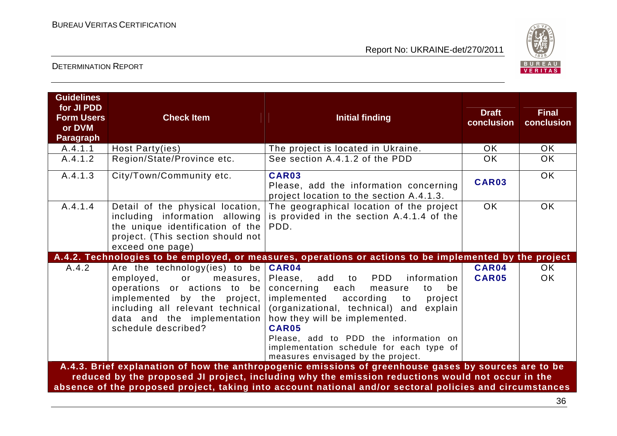

| <b>Guidelines</b><br>for JI PDD<br><b>Form Users</b><br>or DVM<br><b>Paragraph</b> | <b>Check Item</b>                                                                                                                                                                                                     | <b>Initial finding</b>                                                                                                                                                                                                                                                                                                                                        | <b>Draft</b><br>conclusion | <b>Final</b><br>conclusion |
|------------------------------------------------------------------------------------|-----------------------------------------------------------------------------------------------------------------------------------------------------------------------------------------------------------------------|---------------------------------------------------------------------------------------------------------------------------------------------------------------------------------------------------------------------------------------------------------------------------------------------------------------------------------------------------------------|----------------------------|----------------------------|
| A.4.1.1                                                                            | Host Party(ies)                                                                                                                                                                                                       | The project is located in Ukraine.                                                                                                                                                                                                                                                                                                                            | <b>OK</b>                  | OK.                        |
| A.4.1.2                                                                            | Region/State/Province etc.                                                                                                                                                                                            | See section A.4.1.2 of the PDD                                                                                                                                                                                                                                                                                                                                | OK.                        | <b>OK</b>                  |
| A.4.1.3                                                                            | City/Town/Community etc.                                                                                                                                                                                              | CAR03<br>Please, add the information concerning<br>project location to the section A.4.1.3.                                                                                                                                                                                                                                                                   | CAR03                      | <b>OK</b>                  |
| A.4.1.4                                                                            | Detail of the physical location,<br>including information allowing<br>the unique identification of the<br>project. (This section should not<br>exceed one page)                                                       | The geographical location of the project<br>is provided in the section A.4.1.4 of the<br>PDD.                                                                                                                                                                                                                                                                 | <b>OK</b>                  | <b>OK</b>                  |
|                                                                                    |                                                                                                                                                                                                                       | A.4.2. Technologies to be employed, or measures, operations or actions to be implemented by the project                                                                                                                                                                                                                                                       |                            |                            |
| A.4.2                                                                              | Are the technology(ies) to be<br>employed,<br>or<br>measures,<br>operations or actions to be<br>implemented by the project,<br>including all relevant technical<br>data and the implementation<br>schedule described? | CAR04<br>PDD<br>Please, add<br>information<br>to<br>concerning<br>each<br>be<br>measure<br>to<br>implemented<br>according<br>project<br>to<br>(organizational, technical) and<br>explain<br>how they will be implemented.<br>CAR05<br>Please, add to PDD the information on<br>implementation schedule for each type of<br>measures envisaged by the project. | CAR04<br><b>CAR05</b>      | OK.<br><b>OK</b>           |
|                                                                                    |                                                                                                                                                                                                                       | A.4.3. Brief explanation of how the anthropogenic emissions of greenhouse gases by sources are to be<br>reduced by the proposed JI project, including why the emission reductions would not occur in the                                                                                                                                                      |                            |                            |
|                                                                                    |                                                                                                                                                                                                                       | absence of the proposed project, taking into account national and/or sectoral policies and circumstances                                                                                                                                                                                                                                                      |                            |                            |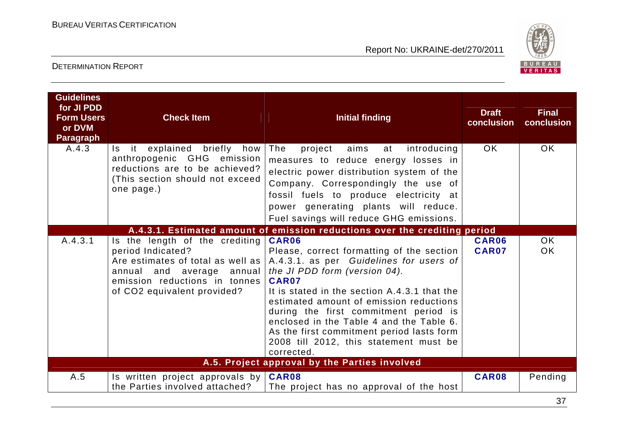

| <b>Guidelines</b><br>for JI PDD<br><b>Form Users</b><br>or DVM<br><b>Paragraph</b> | <b>Check Item</b>                                                                                                                                                                        | <b>Initial finding</b>                                                                                                                                                                                                                                                                                                                                                                                                       | <b>Draft</b><br>conclusion | <b>Final</b><br>conclusion |
|------------------------------------------------------------------------------------|------------------------------------------------------------------------------------------------------------------------------------------------------------------------------------------|------------------------------------------------------------------------------------------------------------------------------------------------------------------------------------------------------------------------------------------------------------------------------------------------------------------------------------------------------------------------------------------------------------------------------|----------------------------|----------------------------|
| A.4.3                                                                              | Is it explained briefly<br>how<br>anthropogenic GHG emission<br>reductions are to be achieved?<br>(This section should not exceed<br>one page.)                                          | The<br>aims<br>project<br>introducing<br>at<br>measures to reduce energy losses in<br>electric power distribution system of the<br>Company. Correspondingly the use of<br>fossil fuels to produce electricity at<br>power generating plants will reduce.<br>Fuel savings will reduce GHG emissions.                                                                                                                          | OK.                        | <b>OK</b>                  |
|                                                                                    |                                                                                                                                                                                          | A.4.3.1. Estimated amount of emission reductions over the crediting period                                                                                                                                                                                                                                                                                                                                                   |                            |                            |
| A.4.3.1                                                                            | Is the length of the crediting<br>period Indicated?<br>Are estimates of total as well as<br>annual and average<br>annual<br>emission reductions in tonnes<br>of CO2 equivalent provided? | CAR06<br>Please, correct formatting of the section<br>A.4.3.1. as per Guidelines for users of<br>the JI PDD form (version 04).<br>CAR07<br>It is stated in the section A.4.3.1 that the<br>estimated amount of emission reductions<br>during the first commitment period is<br>enclosed in the Table 4 and the Table 6.<br>As the first commitment period lasts form<br>2008 till 2012, this statement must be<br>corrected. | CAR06<br>CAR07             | OK<br><b>OK</b>            |
|                                                                                    |                                                                                                                                                                                          | A.5. Project approval by the Parties involved                                                                                                                                                                                                                                                                                                                                                                                |                            |                            |
| A.5                                                                                | Is written project approvals by $CRR08$<br>the Parties involved attached?                                                                                                                | The project has no approval of the host                                                                                                                                                                                                                                                                                                                                                                                      | CAR08                      | Pending                    |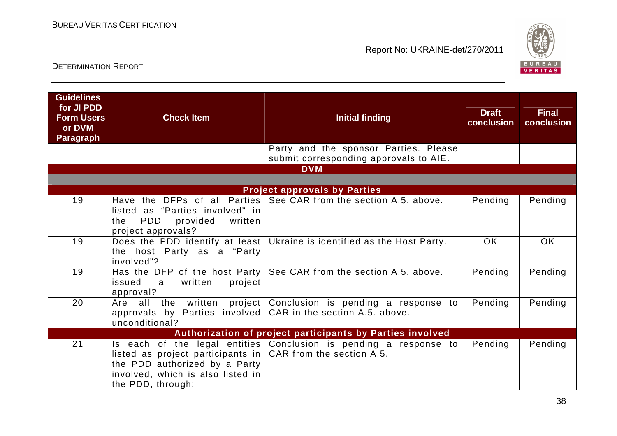

| <b>Guidelines</b><br>for JI PDD<br><b>Form Users</b><br>or DVM<br><b>Paragraph</b> | <b>Check Item</b>                                                                                                                                          | <b>Initial finding</b>                                                          | <b>Draft</b><br>conclusion | <b>Final</b><br>conclusion |  |
|------------------------------------------------------------------------------------|------------------------------------------------------------------------------------------------------------------------------------------------------------|---------------------------------------------------------------------------------|----------------------------|----------------------------|--|
|                                                                                    |                                                                                                                                                            | Party and the sponsor Parties. Please<br>submit corresponding approvals to AIE. |                            |                            |  |
|                                                                                    |                                                                                                                                                            | <b>DVM</b>                                                                      |                            |                            |  |
|                                                                                    |                                                                                                                                                            | <b>Project approvals by Parties</b>                                             |                            |                            |  |
| 19                                                                                 | listed as "Parties involved" in<br><b>PDD</b><br>provided<br>written<br>the<br>project approvals?                                                          | Have the DFPs of all Parties See CAR from the section A.5. above.               | Pending                    | Pending                    |  |
| 19                                                                                 | the host Party as a "Party<br>involved"?                                                                                                                   | Does the PDD identify at least Ukraine is identified as the Host Party.         | <b>OK</b>                  | <b>OK</b>                  |  |
| 19                                                                                 | project<br>issued<br>written<br>a<br>approval?                                                                                                             | Has the DFP of the host Party   See CAR from the section A.5. above.            | Pending                    | Pending                    |  |
| 20                                                                                 | Are all the<br>written<br>approvals by Parties involved $CAR$ in the section A.5. above.<br>unconditional?                                                 | project   Conclusion is pending a response to                                   | Pending                    | Pending                    |  |
|                                                                                    | Authorization of project participants by Parties involved                                                                                                  |                                                                                 |                            |                            |  |
| 21                                                                                 | listed as project participants in $ $ CAR from the section A.5.<br>the PDD authorized by a Party<br>involved, which is also listed in<br>the PDD, through: | Is each of the legal entities Conclusion is pending a response to               | Pending                    | Pending                    |  |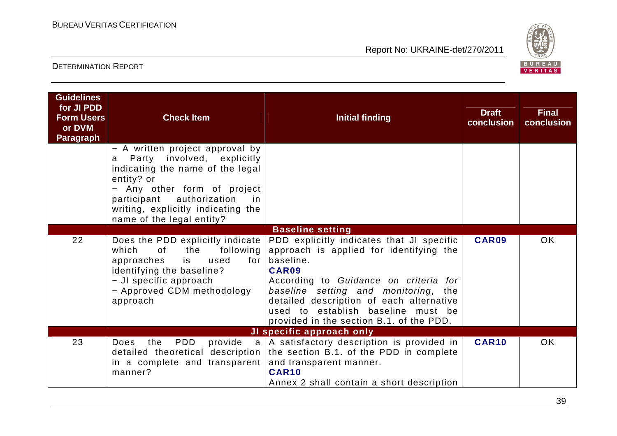

| <b>Guidelines</b><br>for JI PDD<br><b>Form Users</b><br>or DVM<br><b>Paragraph</b> | <b>Check Item</b>                                                                                                                                                                                                                                                                      | <b>Initial finding</b>                                                                                                                                                                                                                                                                                                    | <b>Draft</b><br>conclusion | <b>Final</b><br>conclusion |
|------------------------------------------------------------------------------------|----------------------------------------------------------------------------------------------------------------------------------------------------------------------------------------------------------------------------------------------------------------------------------------|---------------------------------------------------------------------------------------------------------------------------------------------------------------------------------------------------------------------------------------------------------------------------------------------------------------------------|----------------------------|----------------------------|
|                                                                                    | - A written project approval by<br>Party involved, explicitly<br>a<br>indicating the name of the legal<br>entity? or<br>Any other form of project<br>$\overline{\phantom{m}}$<br>participant authorization<br>in in<br>writing, explicitly indicating the<br>name of the legal entity? |                                                                                                                                                                                                                                                                                                                           |                            |                            |
|                                                                                    |                                                                                                                                                                                                                                                                                        | <b>Baseline setting</b>                                                                                                                                                                                                                                                                                                   |                            |                            |
| 22                                                                                 | Does the PDD explicitly indicate<br>which<br>of<br>the<br>following<br>approaches<br>is<br>used<br>for I<br>identifying the baseline?<br>- JI specific approach<br>- Approved CDM methodology<br>approach                                                                              | PDD explicitly indicates that JI specific<br>approach is applied for identifying the<br>baseline.<br>CAR09<br>According to Guidance on criteria for<br>baseline setting and monitoring, the<br>detailed description of each alternative<br>used to establish baseline must be<br>provided in the section B.1. of the PDD. | CAR09                      | OK                         |
| JI specific approach only                                                          |                                                                                                                                                                                                                                                                                        |                                                                                                                                                                                                                                                                                                                           |                            |                            |
| 23                                                                                 | PDD<br>the<br>Does<br>in a complete and transparent<br>manner?                                                                                                                                                                                                                         | provide a   A satisfactory description is provided in<br>detailed theoretical description the section B.1. of the PDD in complete<br>and transparent manner.<br><b>CAR10</b><br>Annex 2 shall contain a short description                                                                                                 | <b>CAR10</b>               | <b>OK</b>                  |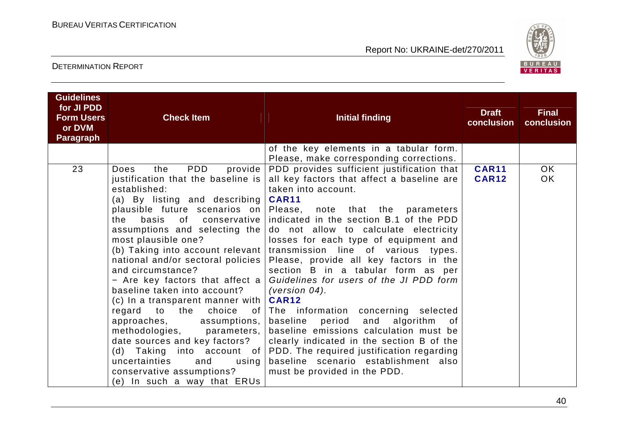

| <b>Guidelines</b><br>for JI PDD<br><b>Form Users</b><br>or DVM<br><b>Paragraph</b> | <b>Check Item</b>                                                                                                                                                                                                                                                                                                                                                                                                                                                                                                                                                                                                                                                                         | <b>Initial finding</b>                                                                                                                                                                                                                                                                                                                                                                                                                                                                                                                                                                                                                                                                                                                                                                                                            | <b>Draft</b><br>conclusion   | <b>Final</b><br>conclusion |
|------------------------------------------------------------------------------------|-------------------------------------------------------------------------------------------------------------------------------------------------------------------------------------------------------------------------------------------------------------------------------------------------------------------------------------------------------------------------------------------------------------------------------------------------------------------------------------------------------------------------------------------------------------------------------------------------------------------------------------------------------------------------------------------|-----------------------------------------------------------------------------------------------------------------------------------------------------------------------------------------------------------------------------------------------------------------------------------------------------------------------------------------------------------------------------------------------------------------------------------------------------------------------------------------------------------------------------------------------------------------------------------------------------------------------------------------------------------------------------------------------------------------------------------------------------------------------------------------------------------------------------------|------------------------------|----------------------------|
|                                                                                    |                                                                                                                                                                                                                                                                                                                                                                                                                                                                                                                                                                                                                                                                                           | of the key elements in a tabular form.<br>Please, make corresponding corrections.                                                                                                                                                                                                                                                                                                                                                                                                                                                                                                                                                                                                                                                                                                                                                 |                              |                            |
| 23                                                                                 | <b>PDD</b><br>the<br>provide<br>Does<br>justification that the baseline is<br>established:<br>(a) By listing and describing<br>plausible future scenarios on<br>basis of conservative<br>the<br>assumptions and selecting the<br>most plausible one?<br>(b) Taking into account relevant<br>national and/or sectoral policies<br>and circumstance?<br>- Are key factors that affect a<br>baseline taken into account?<br>(c) In a transparent manner with<br>regard to the<br>choice<br>.of<br>approaches,<br>assumptions,<br>methodologies,<br>parameters,<br>date sources and key factors?<br>uncertainties<br>and<br>using<br>conservative assumptions?<br>(e) In such a way that ERUs | PDD provides sufficient justification that<br>all key factors that affect a baseline are<br>taken into account.<br><b>CAR11</b><br>Please, note that the parameters<br>indicated in the section B.1 of the PDD<br>do not allow to calculate electricity<br>losses for each type of equipment and<br>transmission line of various types.<br>Please, provide all key factors in the<br>section B in a tabular form as per<br>Guidelines for users of the JI PDD form<br>(version $04$ ).<br><b>CAR12</b><br>The information concerning selected<br>and<br>baseline period<br>algorithm<br>0f<br>baseline emissions calculation must be<br>clearly indicated in the section B of the<br>(d) Taking into account of PDD. The required justification regarding<br>baseline scenario establishment also<br>must be provided in the PDD. | <b>CAR11</b><br><b>CAR12</b> | OK.<br>OK                  |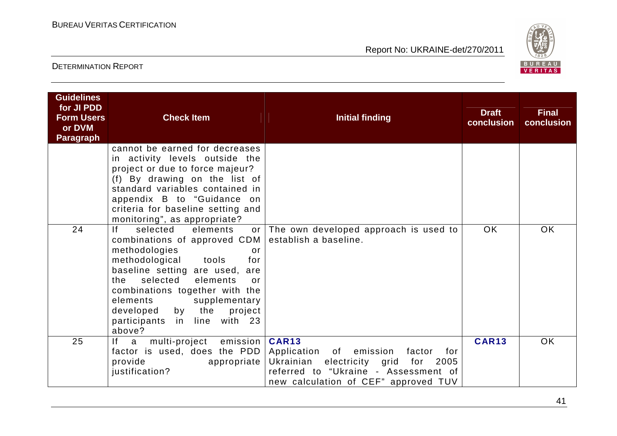

| <b>Guidelines</b><br>for JI PDD<br><b>Form Users</b><br>or DVM<br><b>Paragraph</b> | <b>Check Item</b>                                                                                                                                                                                                                                                                                                                       | <b>Initial finding</b>                                                                                                                                                   | <b>Draft</b><br>conclusion | <b>Final</b><br>conclusion |
|------------------------------------------------------------------------------------|-----------------------------------------------------------------------------------------------------------------------------------------------------------------------------------------------------------------------------------------------------------------------------------------------------------------------------------------|--------------------------------------------------------------------------------------------------------------------------------------------------------------------------|----------------------------|----------------------------|
|                                                                                    | cannot be earned for decreases<br>in activity levels outside the<br>project or due to force majeur?<br>(f) By drawing on the list of<br>standard variables contained in<br>appendix B to "Guidance on<br>criteria for baseline setting and<br>monitoring", as appropriate?                                                              |                                                                                                                                                                          |                            |                            |
| 24                                                                                 | f <br>selected<br>elements<br>combinations of approved CDM<br>methodologies<br>or<br>methodological tools<br>for<br>baseline setting are used, are<br>selected<br>elements<br>the<br>$\alpha$ r<br>combinations together with the<br>elements<br>supplementary<br>developed by the<br>project<br>participants in line with 23<br>above? | or The own developed approach is used to<br>establish a baseline.                                                                                                        | OK                         | <b>OK</b>                  |
| 25                                                                                 | multi-project emission   CAR13<br>If a<br>factor is used, does the PDD<br>provide<br>appropriate  <br>justification?                                                                                                                                                                                                                    | Application of emission<br>factor<br>for<br>Ukrainian<br>electricity grid<br>for<br>2005<br>referred to "Ukraine - Assessment of<br>new calculation of CEF" approved TUV | <b>CAR13</b>               | <b>OK</b>                  |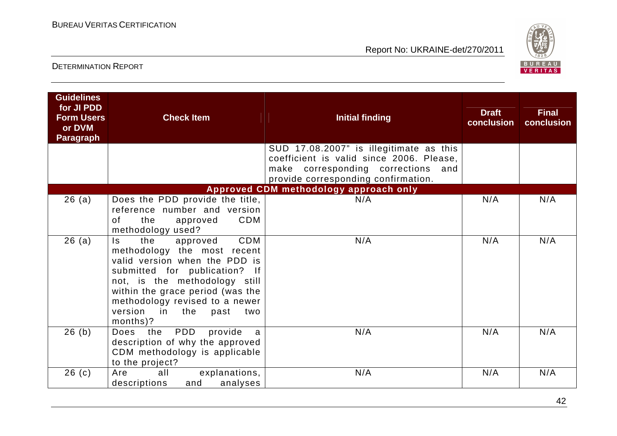

| <b>Guidelines</b><br>for JI PDD<br><b>Form Users</b><br>or DVM<br><b>Paragraph</b> | <b>Check Item</b>                                                                                                                                                                                                                                                                         | <b>Initial finding</b>                                                                                                                                           | <b>Draft</b><br>conclusion | <b>Final</b><br>conclusion |
|------------------------------------------------------------------------------------|-------------------------------------------------------------------------------------------------------------------------------------------------------------------------------------------------------------------------------------------------------------------------------------------|------------------------------------------------------------------------------------------------------------------------------------------------------------------|----------------------------|----------------------------|
|                                                                                    |                                                                                                                                                                                                                                                                                           | SUD 17.08.2007" is illegitimate as this<br>coefficient is valid since 2006. Please,<br>make corresponding corrections and<br>provide corresponding confirmation. |                            |                            |
|                                                                                    |                                                                                                                                                                                                                                                                                           | Approved CDM methodology approach only                                                                                                                           |                            |                            |
| 26(a)                                                                              | Does the PDD provide the title,<br>reference number and version<br><b>CDM</b><br>the<br>of<br>approved<br>methodology used?                                                                                                                                                               | N/A                                                                                                                                                              | N/A                        | N/A                        |
| 26(a)                                                                              | CDM<br>the<br>$\mathsf{ls}$<br>approved<br>methodology the most recent<br>valid version when the PDD is<br>submitted for publication? If<br>not, is the methodology still<br>within the grace period (was the<br>methodology revised to a newer<br>version in the past<br>two<br>months)? | N/A                                                                                                                                                              | N/A                        | N/A                        |
| 26(b)                                                                              | PDD<br>provide<br>Does<br>the<br>a<br>description of why the approved<br>CDM methodology is applicable<br>to the project?                                                                                                                                                                 | N/A                                                                                                                                                              | N/A                        | N/A                        |
| 26(c)                                                                              | all<br>Are<br>explanations,<br>analyses<br>descriptions<br>and                                                                                                                                                                                                                            | N/A                                                                                                                                                              | N/A                        | N/A                        |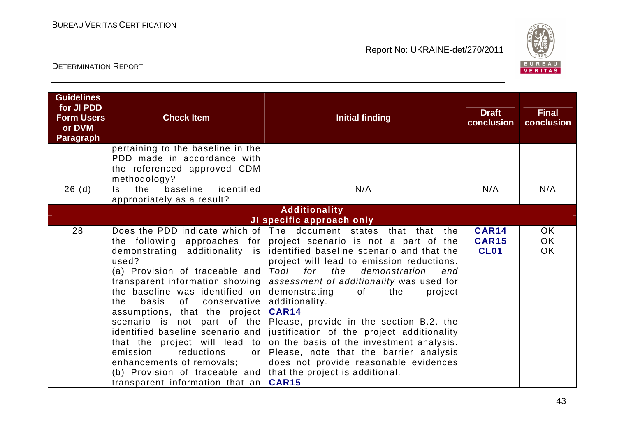

| <b>Guidelines</b><br>for JI PDD<br><b>Form Users</b><br>or DVM<br><b>Paragraph</b> | <b>Check Item</b><br>pertaining to the baseline in the                                                                                                                                                                                                                                                                                                                                                               | <b>Initial finding</b>                                                                                                                                                                                                                                                                                                                                                                                                                                                                                                                                                                                                                                                                                      | <b>Draft</b><br>conclusion                  | <b>Final</b><br>conclusion |
|------------------------------------------------------------------------------------|----------------------------------------------------------------------------------------------------------------------------------------------------------------------------------------------------------------------------------------------------------------------------------------------------------------------------------------------------------------------------------------------------------------------|-------------------------------------------------------------------------------------------------------------------------------------------------------------------------------------------------------------------------------------------------------------------------------------------------------------------------------------------------------------------------------------------------------------------------------------------------------------------------------------------------------------------------------------------------------------------------------------------------------------------------------------------------------------------------------------------------------------|---------------------------------------------|----------------------------|
|                                                                                    | PDD made in accordance with<br>the referenced approved CDM<br>methodology?                                                                                                                                                                                                                                                                                                                                           |                                                                                                                                                                                                                                                                                                                                                                                                                                                                                                                                                                                                                                                                                                             |                                             |                            |
| 26(d)                                                                              | identified<br>baseline<br>the<br>Is.<br>appropriately as a result?                                                                                                                                                                                                                                                                                                                                                   | N/A                                                                                                                                                                                                                                                                                                                                                                                                                                                                                                                                                                                                                                                                                                         | N/A                                         | N/A                        |
|                                                                                    |                                                                                                                                                                                                                                                                                                                                                                                                                      | <b>Additionality</b>                                                                                                                                                                                                                                                                                                                                                                                                                                                                                                                                                                                                                                                                                        |                                             |                            |
|                                                                                    |                                                                                                                                                                                                                                                                                                                                                                                                                      | JI specific approach only                                                                                                                                                                                                                                                                                                                                                                                                                                                                                                                                                                                                                                                                                   |                                             |                            |
| 28                                                                                 | additionality is<br>demonstrating<br>used?<br>(a) Provision of traceable and<br>the baseline was identified on demonstrating<br>basis<br>conservative  <br>the<br>of l<br>assumptions, that the project<br>that the project will lead to<br>emission<br>reductions<br>or 1<br>enhancements of removals;<br>(b) Provision of traceable and that the project is additional.<br>transparent information that an $CRR15$ | Does the PDD indicate which of $ $ The document states that that<br>the<br>the following approaches for project scenario is not a part of the<br>identified baseline scenario and that the<br>project will lead to emission reductions.<br>Tool<br>for<br>the<br>demonstration<br>and<br>transparent information showing   assessment of additionality was used for<br>of<br>the<br>project<br>additionality.<br>CAR14<br>scenario is not part of the Please, provide in the section B.2. the<br>identified baseline scenario and justification of the project additionality<br>on the basis of the investment analysis.<br>Please, note that the barrier analysis<br>does not provide reasonable evidences | <b>CAR14</b><br><b>CAR15</b><br><b>CL01</b> | <b>OK</b><br>OK.<br>OK.    |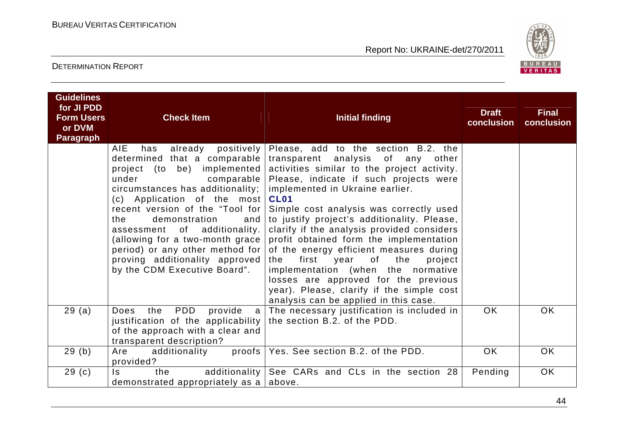

| <b>Guidelines</b><br>for JI PDD<br><b>Form Users</b><br>or DVM<br><b>Paragraph</b> | <b>Check Item</b>                                                                                                                                                                                                                                                                                                                                                                                                            | <b>Initial finding</b>                                                                                                                                                                                                                                                                                                                                                                                                                                                                                                                                                                                                                                                                      | <b>Draft</b><br>conclusion | <b>Final</b><br>conclusion |
|------------------------------------------------------------------------------------|------------------------------------------------------------------------------------------------------------------------------------------------------------------------------------------------------------------------------------------------------------------------------------------------------------------------------------------------------------------------------------------------------------------------------|---------------------------------------------------------------------------------------------------------------------------------------------------------------------------------------------------------------------------------------------------------------------------------------------------------------------------------------------------------------------------------------------------------------------------------------------------------------------------------------------------------------------------------------------------------------------------------------------------------------------------------------------------------------------------------------------|----------------------------|----------------------------|
|                                                                                    | <b>AIE</b><br>has<br>determined that a comparable<br>project (to be) implemented<br>under<br>comparable  <br>circumstances has additionality;  <br>(c) Application of the most<br>recent version of the "Tool for<br>demonstration<br>and<br>the<br>of additionality.<br>assessment<br>(allowing for a two-month grace)<br>period) or any other method for<br>proving additionality approved<br>by the CDM Executive Board". | already positively Please, add to the section B.2. the<br>transparent analysis of any<br>other<br>activities similar to the project activity.<br>Please, indicate if such projects were<br>implemented in Ukraine earlier.<br><b>CL01</b><br>Simple cost analysis was correctly used<br>to justify project's additionality. Please,<br>clarify if the analysis provided considers<br>profit obtained form the implementation<br>of the energy efficient measures during<br>first<br>of<br>the<br>year<br>project<br>the<br>implementation (when the normative<br>losses are approved for the previous<br>year). Please, clarify if the simple cost<br>analysis can be applied in this case. |                            |                            |
| 29(a)                                                                              | PDD<br>provide<br>Does<br>the<br>justification of the applicability the section B.2. of the PDD.<br>of the approach with a clear and<br>transparent description?                                                                                                                                                                                                                                                             | a   The necessary justification is included in                                                                                                                                                                                                                                                                                                                                                                                                                                                                                                                                                                                                                                              | OK.                        | OK.                        |
| 29(b)                                                                              | additionality<br>Are<br>provided?                                                                                                                                                                                                                                                                                                                                                                                            | proofs   Yes. See section B.2. of the PDD.                                                                                                                                                                                                                                                                                                                                                                                                                                                                                                                                                                                                                                                  | OK.                        | OK.                        |
| 29(c)                                                                              | $\mathsf{ls}$<br>the<br>demonstrated appropriately as a $ $ above.                                                                                                                                                                                                                                                                                                                                                           | additionality See CARs and CLs in the section 28                                                                                                                                                                                                                                                                                                                                                                                                                                                                                                                                                                                                                                            | Pending                    | OK                         |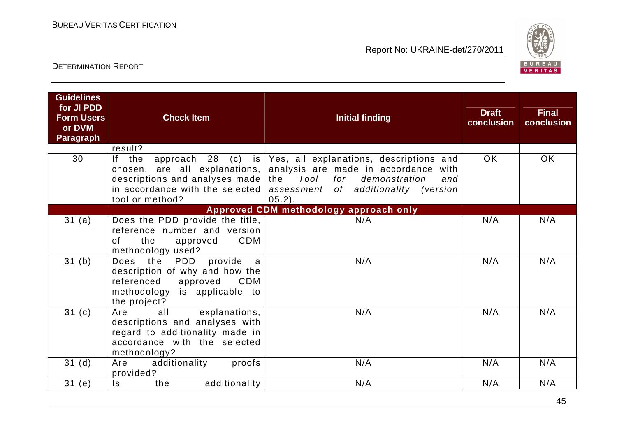

| <b>Guidelines</b><br>for JI PDD<br><b>Form Users</b><br>or DVM<br><b>Paragraph</b> | <b>Check Item</b>                                                                                                                                                                | <b>Initial finding</b>                                                                                                                                                                                                                                                                              | <b>Draft</b><br>conclusion | <b>Final</b><br>conclusion |
|------------------------------------------------------------------------------------|----------------------------------------------------------------------------------------------------------------------------------------------------------------------------------|-----------------------------------------------------------------------------------------------------------------------------------------------------------------------------------------------------------------------------------------------------------------------------------------------------|----------------------------|----------------------------|
| 30                                                                                 | result?<br>If the<br>tool or method?                                                                                                                                             | approach 28 (c) is Yes, all explanations, descriptions and<br>chosen, are all explanations, analysis are made in accordance with<br>descriptions and analyses made the $Tool$ for demonstration<br>and<br>in accordance with the selected $\vert$ assessment of additionality (version<br>$05.2$ ). | OK.                        | <b>OK</b>                  |
|                                                                                    |                                                                                                                                                                                  | Approved CDM methodology approach only                                                                                                                                                                                                                                                              |                            |                            |
| 31 (a)<br>31(b)                                                                    | Does the PDD provide the title,<br>reference number and version<br><b>CDM</b><br>of<br>the<br>approved<br>methodology used?<br>provide<br>Does the<br><b>PDD</b><br>$\mathsf{a}$ | N/A<br>N/A                                                                                                                                                                                                                                                                                          | N/A<br>N/A                 | N/A<br>N/A                 |
|                                                                                    | description of why and how the<br>referenced approved<br>CDM<br>methodology is applicable to<br>the project?                                                                     |                                                                                                                                                                                                                                                                                                     |                            |                            |
| 31(c)                                                                              | all<br>explanations,<br>Are<br>descriptions and analyses with<br>regard to additionality made in<br>accordance with the selected<br>methodology?                                 | N/A                                                                                                                                                                                                                                                                                                 | N/A                        | N/A                        |
| 31 <sub>(d)</sub>                                                                  | additionality<br>proofs  <br>Are<br>provided?                                                                                                                                    | N/A                                                                                                                                                                                                                                                                                                 | N/A                        | N/A                        |
| 31(e)                                                                              | additionality<br>ls.<br>the                                                                                                                                                      | N/A                                                                                                                                                                                                                                                                                                 | N/A                        | N/A                        |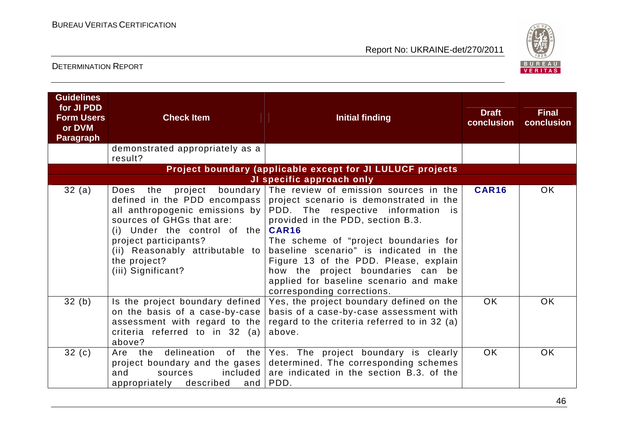

| <b>Guidelines</b><br>for JI PDD<br><b>Form Users</b><br>or DVM<br><b>Paragraph</b> | <b>Check Item</b>                                                                                                                                                                                                                      | <b>Initial finding</b>                                                                                                                                                                                                                                                                                                                                                                                                                       | <b>Draft</b><br>conclusion | <b>Final</b><br>conclusion |
|------------------------------------------------------------------------------------|----------------------------------------------------------------------------------------------------------------------------------------------------------------------------------------------------------------------------------------|----------------------------------------------------------------------------------------------------------------------------------------------------------------------------------------------------------------------------------------------------------------------------------------------------------------------------------------------------------------------------------------------------------------------------------------------|----------------------------|----------------------------|
|                                                                                    | demonstrated appropriately as a<br>result?                                                                                                                                                                                             |                                                                                                                                                                                                                                                                                                                                                                                                                                              |                            |                            |
|                                                                                    |                                                                                                                                                                                                                                        | Project boundary (applicable except for JI LULUCF projects                                                                                                                                                                                                                                                                                                                                                                                   |                            |                            |
|                                                                                    |                                                                                                                                                                                                                                        | JI specific approach only                                                                                                                                                                                                                                                                                                                                                                                                                    |                            |                            |
| 32(a)                                                                              | project<br><b>Does</b><br>the<br>defined in the PDD encompass  <br>sources of GHGs that are:<br>(i) Under the control of the $CART6$<br>project participants?<br>(ii) Reasonably attributable to<br>the project?<br>(iii) Significant? | boundary The review of emission sources in the<br>project scenario is demonstrated in the<br>all anthropogenic emissions by PDD. The respective information is<br>provided in the PDD, section B.3.<br>The scheme of "project boundaries for<br>baseline scenario" is indicated in the<br>Figure 13 of the PDD. Please, explain<br>how the project boundaries can be<br>applied for baseline scenario and make<br>corresponding corrections. | <b>CAR16</b>               | <b>OK</b>                  |
| 32(b)                                                                              | Is the project boundary defined<br>on the basis of a case-by-case<br>assessment with regard to the<br>criteria referred to in 32 (a)<br>above?                                                                                         | Yes, the project boundary defined on the<br>basis of a case-by-case assessment with<br>regard to the criteria referred to in 32 (a)<br>above.                                                                                                                                                                                                                                                                                                | OK.                        | <b>OK</b>                  |
| 32(c)                                                                              | delineation<br>of .<br>the<br>Are the<br>project boundary and the gases<br>included<br>and<br>sources<br>appropriately described<br>and                                                                                                | Yes. The project boundary is clearly<br>determined. The corresponding schemes<br>are indicated in the section B.3. of the<br>PDD.                                                                                                                                                                                                                                                                                                            | <b>OK</b>                  | <b>OK</b>                  |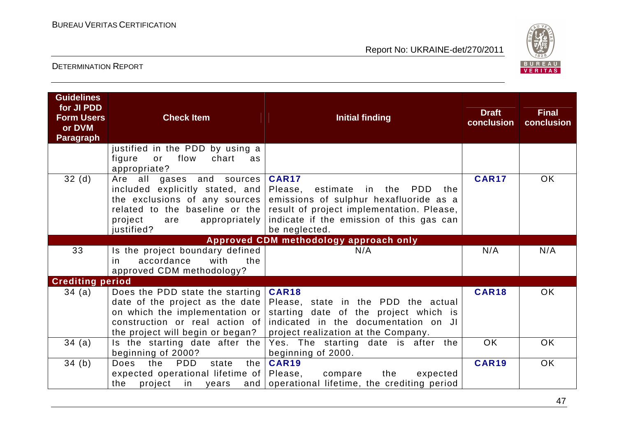

| <b>Guidelines</b><br>for JI PDD<br><b>Form Users</b><br>or DVM<br><b>Paragraph</b> | <b>Check Item</b>                                                                                                                                     | Initial finding                                                                                                                                                                                                                          | <b>Draft</b><br>conclusion | <b>Final</b><br>conclusion |
|------------------------------------------------------------------------------------|-------------------------------------------------------------------------------------------------------------------------------------------------------|------------------------------------------------------------------------------------------------------------------------------------------------------------------------------------------------------------------------------------------|----------------------------|----------------------------|
|                                                                                    | justified in the PDD by using a<br>flow<br>chart<br>figure<br>or<br>as<br>appropriate?                                                                |                                                                                                                                                                                                                                          |                            |                            |
| 32(d)                                                                              | Are all<br>gases and sources<br>included explicitly stated, and<br>the exclusions of any sources  <br>project<br>appropriately  <br>are<br>justified? | <b>CAR17</b><br>Please, estimate in the<br>PDD<br>the<br>emissions of sulphur hexafluoride as a<br>related to the baseline or the result of project implementation. Please,<br>indicate if the emission of this gas can<br>be neglected. | <b>CAR17</b>               | OK.                        |
|                                                                                    |                                                                                                                                                       | Approved CDM methodology approach only                                                                                                                                                                                                   |                            |                            |
| 33                                                                                 | Is the project boundary defined<br>accordance<br>with<br>the<br>in.<br>approved CDM methodology?                                                      | N/A                                                                                                                                                                                                                                      | N/A                        | N/A                        |
| <b>Crediting period</b>                                                            |                                                                                                                                                       |                                                                                                                                                                                                                                          |                            |                            |
| 34(a)                                                                              | Does the PDD state the starting<br>on which the implementation or<br>construction or real action of<br>the project will begin or began?               | CAR18<br>date of the project as the date Please, state in the PDD the actual<br>starting date of the project which is<br>indicated in the documentation on JI<br>project realization at the Company.                                     | <b>CAR18</b>               | OK.                        |
| 34(a)                                                                              | Is the starting date after the<br>beginning of 2000?                                                                                                  | Yes. The starting date is after the<br>beginning of 2000.                                                                                                                                                                                | <b>OK</b>                  | <b>OK</b>                  |
| 34(b)                                                                              | <b>PDD</b><br><b>Does</b><br>the<br>the<br>state<br>expected operational lifetime of Please,<br>the<br>project in years                               | <b>CAR19</b><br>compare<br>the<br>expected<br>and operational lifetime, the crediting period                                                                                                                                             | <b>CAR19</b>               | <b>OK</b>                  |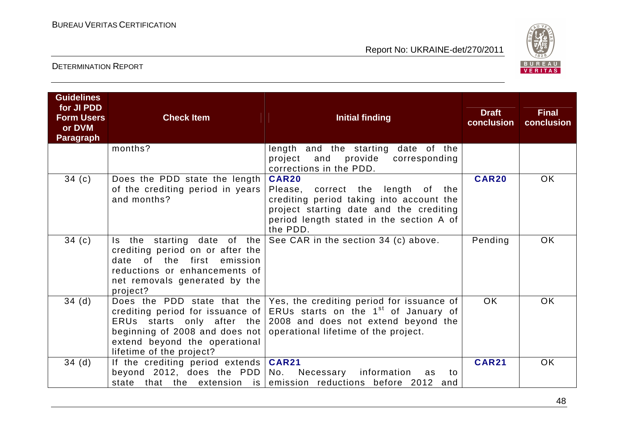

| <b>Guidelines</b><br>for JI PDD<br><b>Form Users</b><br>or DVM<br><b>Paragraph</b> | <b>Check Item</b>                                                                                                                                                                 | <b>Initial finding</b>                                                                                                                                                                                                                               | <b>Draft</b><br>conclusion | <b>Final</b><br>conclusion |
|------------------------------------------------------------------------------------|-----------------------------------------------------------------------------------------------------------------------------------------------------------------------------------|------------------------------------------------------------------------------------------------------------------------------------------------------------------------------------------------------------------------------------------------------|----------------------------|----------------------------|
|                                                                                    | months?                                                                                                                                                                           | length and the starting date of the<br>and provide corresponding<br>project<br>corrections in the PDD.                                                                                                                                               |                            |                            |
| 34(c)                                                                              | Does the PDD state the length<br>of the crediting period in years<br>and months?                                                                                                  | <b>CAR20</b><br>Please, correct the length of the<br>crediting period taking into account the<br>project starting date and the crediting<br>period length stated in the section A of<br>the PDD.                                                     | <b>CAR20</b>               | <b>OK</b>                  |
| 34(c)                                                                              | Is the starting date of the<br>crediting period on or after the<br>of the first<br>emission<br>date<br>reductions or enhancements of<br>net removals generated by the<br>project? | See CAR in the section 34 (c) above.                                                                                                                                                                                                                 | Pending                    | <b>OK</b>                  |
| 34(d)                                                                              | ERUs starts only after the<br>beginning of 2008 and does not<br>extend beyond the operational<br>lifetime of the project?                                                         | Does the PDD state that the $\sqrt{e}$ Yes, the crediting period for issuance of<br>crediting period for issuance of ERUs starts on the 1 <sup>st</sup> of January of<br>2008 and does not extend beyond the<br>operational lifetime of the project. | <b>OK</b>                  | <b>OK</b>                  |
| 34(d)                                                                              | If the crediting period extends   CAR21<br>beyond 2012, does the $PDD$                                                                                                            | Necessary<br>information<br>No.<br>to<br>as<br>state that the extension is emission reductions before 2012 and                                                                                                                                       | <b>CAR21</b>               | <b>OK</b>                  |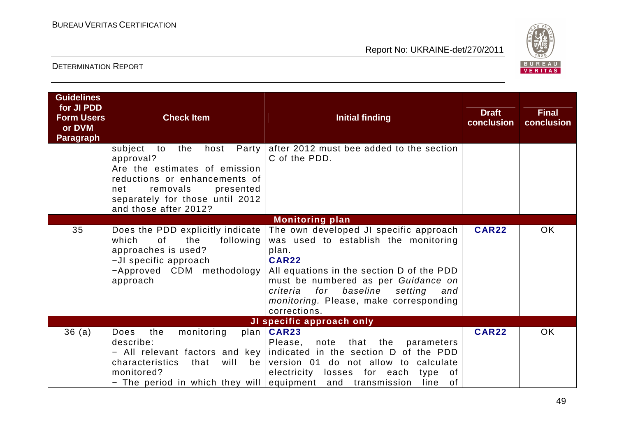

| <b>Guidelines</b><br>for JI PDD<br><b>Form Users</b><br>or DVM<br><b>Paragraph</b> | <b>Check Item</b>                                                                                                                                                                                                  | <b>Initial finding</b>                                                                                                                                                                                                                                                                              | <b>Draft</b><br>conclusion | <b>Final</b><br>conclusion |
|------------------------------------------------------------------------------------|--------------------------------------------------------------------------------------------------------------------------------------------------------------------------------------------------------------------|-----------------------------------------------------------------------------------------------------------------------------------------------------------------------------------------------------------------------------------------------------------------------------------------------------|----------------------------|----------------------------|
|                                                                                    | subject<br>to<br>host<br>Party  <br>the<br>approval?<br>Are the estimates of emission<br>reductions or enhancements of<br>removals<br>presented<br>net<br>separately for those until 2012<br>and those after 2012? | after 2012 must bee added to the section<br>C of the PDD.                                                                                                                                                                                                                                           |                            |                            |
|                                                                                    |                                                                                                                                                                                                                    | <b>Monitoring plan</b>                                                                                                                                                                                                                                                                              |                            |                            |
| 35                                                                                 | Does the PDD explicitly indicate<br>0f<br>the<br>which<br>following<br>approaches is used?<br>-JI specific approach<br>-Approved CDM methodology<br>approach                                                       | The own developed JI specific approach<br>was used to establish the monitoring<br>plan.<br><b>CAR22</b><br>All equations in the section D of the PDD<br>must be numbered as per Guidance on<br>criteria for<br>baseline<br>setting<br>and<br>monitoring. Please, make corresponding<br>corrections. | <b>CAR22</b>               | <b>OK</b>                  |
|                                                                                    |                                                                                                                                                                                                                    | JI specific approach only                                                                                                                                                                                                                                                                           |                            |                            |
| 36(a)                                                                              | <b>Does</b><br>the<br>monitoring<br>describe:<br>will<br>characteristics<br>that<br>be<br>monitored?<br>- The period in which they will equipment and transmission                                                 | plan   CAR23<br>note that the<br>Please,<br>parameters<br>- All relevant factors and key indicated in the section D of the PDD<br>version 01 do not allow to calculate<br>electricity losses for each<br>of<br>type<br>of<br>line                                                                   | <b>CAR22</b>               | <b>OK</b>                  |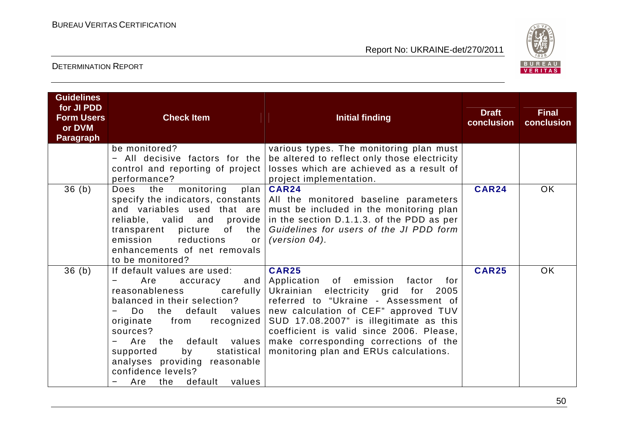

| <b>Guidelines</b><br>for JI PDD<br><b>Form Users</b><br>or DVM<br><b>Paragraph</b> | <b>Check Item</b>                                                                                                                                                                                                                         | <b>Initial finding</b>                                                                                                                                                                                                                                                                                                                                                                                                                                              | <b>Draft</b><br>conclusion | <b>Final</b><br>conclusion |
|------------------------------------------------------------------------------------|-------------------------------------------------------------------------------------------------------------------------------------------------------------------------------------------------------------------------------------------|---------------------------------------------------------------------------------------------------------------------------------------------------------------------------------------------------------------------------------------------------------------------------------------------------------------------------------------------------------------------------------------------------------------------------------------------------------------------|----------------------------|----------------------------|
|                                                                                    | be monitored?<br>All decisive factors for the<br>control and reporting of project<br>performance?                                                                                                                                         | various types. The monitoring plan must<br>be altered to reflect only those electricity<br>losses which are achieved as a result of<br>project implementation.                                                                                                                                                                                                                                                                                                      |                            |                            |
| 36(b)                                                                              | monitoring<br>the<br>Does<br>emission<br>reductions<br>or <sub>l</sub><br>enhancements of net removals<br>to be monitored?                                                                                                                | plan   CAR24<br>specify the indicators, constants   All the monitored baseline parameters<br>and variables used that are must be included in the monitoring plan<br>reliable, valid and provide in the section D.1.1.3. of the PDD as per<br>transparent picture of the   Guidelines for users of the JI PDD form<br>(version $04$ ).                                                                                                                               | <b>CAR24</b>               | <b>OK</b>                  |
| 36(b)                                                                              | If default values are used:<br>Are<br>accuracy<br>reasonableness<br>balanced in their selection?<br>Do<br>originate<br>sources?<br>supported<br>by<br>analyses providing reasonable<br>confidence levels?<br>default values<br>Are<br>the | <b>CAR25</b><br>and Application of emission factor<br>for <b>f</b><br>carefully Ukrainian electricity grid<br>for<br>2005<br>referred to "Ukraine - Assessment of<br>the default values new calculation of CEF" approved TUV<br>from recognized $\vert$ SUD 17.08.2007" is illegitimate as this<br>coefficient is valid since 2006. Please,<br>Are the default values make corresponding corrections of the<br>statistical   monitoring plan and ERUs calculations. | <b>CAR25</b>               | <b>OK</b>                  |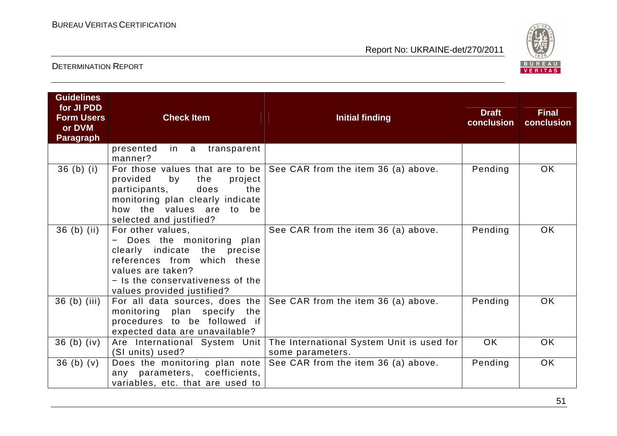

| <b>Guidelines</b><br>for JI PDD<br><b>Form Users</b><br>or DVM<br><b>Paragraph</b> | <b>Check Item</b>                                                                                                                                                                                     | <b>Initial finding</b>                                                  | <b>Draft</b><br>conclusion | <b>Final</b><br>conclusion |
|------------------------------------------------------------------------------------|-------------------------------------------------------------------------------------------------------------------------------------------------------------------------------------------------------|-------------------------------------------------------------------------|----------------------------|----------------------------|
|                                                                                    | presented<br>in a<br>transparent<br>manner?                                                                                                                                                           |                                                                         |                            |                            |
| $36$ (b) (i)                                                                       | provided<br>by<br>project<br>the<br>does<br>participants,<br>the<br>monitoring plan clearly indicate<br>how the values are to be<br>selected and justified?                                           | For those values that are to be $ $ See CAR from the item 36 (a) above. | Pending                    | OK.                        |
| $36$ (b) (ii)                                                                      | For other values,<br>- Does the monitoring plan<br>clearly indicate the precise<br>references from which these<br>values are taken?<br>- Is the conservativeness of the<br>values provided justified? | See CAR from the item 36 (a) above.                                     | Pending                    | OK.                        |
| $36$ (b) (iii)                                                                     | monitoring plan specify the<br>procedures to be followed if<br>expected data are unavailable?                                                                                                         | For all data sources, does the $ $ See CAR from the item 36 (a) above.  | Pending                    | <b>OK</b>                  |
| $36$ (b) (iv)                                                                      | Are International System Unit<br>(SI units) used?                                                                                                                                                     | The International System Unit is used for<br>some parameters.           | OK.                        | <b>OK</b>                  |
| 36(b)(v)                                                                           | Does the monitoring plan note<br>any parameters, coefficients,<br>variables, etc. that are used to                                                                                                    | See CAR from the item 36 (a) above.                                     | Pending                    | <b>OK</b>                  |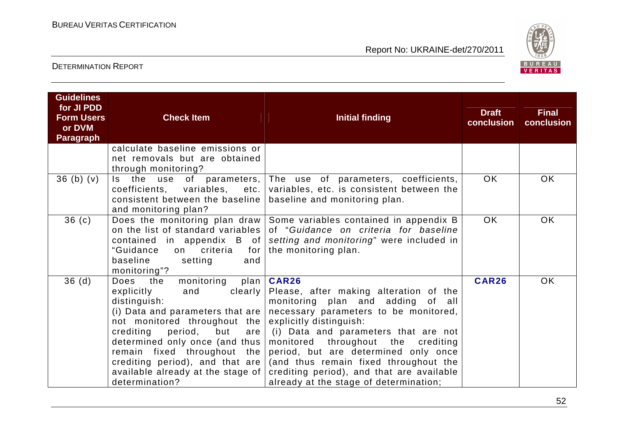

| <b>Guidelines</b><br>for JI PDD<br><b>Form Users</b><br>or DVM<br><b>Paragraph</b> | <b>Check Item</b>                                                                                                                                                                                                                                                                                                                                      | <b>Initial finding</b>                                                                                                                                                                                                                                                                                                                                                                                                | <b>Draft</b><br>conclusion | <b>Final</b><br>conclusion |
|------------------------------------------------------------------------------------|--------------------------------------------------------------------------------------------------------------------------------------------------------------------------------------------------------------------------------------------------------------------------------------------------------------------------------------------------------|-----------------------------------------------------------------------------------------------------------------------------------------------------------------------------------------------------------------------------------------------------------------------------------------------------------------------------------------------------------------------------------------------------------------------|----------------------------|----------------------------|
|                                                                                    | calculate baseline emissions or<br>net removals but are obtained<br>through monitoring?                                                                                                                                                                                                                                                                |                                                                                                                                                                                                                                                                                                                                                                                                                       |                            |                            |
| 36(b)(v)                                                                           | the<br>of<br>Is l<br>use<br>coefficients, variables,<br>etc.<br>consistent between the baseline<br>and monitoring plan?                                                                                                                                                                                                                                | parameters, The use of parameters, coefficients,<br>variables, etc. is consistent between the<br>baseline and monitoring plan.                                                                                                                                                                                                                                                                                        | OK.                        | <b>OK</b>                  |
| 36(c)                                                                              | "Guidance<br>criteria<br>for<br>on<br>baseline<br>setting<br>and<br>monitoring"?                                                                                                                                                                                                                                                                       | Does the monitoring plan draw Some variables contained in appendix B<br>on the list of standard variables of "Guidance on criteria for baseline<br>contained in appendix $B$ of setting and monitoring" were included in<br>the monitoring plan.                                                                                                                                                                      | OK.                        | <b>OK</b>                  |
| 36(d)                                                                              | Does<br>the<br>monitoring<br>explicitly<br>clearly  <br>and<br>distinguish:<br>(i) Data and parameters that are $ $<br>not monitored throughout the<br>crediting<br>period,<br>but<br>are<br>determined only once (and thus  <br>remain fixed throughout the<br>crediting period), and that are<br>available already at the stage of<br>determination? | plan   CAR26<br>Please, after making alteration of the<br>monitoring plan and adding of all<br>necessary parameters to be monitored,<br>explicitly distinguish:<br>(i) Data and parameters that are not<br>monitored throughout the crediting<br>period, but are determined only once<br>(and thus remain fixed throughout the<br>crediting period), and that are available<br>already at the stage of determination; | <b>CAR26</b>               | <b>OK</b>                  |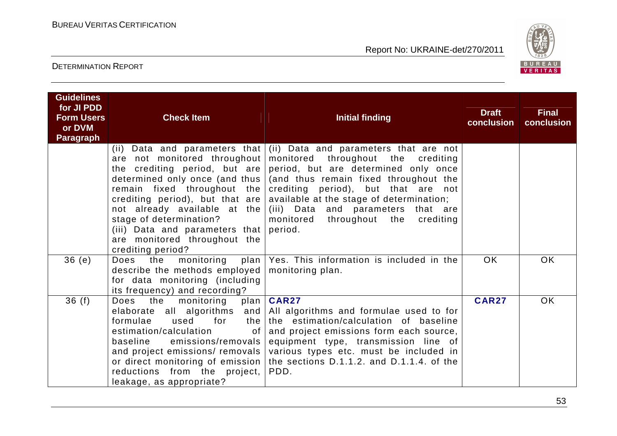

| <b>Guidelines</b><br>for JI PDD<br><b>Form Users</b><br>or DVM<br><b>Paragraph</b> | <b>Check Item</b>                                                                                                                                                                                                                                            | <b>Initial finding</b>                                                                                                                                                                                                                                                                                                                                                                                                            | <b>Draft</b><br>conclusion | <b>Final</b><br>conclusion |
|------------------------------------------------------------------------------------|--------------------------------------------------------------------------------------------------------------------------------------------------------------------------------------------------------------------------------------------------------------|-----------------------------------------------------------------------------------------------------------------------------------------------------------------------------------------------------------------------------------------------------------------------------------------------------------------------------------------------------------------------------------------------------------------------------------|----------------------------|----------------------------|
|                                                                                    | are not monitored throughout<br>determined only once (and thus  <br>remain fixed throughout the<br>crediting period), but that are<br>stage of determination?<br>(iii) Data and parameters that period.<br>are monitored throughout the<br>crediting period? | (ii) Data and parameters that $\vert$ (ii) Data and parameters that are not<br>monitored throughout the crediting<br>the crediting period, but are period, but are determined only once<br>(and thus remain fixed throughout the<br>crediting period), but that are not<br>available at the stage of determination;<br>not already available at the $(iii)$ Data and parameters that are<br>monitored throughout the<br>crediting |                            |                            |
| 36(e)                                                                              | describe the methods employed $\vert$ monitoring plan.<br>for data monitoring (including<br>its frequency) and recording?                                                                                                                                    | Does the monitoring plan $\sqrt{e}$ Yes. This information is included in the                                                                                                                                                                                                                                                                                                                                                      | <b>OK</b>                  | <b>OK</b>                  |
| 36(f)                                                                              | the<br>Does<br>monitoring<br>formulae<br>used<br>for<br>estimation/calculation<br>emissions/removals  <br>baseline<br>reductions from the project,  <br>leakage, as appropriate?                                                                             | plan   CAR27<br>elaborate all algorithms and $\vert$ All algorithms and formulae used to for<br>the the estimation/calculation of baseline<br>of $ $ and project emissions form each source,<br>equipment type, transmission line of<br>and project emissions/ removals various types etc. must be included in<br>or direct monitoring of emission   the sections D.1.1.2. and D.1.1.4. of the<br>PDD.                            | <b>CAR27</b>               | <b>OK</b>                  |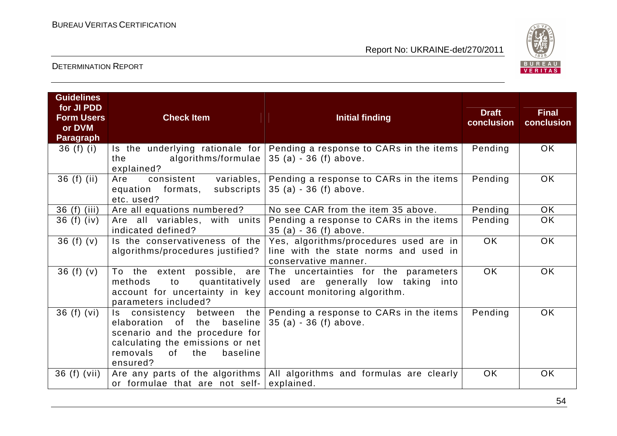

| <b>Guidelines</b><br>for JI PDD<br><b>Form Users</b><br>or DVM<br><b>Paragraph</b> | <b>Check Item</b>                                                                                                                                                           | <b>Initial finding</b>                                                                                      | <b>Draft</b><br>conclusion | <b>Final</b><br>conclusion |
|------------------------------------------------------------------------------------|-----------------------------------------------------------------------------------------------------------------------------------------------------------------------------|-------------------------------------------------------------------------------------------------------------|----------------------------|----------------------------|
| 36 $(f)$ $(i)$                                                                     | algorithms/formulae  <br>the<br>explained?                                                                                                                                  | Is the underlying rationale for Pending a response to CARs in the items<br>$35(a) - 36(f)$ above.           | Pending                    | <b>OK</b>                  |
| $36(f)$ (ii)                                                                       | consistent variables,<br>Are<br>subscripts  <br>equation formats,<br>etc. used?                                                                                             | Pending a response to CARs in the items<br>$35(a) - 36(f)$ above.                                           | Pending                    | <b>OK</b>                  |
| 36 (f) (iii)                                                                       | Are all equations numbered?                                                                                                                                                 | No see CAR from the item 35 above.                                                                          | Pending                    | <b>OK</b>                  |
| 36 $(f)$ $(iv)$                                                                    | Are all variables, with units<br>indicated defined?                                                                                                                         | Pending a response to CARs in the items<br>$35(a) - 36(f)$ above.                                           | Pending                    | <b>OK</b>                  |
| 36(f)(v)                                                                           | Is the conservativeness of the $ $<br>algorithms/procedures justified?                                                                                                      | Yes, algorithms/procedures used are in<br>line with the state norms and used in<br>conservative manner.     | OK.                        | <b>OK</b>                  |
| 36 (f) $(v)$                                                                       | To the extent possible, are<br>quantitatively  <br>methods<br>to<br>account for uncertainty in key<br>parameters included?                                                  | The uncertainties for the parameters<br>used are generally low taking into<br>account monitoring algorithm. | <b>OK</b>                  | <b>OK</b>                  |
| 36(f)(vi)                                                                          | elaboration of the baseline $35$ (a) - 36 (f) above.<br>scenario and the procedure for<br>calculating the emissions or net<br>removals<br>baseline<br>of<br>the<br>ensured? | Is consistency between the $ $ Pending a response to CARs in the items                                      | Pending                    | <b>OK</b>                  |
| 36 (f) (vii)                                                                       | or formulae that are not self-                                                                                                                                              | Are any parts of the algorithms   All algorithms and formulas are clearly<br>explained.                     | <b>OK</b>                  | <b>OK</b>                  |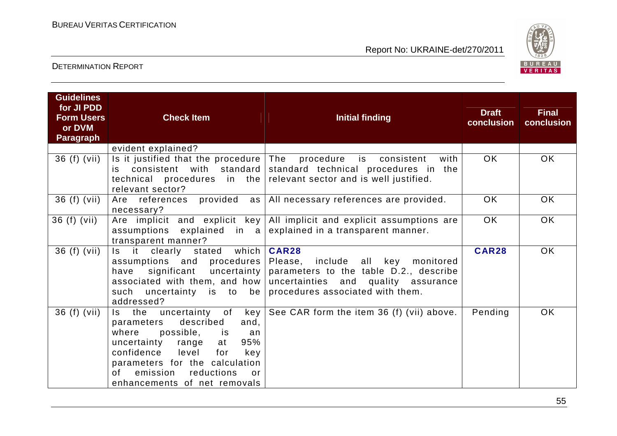

| <b>Guidelines</b><br>for JI PDD<br><b>Form Users</b><br>or DVM<br><b>Paragraph</b> | <b>Check Item</b>                                                                                                                                                                                                                                                     | <b>Initial finding</b>                                                                                                                                                                                                                                               | <b>Draft</b><br>conclusion | <b>Final</b><br>conclusion |
|------------------------------------------------------------------------------------|-----------------------------------------------------------------------------------------------------------------------------------------------------------------------------------------------------------------------------------------------------------------------|----------------------------------------------------------------------------------------------------------------------------------------------------------------------------------------------------------------------------------------------------------------------|----------------------------|----------------------------|
|                                                                                    | evident explained?                                                                                                                                                                                                                                                    |                                                                                                                                                                                                                                                                      |                            |                            |
| 36 (f) (vii)                                                                       | Is it justified that the procedure The<br>relevant sector?                                                                                                                                                                                                            | procedure is consistent<br>with<br>is consistent with standard standard technical procedures in the<br>technical procedures in the relevant sector and is well justified.                                                                                            | <b>OK</b>                  | OK.                        |
| 36 (f) (vii)                                                                       | necessary?                                                                                                                                                                                                                                                            | Are references provided as   All necessary references are provided.                                                                                                                                                                                                  | OK                         | OK                         |
| 36 (f) (vii)                                                                       | assumptions explained in $a$<br>transparent manner?                                                                                                                                                                                                                   | Are implicit and explicit key $\vert$ All implicit and explicit assumptions are<br>explained in a transparent manner.                                                                                                                                                | <b>OK</b>                  | <b>OK</b>                  |
| 36 (f) (vii)                                                                       | stated which   CAR28<br>Is it<br>clearly<br>have<br>addressed?                                                                                                                                                                                                        | assumptions and procedures Please, include all key monitored<br>significant uncertainty parameters to the table $D.2$ ., describe<br>associated with them, and how uncertainties and quality assurance<br>such uncertainty is to be procedures associated with them. | <b>CAR28</b>               | <b>OK</b>                  |
| 36 (f) (vii)                                                                       | Is the uncertainty of<br>described<br>parameters<br>and,<br>where<br>possible, is<br>an<br>95%<br>uncertainty range<br>at<br>confidence<br>level for<br>key<br>parameters for the calculation<br>emission<br>reductions<br>of l<br>or<br>enhancements of net removals | $key$ See CAR form the item 36 (f) (vii) above.                                                                                                                                                                                                                      | Pending                    | OK.                        |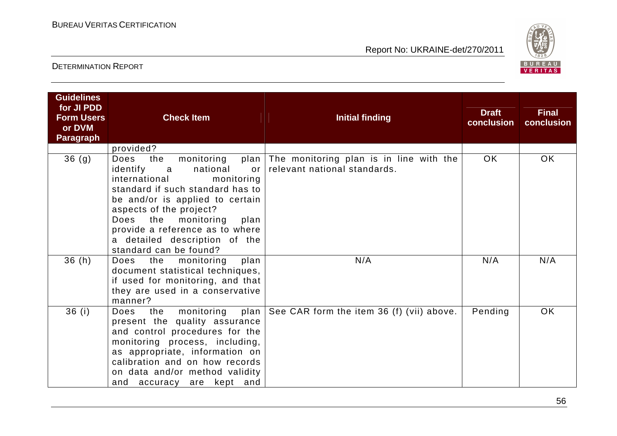

| <b>Guidelines</b><br>for JI PDD<br><b>Form Users</b><br>or DVM | <b>Check Item</b>                                                                                                                                                                                                                                                                                                                           | <b>Initial finding</b>                                                       | <b>Draft</b><br>conclusion | <b>Final</b><br>conclusion |
|----------------------------------------------------------------|---------------------------------------------------------------------------------------------------------------------------------------------------------------------------------------------------------------------------------------------------------------------------------------------------------------------------------------------|------------------------------------------------------------------------------|----------------------------|----------------------------|
| <b>Paragraph</b>                                               |                                                                                                                                                                                                                                                                                                                                             |                                                                              |                            |                            |
|                                                                | provided?                                                                                                                                                                                                                                                                                                                                   |                                                                              |                            |                            |
| 36 <sub>(g)</sub>                                              | the<br>Does<br>monitoring<br>identify<br>national<br>$\alpha$<br><b>or</b><br>international<br>monitoring<br>standard if such standard has to<br>be and/or is applied to certain<br>aspects of the project?<br>Does the<br>monitoring<br>plan<br>provide a reference as to where<br>a detailed description of the<br>standard can be found? | plan The monitoring plan is in line with the<br>relevant national standards. | <b>OK</b>                  | OK.                        |
| 36(h)                                                          | Does the monitoring<br>plan<br>document statistical techniques,<br>if used for monitoring, and that<br>they are used in a conservative<br>manner?                                                                                                                                                                                           | N/A                                                                          | N/A                        | N/A                        |
| 36(i)                                                          | the monitoring<br>Does<br>present the quality assurance<br>and control procedures for the<br>monitoring process, including,<br>as appropriate, information on<br>calibration and on how records<br>on data and/or method validity<br>and accuracy are kept and                                                                              | plan $\vert$ See CAR form the item 36 (f) (vii) above.                       | Pending                    | <b>OK</b>                  |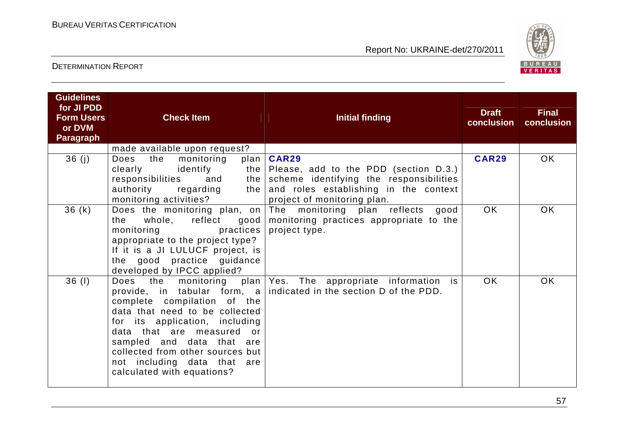

| <b>Guidelines</b><br>for JI PDD<br><b>Form Users</b><br>or DVM<br><b>Paragraph</b> | <b>Check Item</b>                                                                                                                                                                                                                                                                    | Initial finding                                                                                                                                                                      | <b>Draft</b><br>conclusion | <b>Final</b><br>conclusion |
|------------------------------------------------------------------------------------|--------------------------------------------------------------------------------------------------------------------------------------------------------------------------------------------------------------------------------------------------------------------------------------|--------------------------------------------------------------------------------------------------------------------------------------------------------------------------------------|----------------------------|----------------------------|
| 36(j)                                                                              | made available upon request?<br>the<br>Does<br>monitoring<br>plan<br>identify<br>clearly<br>responsibilities<br>and<br>the  <br>authority<br>regarding<br>the  <br>monitoring activities?                                                                                            | <b>CAR29</b><br>the $\vert$ Please, add to the PDD (section D.3.)<br>scheme identifying the responsibilities<br>and roles establishing in the context<br>project of monitoring plan. | <b>CAR29</b>               | OK                         |
| 36(k)                                                                              | whole, reflect good<br>the<br>practices<br>monitoring<br>appropriate to the project type?<br>If it is a JI LULUCF project, is<br>the good practice guidance<br>developed by IPCC applied?                                                                                            | Does the monitoring plan, on The monitoring plan reflects<br>good<br>monitoring practices appropriate to the<br>project type.                                                        | OK.                        | <b>OK</b>                  |
| $36$ (1)                                                                           | the monitoring<br>Does<br>complete compilation of the<br>data that need to be collected<br>for its application, including<br>data that are measured or<br>sampled and data that are<br>collected from other sources but<br>not including data that are<br>calculated with equations? | plan Yes. The appropriate information is<br>provide, in tabular form, a indicated in the section D of the PDD.                                                                       | <b>OK</b>                  | <b>OK</b>                  |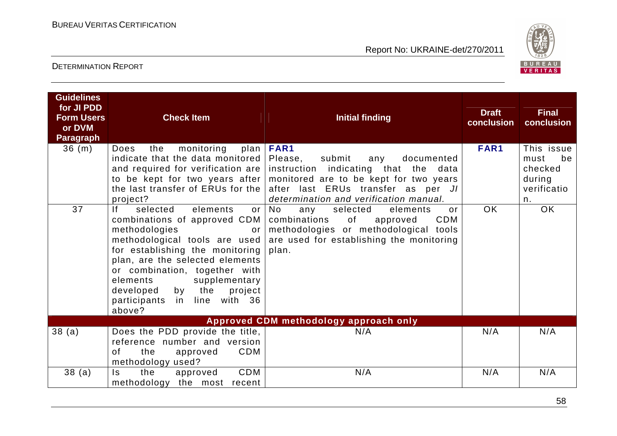

| <b>Guidelines</b><br>for JI PDD<br><b>Form Users</b><br>or DVM<br><b>Paragraph</b> | <b>Check Item</b>                                                                                                                                                                                                                                                                                           | <b>Initial finding</b>                                                                                                                                                                                                                                                                                            | <b>Draft</b><br>conclusion | <b>Final</b><br>conclusion                                         |
|------------------------------------------------------------------------------------|-------------------------------------------------------------------------------------------------------------------------------------------------------------------------------------------------------------------------------------------------------------------------------------------------------------|-------------------------------------------------------------------------------------------------------------------------------------------------------------------------------------------------------------------------------------------------------------------------------------------------------------------|----------------------------|--------------------------------------------------------------------|
| 36(m)                                                                              | monitoring<br>Does<br>the<br>indicate that the data monitored   Please,<br>project?                                                                                                                                                                                                                         | plan   FAR1<br>submit<br>documented<br>any<br>and required for verification are instruction indicating that the data<br>to be kept for two years after   monitored are to be kept for two years<br>the last transfer of ERUs for the after last ERUs transfer as per JI<br>determination and verification manual. | FAR1                       | This issue<br>be<br>must<br>checked<br>during<br>verificatio<br>n. |
| 37                                                                                 | If<br>selected<br>elements<br>combinations of approved CDM  <br>methodologies<br>or<br>for establishing the monitoring<br>plan, are the selected elements<br>or combination, together with<br>supplementary<br>elements<br>the<br>by<br>project l<br>developed<br>participants<br>in line with 36<br>above? | or No<br>selected<br>elements<br>any<br>$\alpha$ r<br>combinations<br>of<br>CDM<br>approved<br>methodologies or methodological tools<br>methodological tools are used are used for establishing the monitoring<br>plan.                                                                                           | <b>OK</b>                  | <b>OK</b>                                                          |
|                                                                                    |                                                                                                                                                                                                                                                                                                             | Approved CDM methodology approach only                                                                                                                                                                                                                                                                            |                            |                                                                    |
| 38(a)                                                                              | Does the PDD provide the title,<br>reference number and version<br>CDM<br>the<br>of<br>approved<br>methodology used?                                                                                                                                                                                        | N/A                                                                                                                                                                                                                                                                                                               | N/A                        | N/A                                                                |
| 38(a)                                                                              | CDM<br>$\mathsf{ls}$<br>the<br>approved<br>methodology the most recent                                                                                                                                                                                                                                      | N/A                                                                                                                                                                                                                                                                                                               | N/A                        | N/A                                                                |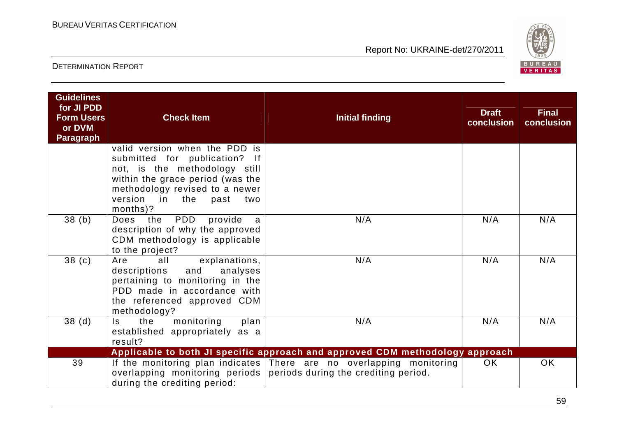

| <b>Guidelines</b><br>for JI PDD<br><b>Form Users</b><br>or DVM<br><b>Paragraph</b> | <b>Check Item</b>                                                                                                                                                                                               | <b>Initial finding</b>                                                                                       | <b>Draft</b><br>conclusion | <b>Final</b><br>conclusion |
|------------------------------------------------------------------------------------|-----------------------------------------------------------------------------------------------------------------------------------------------------------------------------------------------------------------|--------------------------------------------------------------------------------------------------------------|----------------------------|----------------------------|
|                                                                                    | valid version when the PDD is<br>submitted for publication? If<br>not, is the methodology still<br>within the grace period (was the<br>methodology revised to a newer<br>version in the past<br>two<br>months)? |                                                                                                              |                            |                            |
| 38(b)                                                                              | <b>PDD</b><br>provide<br>Does the<br>a<br>description of why the approved<br>CDM methodology is applicable<br>to the project?                                                                                   | N/A                                                                                                          | N/A                        | N/A                        |
| 38 <sub>(c)</sub>                                                                  | explanations,<br>all<br>Are<br>analyses<br>and<br>descriptions<br>pertaining to monitoring in the<br>PDD made in accordance with<br>the referenced approved CDM<br>methodology?                                 | N/A                                                                                                          | N/A                        | N/A                        |
| 38 <sub>(d)</sub>                                                                  | monitoring<br>the<br>plan<br>ls.<br>established appropriately as a<br>result?                                                                                                                                   | N/A                                                                                                          | N/A                        | N/A                        |
|                                                                                    |                                                                                                                                                                                                                 | Applicable to both JI specific approach and approved CDM methodology approach                                |                            |                            |
| 39                                                                                 | overlapping monitoring periods<br>during the crediting period:                                                                                                                                                  | If the monitoring plan indicates There are no overlapping monitoring<br>periods during the crediting period. | <b>OK</b>                  | <b>OK</b>                  |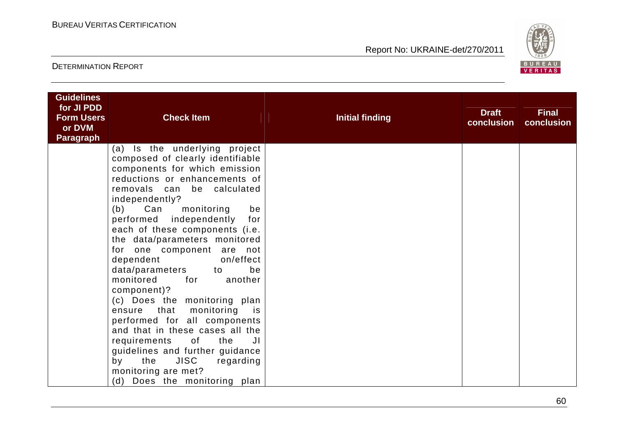

| <b>Guidelines</b><br>for JI PDD |                                                                                                                                        |                        |                            |                            |
|---------------------------------|----------------------------------------------------------------------------------------------------------------------------------------|------------------------|----------------------------|----------------------------|
| <b>Form Users</b>               | <b>Check Item</b>                                                                                                                      | <b>Initial finding</b> | <b>Draft</b><br>conclusion | <b>Final</b><br>conclusion |
| or DVM                          |                                                                                                                                        |                        |                            |                            |
| <b>Paragraph</b>                |                                                                                                                                        |                        |                            |                            |
|                                 | (a) Is the underlying project                                                                                                          |                        |                            |                            |
|                                 | composed of clearly identifiable                                                                                                       |                        |                            |                            |
|                                 | components for which emission                                                                                                          |                        |                            |                            |
|                                 | reductions or enhancements of                                                                                                          |                        |                            |                            |
|                                 | removals can<br>be calculated                                                                                                          |                        |                            |                            |
|                                 | independently?                                                                                                                         |                        |                            |                            |
|                                 | Can<br>monitoring<br>be<br>(b)<br>for                                                                                                  |                        |                            |                            |
|                                 | performed independently                                                                                                                |                        |                            |                            |
|                                 | each of these components (i.e.<br>the data/parameters monitored                                                                        |                        |                            |                            |
|                                 | for one component are not                                                                                                              |                        |                            |                            |
|                                 | dependent<br>on/effect                                                                                                                 |                        |                            |                            |
|                                 | data/parameters to<br>be                                                                                                               |                        |                            |                            |
|                                 | monitored<br>another<br>for the second term of the second second term in the second second term in the second second second second sec |                        |                            |                            |
|                                 | component)?                                                                                                                            |                        |                            |                            |
|                                 | (c) Does the monitoring plan                                                                                                           |                        |                            |                            |
|                                 | ensure that<br>monitoring<br>is is                                                                                                     |                        |                            |                            |
|                                 | performed for all components                                                                                                           |                        |                            |                            |
|                                 | and that in these cases all the                                                                                                        |                        |                            |                            |
|                                 | requirements of the<br>JI                                                                                                              |                        |                            |                            |
|                                 | guidelines and further guidance                                                                                                        |                        |                            |                            |
|                                 | <b>JISC</b><br>the<br>by<br>regarding                                                                                                  |                        |                            |                            |
|                                 | monitoring are met?                                                                                                                    |                        |                            |                            |
|                                 | (d) Does the monitoring plan                                                                                                           |                        |                            |                            |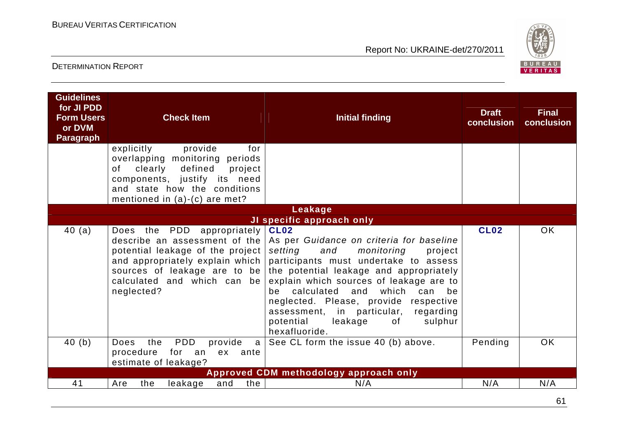

| <b>Guidelines</b><br>for JI PDD<br><b>Form Users</b><br>or DVM<br><b>Paragraph</b> | <b>Check Item</b><br>provide<br>for<br>explicitly                                                                                                                                   | <b>Initial finding</b>                                                                                                                                                                                                                                                                                                                                                                                                                                              | <b>Draft</b><br>conclusion | <b>Final</b><br>conclusion |
|------------------------------------------------------------------------------------|-------------------------------------------------------------------------------------------------------------------------------------------------------------------------------------|---------------------------------------------------------------------------------------------------------------------------------------------------------------------------------------------------------------------------------------------------------------------------------------------------------------------------------------------------------------------------------------------------------------------------------------------------------------------|----------------------------|----------------------------|
|                                                                                    | overlapping monitoring periods<br>clearly<br>defined<br>project<br>of<br>components, justify its need<br>and state how the conditions                                               |                                                                                                                                                                                                                                                                                                                                                                                                                                                                     |                            |                            |
|                                                                                    | mentioned in $(a)-(c)$ are met?                                                                                                                                                     |                                                                                                                                                                                                                                                                                                                                                                                                                                                                     |                            |                            |
|                                                                                    |                                                                                                                                                                                     | Leakage                                                                                                                                                                                                                                                                                                                                                                                                                                                             |                            |                            |
| 40(a)                                                                              | Does the PDD appropriately CL02<br>potential leakage of the project<br>and appropriately explain which<br>sources of leakage are to be<br>calculated and which can be<br>neglected? | JI specific approach only<br>describe an assessment of the As per Guidance on criteria for baseline<br>setting<br>and<br>monitoring<br>project<br>participants must undertake to assess<br>the potential leakage and appropriately<br>explain which sources of leakage are to<br>calculated and which<br>can be<br>be<br>neglected. Please, provide respective<br>assessment, in particular,<br>regarding<br>potential<br>leakage<br>sulphur<br>of<br>hexafluoride. | <b>CL02</b>                | <b>OK</b>                  |
| 40(b)                                                                              | PDD<br>the<br>provide<br><b>Does</b><br>a l<br>procedure<br>for an<br>ex ante<br>estimate of leakage?                                                                               | See CL form the issue 40 (b) above.                                                                                                                                                                                                                                                                                                                                                                                                                                 | Pending                    | <b>OK</b>                  |
|                                                                                    |                                                                                                                                                                                     | Approved CDM methodology approach only                                                                                                                                                                                                                                                                                                                                                                                                                              |                            |                            |
| 41                                                                                 | the  <br>the<br>leakage<br>and<br>Are                                                                                                                                               | N/A                                                                                                                                                                                                                                                                                                                                                                                                                                                                 | N/A                        | N/A                        |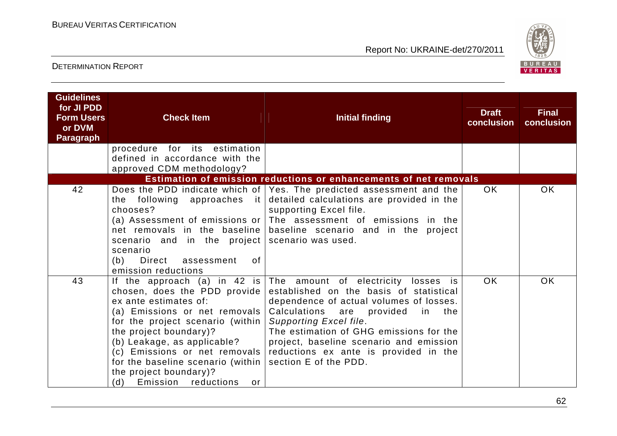

| <b>Guidelines</b><br>for JI PDD<br><b>Form Users</b><br>or DVM<br><b>Paragraph</b> | <b>Check Item</b>                                                                                                                                                                                                                                                                                                                                        | <b>Initial finding</b>                                                                                                                                                                                                                                                                                                                             | <b>Draft</b><br>conclusion | <b>Final</b><br>conclusion |
|------------------------------------------------------------------------------------|----------------------------------------------------------------------------------------------------------------------------------------------------------------------------------------------------------------------------------------------------------------------------------------------------------------------------------------------------------|----------------------------------------------------------------------------------------------------------------------------------------------------------------------------------------------------------------------------------------------------------------------------------------------------------------------------------------------------|----------------------------|----------------------------|
|                                                                                    | procedure for its estimation<br>defined in accordance with the<br>approved CDM methodology?                                                                                                                                                                                                                                                              |                                                                                                                                                                                                                                                                                                                                                    |                            |                            |
|                                                                                    |                                                                                                                                                                                                                                                                                                                                                          | Estimation of emission reductions or enhancements of net removals                                                                                                                                                                                                                                                                                  |                            |                            |
| 42                                                                                 | the following approaches it<br>chooses?<br>net removals in the baseline<br>scenario and in the project scenario was used.<br>scenario<br>Direct assessment<br>(b)<br>0f<br>emission reductions                                                                                                                                                           | Does the PDD indicate which of   Yes. The predicted assessment and the<br>detailed calculations are provided in the<br>supporting Excel file.<br>(a) Assessment of emissions or $ $ The assessment of emissions in the<br>baseline scenario and in the project                                                                                     | OK.                        | <b>OK</b>                  |
| 43                                                                                 | If the approach (a) in 42 is<br>chosen, does the PDD provide<br>ex ante estimates of:<br>(a) Emissions or net removals<br>for the project scenario (within)<br>the project boundary)?<br>(b) Leakage, as applicable?<br>(c) Emissions or net removals<br>for the baseline scenario (within<br>the project boundary)?<br>Emission reductions<br>(d)<br>or | The amount of electricity losses is<br>established on the basis of statistical<br>dependence of actual volumes of losses.<br>Calculations are<br>provided in the<br>Supporting Excel file.<br>The estimation of GHG emissions for the<br>project, baseline scenario and emission<br>reductions ex ante is provided in the<br>section E of the PDD. | <b>OK</b>                  | <b>OK</b>                  |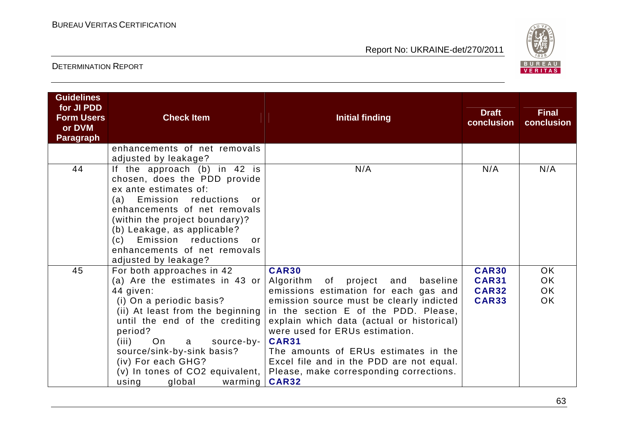

| <b>Guidelines</b><br>for JI PDD<br><b>Form Users</b><br>or DVM<br><b>Paragraph</b> | <b>Check Item</b>                                                                                                                                                                                                                                                                                                                                      | <b>Initial finding</b>                                                                                                                                                                                                                                                                                                                                                                                                                | <b>Draft</b><br>conclusion                                   | <b>Final</b><br>conclusion          |
|------------------------------------------------------------------------------------|--------------------------------------------------------------------------------------------------------------------------------------------------------------------------------------------------------------------------------------------------------------------------------------------------------------------------------------------------------|---------------------------------------------------------------------------------------------------------------------------------------------------------------------------------------------------------------------------------------------------------------------------------------------------------------------------------------------------------------------------------------------------------------------------------------|--------------------------------------------------------------|-------------------------------------|
|                                                                                    | enhancements of net removals<br>adjusted by leakage?                                                                                                                                                                                                                                                                                                   |                                                                                                                                                                                                                                                                                                                                                                                                                                       |                                                              |                                     |
| 44                                                                                 | If the approach $(b)$ in 42 is<br>chosen, does the PDD provide<br>ex ante estimates of:<br>reductions<br>Emission<br>(a)<br>$\alpha$ r<br>enhancements of net removals<br>(within the project boundary)?<br>(b) Leakage, as applicable?<br>(c) Emission reductions<br>or<br>enhancements of net removals<br>adjusted by leakage?                       | N/A                                                                                                                                                                                                                                                                                                                                                                                                                                   | N/A                                                          | N/A                                 |
| 45                                                                                 | For both approaches in 42<br>(a) Are the estimates in 43 or<br>44 given:<br>(i) On a periodic basis?<br>(ii) At least from the beginning<br>until the end of the crediting<br>period?<br>On<br>source-by-<br>(iii)<br>a<br>source/sink-by-sink basis?<br>(iv) For each GHG?<br>$(v)$ In tones of CO2 equivalent, $\vert$<br>using<br>global<br>warming | <b>CAR30</b><br>Algorithm of<br>project<br>and<br>baseline<br>emissions estimation for each gas and<br>emission source must be clearly indicted<br>in the section E of the PDD. Please,<br>explain which data (actual or historical)<br>were used for ERUs estimation.<br><b>CAR31</b><br>The amounts of ERUs estimates in the<br>Excel file and in the PDD are not equal.<br>Please, make corresponding corrections.<br><b>CAR32</b> | <b>CAR30</b><br><b>CAR31</b><br><b>CAR32</b><br><b>CAR33</b> | OK<br>OK.<br><b>OK</b><br><b>OK</b> |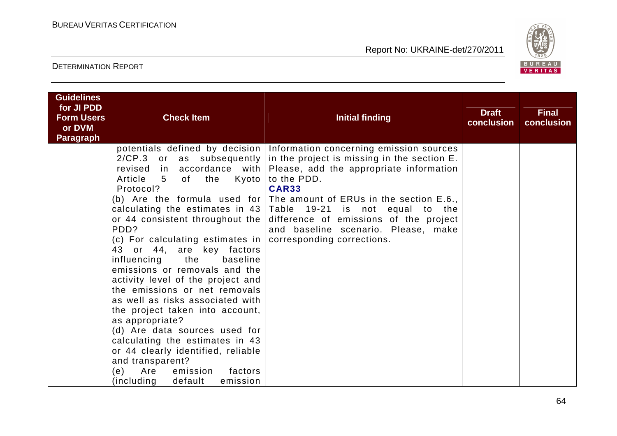

| <b>Guidelines</b>               |                                                                                                                                                                                                                                                                                                                                                                                                                                                                                                                                                                                                                                    |                                                                                                                                                                                                                                                                                                                                                                                                                                                                                                                  |                            |                            |
|---------------------------------|------------------------------------------------------------------------------------------------------------------------------------------------------------------------------------------------------------------------------------------------------------------------------------------------------------------------------------------------------------------------------------------------------------------------------------------------------------------------------------------------------------------------------------------------------------------------------------------------------------------------------------|------------------------------------------------------------------------------------------------------------------------------------------------------------------------------------------------------------------------------------------------------------------------------------------------------------------------------------------------------------------------------------------------------------------------------------------------------------------------------------------------------------------|----------------------------|----------------------------|
| for JI PDD<br><b>Form Users</b> | <b>Check Item</b>                                                                                                                                                                                                                                                                                                                                                                                                                                                                                                                                                                                                                  | <b>Initial finding</b>                                                                                                                                                                                                                                                                                                                                                                                                                                                                                           | <b>Draft</b><br>conclusion | <b>Final</b><br>conclusion |
| or DVM<br><b>Paragraph</b>      |                                                                                                                                                                                                                                                                                                                                                                                                                                                                                                                                                                                                                                    |                                                                                                                                                                                                                                                                                                                                                                                                                                                                                                                  |                            |                            |
|                                 | revised<br>Article<br>$5^{\circ}$<br>of the<br>Kyoto  <br>Protocol?<br>or 44 consistent throughout the $ $<br>PDD?<br>(c) For calculating estimates in $ $<br>43 or 44, are key factors<br>the<br>influencing<br>baseline<br>emissions or removals and the<br>activity level of the project and<br>the emissions or net removals<br>as well as risks associated with<br>the project taken into account,<br>as appropriate?<br>(d) Are data sources used for<br>calculating the estimates in 43<br>or 44 clearly identified, reliable<br>and transparent?<br>Are<br>emission<br>factors<br>(e)<br>(including<br>emission<br>default | potentials defined by decision Information concerning emission sources<br>$2/CP.3$ or as subsequently in the project is missing in the section E.<br>in accordance with $ $ Please, add the appropriate information<br>to the PDD.<br><b>CAR33</b><br>(b) Are the formula used for The amount of ERUs in the section $E.6$ .<br>calculating the estimates in $43$ Table 19-21 is not equal to the<br>difference of emissions of the project<br>and baseline scenario. Please, make<br>corresponding corrections. |                            |                            |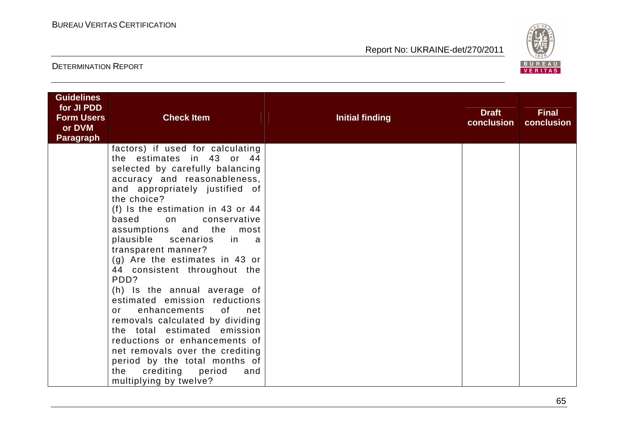

| <b>Guidelines</b><br>for JI PDD<br><b>Form Users</b><br>or DVM<br><b>Paragraph</b> | <b>Check Item</b>                                                                                                                                                                                                                                                                                                                                                                                                                                                                                                                                                                                                                                                                       | <b>Initial finding</b> | <b>Draft</b><br>conclusion | <b>Final</b><br>conclusion |
|------------------------------------------------------------------------------------|-----------------------------------------------------------------------------------------------------------------------------------------------------------------------------------------------------------------------------------------------------------------------------------------------------------------------------------------------------------------------------------------------------------------------------------------------------------------------------------------------------------------------------------------------------------------------------------------------------------------------------------------------------------------------------------------|------------------------|----------------------------|----------------------------|
|                                                                                    | factors) if used for calculating<br>the estimates in 43 or 44<br>selected by carefully balancing<br>accuracy and reasonableness,<br>and appropriately justified of<br>the choice?<br>(f) Is the estimation in 43 or 44<br>based on<br>conservative<br>assumptions and the most<br>plausible scenarios<br>in a<br>transparent manner?<br>(g) Are the estimates in 43 or<br>44 consistent throughout the<br>PDD?<br>(h) Is the annual average of<br>estimated emission reductions<br>enhancements of<br>net<br>or<br>removals calculated by dividing<br>the total estimated emission<br>reductions or enhancements of<br>net removals over the crediting<br>period by the total months of |                        |                            |                            |
|                                                                                    | the crediting period<br>and<br>multiplying by twelve?                                                                                                                                                                                                                                                                                                                                                                                                                                                                                                                                                                                                                                   |                        |                            |                            |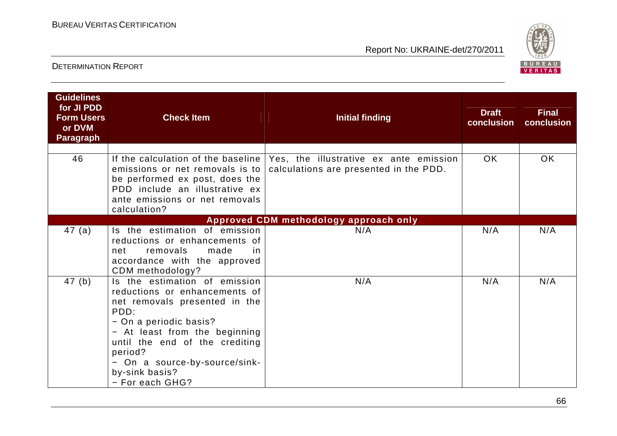

| <b>Guidelines</b><br>for JI PDD<br><b>Form Users</b><br>or DVM<br><b>Paragraph</b> | <b>Check Item</b>                                                                                                                                                                                                                                                                     | <b>Initial finding</b>                                                           | <b>Draft</b><br>conclusion | <b>Final</b><br>conclusion |
|------------------------------------------------------------------------------------|---------------------------------------------------------------------------------------------------------------------------------------------------------------------------------------------------------------------------------------------------------------------------------------|----------------------------------------------------------------------------------|----------------------------|----------------------------|
| 46                                                                                 | If the calculation of the baseline<br>emissions or net removals is to<br>be performed ex post, does the<br>PDD include an illustrative ex<br>ante emissions or net removals<br>calculation?                                                                                           | Yes, the illustrative ex ante emission<br>calculations are presented in the PDD. | OK.                        | OK.                        |
|                                                                                    |                                                                                                                                                                                                                                                                                       | Approved CDM methodology approach only                                           |                            |                            |
| 47(a)                                                                              | Is the estimation of emission<br>reductions or enhancements of<br>removals<br>made<br>net<br>in.<br>accordance with the approved<br>CDM methodology?                                                                                                                                  | N/A                                                                              | N/A                        | N/A                        |
| 47(b)                                                                              | Is the estimation of emission<br>reductions or enhancements of<br>net removals presented in the<br>PDD:<br>- On a periodic basis?<br>- At least from the beginning<br>until the end of the crediting<br>period?<br>- On a source-by-source/sink-<br>by-sink basis?<br>- For each GHG? | N/A                                                                              | N/A                        | N/A                        |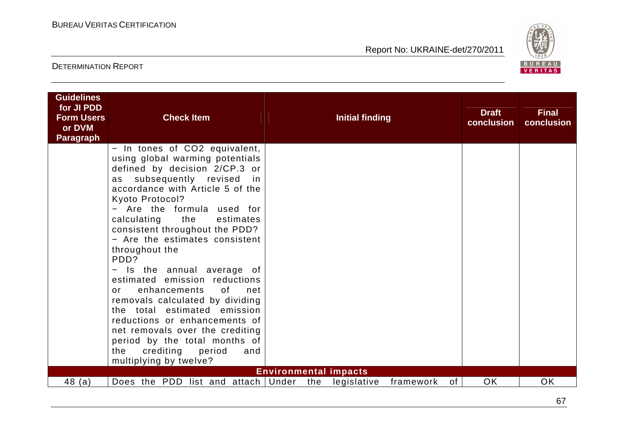

| - In tones of CO2 equivalent,<br>using global warming potentials<br>defined by decision 2/CP.3 or<br>as subsequently revised in<br>accordance with Article 5 of the<br>Kyoto Protocol?<br>- Are the formula used for<br>the<br>calculating<br>estimates<br>consistent throughout the PDD?<br>- Are the estimates consistent<br>throughout the<br>PDD?<br>Is the annual average of<br>$\qquad \qquad -$<br>estimated emission reductions<br>enhancements<br>of<br>net<br>or<br>removals calculated by dividing<br>the total estimated emission<br>reductions or enhancements of<br>net removals over the crediting<br>period by the total months of<br>crediting period<br>the<br>and<br>multiplying by twelve?<br><b>Environmental impacts</b><br>Does the PDD list and attach Under<br>OK<br>OK<br>48(a)<br>the<br>legislative<br>of<br>framework | <b>Guidelines</b><br>for JI PDD<br><b>Form Users</b><br>or DVM<br><b>Paragraph</b> | <b>Check Item</b> |  | Initial finding |  | <b>Draft</b><br>conclusion | <b>Final</b><br>conclusion |
|----------------------------------------------------------------------------------------------------------------------------------------------------------------------------------------------------------------------------------------------------------------------------------------------------------------------------------------------------------------------------------------------------------------------------------------------------------------------------------------------------------------------------------------------------------------------------------------------------------------------------------------------------------------------------------------------------------------------------------------------------------------------------------------------------------------------------------------------------|------------------------------------------------------------------------------------|-------------------|--|-----------------|--|----------------------------|----------------------------|
|                                                                                                                                                                                                                                                                                                                                                                                                                                                                                                                                                                                                                                                                                                                                                                                                                                                    |                                                                                    |                   |  |                 |  |                            |                            |
|                                                                                                                                                                                                                                                                                                                                                                                                                                                                                                                                                                                                                                                                                                                                                                                                                                                    |                                                                                    |                   |  |                 |  |                            |                            |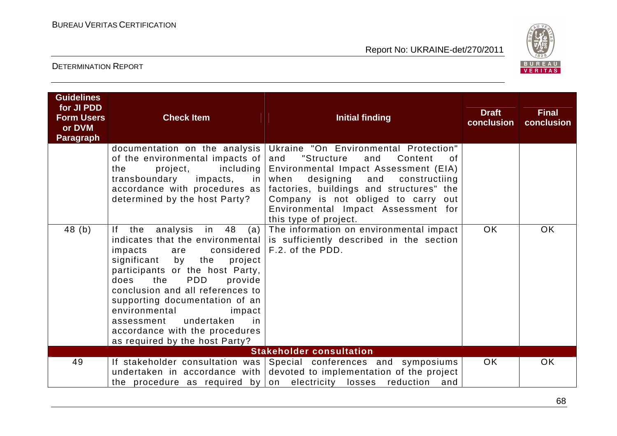

| <b>Guidelines</b><br>for JI PDD<br><b>Form Users</b><br>or DVM<br><b>Paragraph</b> | <b>Check Item</b>                                                                                                                                                                                                                                                                                                                                                                     | <b>Initial finding</b>                                                                                                                                                                                                                                                                                                      | <b>Draft</b><br>conclusion | <b>Final</b><br>conclusion |
|------------------------------------------------------------------------------------|---------------------------------------------------------------------------------------------------------------------------------------------------------------------------------------------------------------------------------------------------------------------------------------------------------------------------------------------------------------------------------------|-----------------------------------------------------------------------------------------------------------------------------------------------------------------------------------------------------------------------------------------------------------------------------------------------------------------------------|----------------------------|----------------------------|
|                                                                                    | documentation on the analysis<br>of the environmental impacts of<br>including<br>project,<br>the<br>transboundary<br>impacts,<br>in I<br>accordance with procedures as $ $<br>determined by the host Party?                                                                                                                                                                           | Ukraine "On Environmental Protection"<br>"Structure<br>and<br>Content<br>and<br>0f<br>Environmental Impact Assessment (EIA)<br>designing<br>when<br>and<br>constructiing<br>factories, buildings and structures" the<br>Company is not obliged to carry out<br>Environmental Impact Assessment for<br>this type of project. |                            |                            |
| 48(b)                                                                              | in 48<br>$ f -$<br>the<br>analysis<br>(a)<br>impacts<br>are<br>the<br>significant<br>by<br>project<br>participants or the host Party,<br><b>PDD</b><br>does<br>the<br>provide<br>conclusion and all references to<br>supporting documentation of an<br>environmental<br>impact<br>undertaken<br>assessment<br>-in<br>accordance with the procedures<br>as required by the host Party? | The information on environmental impact<br>indicates that the environmental is sufficiently described in the section<br>considered $ F.2.$ of the PDD.                                                                                                                                                                      | OK.                        | OK.                        |
|                                                                                    |                                                                                                                                                                                                                                                                                                                                                                                       | <b>Stakeholder consultation</b>                                                                                                                                                                                                                                                                                             |                            |                            |
| 49                                                                                 |                                                                                                                                                                                                                                                                                                                                                                                       | If stakeholder consultation was Special conferences and symposiums<br>undertaken in accordance with devoted to implementation of the project<br>and<br>the procedure as required by on electricity losses reduction                                                                                                         | <b>OK</b>                  | <b>OK</b>                  |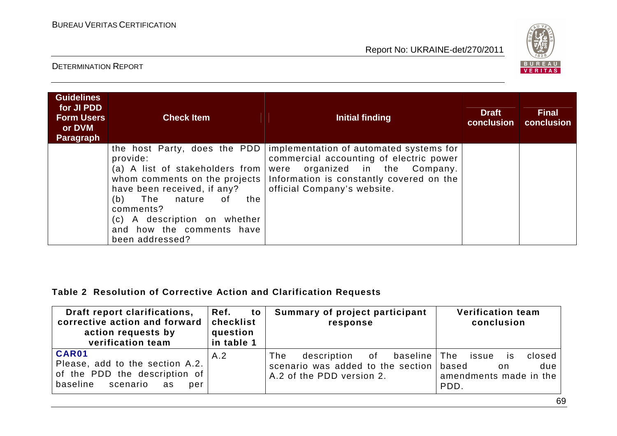

#### DETERMINATION REPORT

| <b>Guidelines</b><br>for JI PDD<br><b>Form Users</b><br>or DVM<br><b>Paragraph</b> | <b>Check Item</b>                                                                                                                                                                                                                            | Initial finding                                                                                                                                                                                                                    | <b>Draft</b><br>conclusion | <b>Final</b><br>conclusion |
|------------------------------------------------------------------------------------|----------------------------------------------------------------------------------------------------------------------------------------------------------------------------------------------------------------------------------------------|------------------------------------------------------------------------------------------------------------------------------------------------------------------------------------------------------------------------------------|----------------------------|----------------------------|
|                                                                                    | the host Party, does the PDD<br>provide:<br>(a) A list of stakeholders from<br>have been received, if any?<br>The<br>(b)<br>nature<br>the<br>0f<br>comments?<br>(c) A description on whether<br>and how the comments have<br>been addressed? | implementation of automated systems for<br>commercial accounting of electric power<br>organized in the Company.<br>were<br>whom comments on the projects   Information is constantly covered on the<br>official Company's website. |                            |                            |

#### **Table 2 Resolution of Corrective Action and Clarification Requests**

| Draft report clarifications,<br>corrective action and forward<br>action requests by<br>verification team       | Ref.<br>to<br>checklist<br>question<br>in table 1 | Summary of project participant<br>response                                                                        | <b>Verification team</b><br>conclusion                                 |
|----------------------------------------------------------------------------------------------------------------|---------------------------------------------------|-------------------------------------------------------------------------------------------------------------------|------------------------------------------------------------------------|
| CAR01<br>Please, add to the section A.2.<br>of the PDD the description of<br>baseline<br>scenario<br>as<br>per | A.2                                               | baseline   The<br>description of<br>The<br>scenario was added to the section   based<br>A.2 of the PDD version 2. | closed<br>issue<br>IS.<br>due<br>on.<br>amendments made in the<br>PDD. |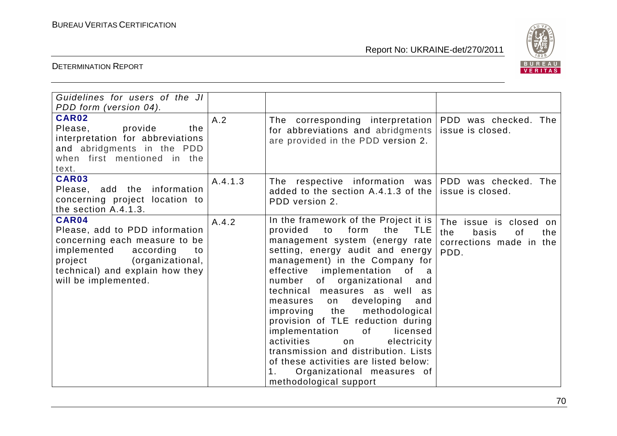

| Guidelines for users of the JI<br>PDD form (version 04).                                                                                                                                             |         |                                                                                                                                                                                                                                                                                                                                                                                                                                                                                                                                                                                                                                                          |                                                                                        |
|------------------------------------------------------------------------------------------------------------------------------------------------------------------------------------------------------|---------|----------------------------------------------------------------------------------------------------------------------------------------------------------------------------------------------------------------------------------------------------------------------------------------------------------------------------------------------------------------------------------------------------------------------------------------------------------------------------------------------------------------------------------------------------------------------------------------------------------------------------------------------------------|----------------------------------------------------------------------------------------|
| CAR02<br>Please,<br>provide<br>the<br>interpretation for abbreviations<br>and abridgments in the PDD<br>when first mentioned in the<br>text.                                                         | A.2     | The corresponding interpretation<br>for abbreviations and abridgments<br>are provided in the PDD version 2.                                                                                                                                                                                                                                                                                                                                                                                                                                                                                                                                              | PDD was checked. The<br>issue is closed.                                               |
| <b>CAR03</b><br>information<br>Please, add the<br>concerning project location to<br>the section A.4.1.3.                                                                                             | A.4.1.3 | The respective information was PDD was checked. The<br>added to the section A.4.1.3 of the<br>PDD version 2.                                                                                                                                                                                                                                                                                                                                                                                                                                                                                                                                             | issue is closed.                                                                       |
| CAR04<br>Please, add to PDD information<br>concerning each measure to be<br>implemented<br>according<br>to<br>(organizational,<br>project<br>technical) and explain how they<br>will be implemented. | A.4.2   | In the framework of the Project it is<br>form<br>the<br><b>TLE</b><br>provided<br>to<br>management system (energy rate<br>setting, energy audit and energy<br>management) in the Company for<br>effective implementation<br>of a<br>of organizational<br>number<br>and<br>technical measures as well as<br>developing<br>and<br>measures<br>on<br>the<br>methodological<br>improving<br>provision of TLE reduction during<br>implementation<br>licensed<br>of<br>activities<br>electricity<br>on<br>transmission and distribution. Lists<br>of these activities are listed below:<br>Organizational measures of<br>$1_{\cdot}$<br>methodological support | The issue is closed on<br>the<br>basis<br>of<br>the<br>corrections made in the<br>PDD. |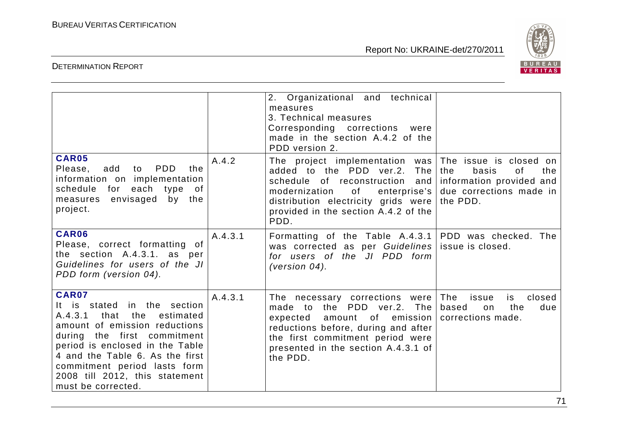

|                                                                                                                                                                                                                                                                                                                  |         | 2. Organizational and technical<br>measures<br>3. Technical measures<br>Corresponding corrections<br>were<br>made in the section A.4.2 of the<br>PDD version 2.                                                                                              |                                                                                                                        |
|------------------------------------------------------------------------------------------------------------------------------------------------------------------------------------------------------------------------------------------------------------------------------------------------------------------|---------|--------------------------------------------------------------------------------------------------------------------------------------------------------------------------------------------------------------------------------------------------------------|------------------------------------------------------------------------------------------------------------------------|
| <b>CAR05</b><br>PDD<br>Please,<br>add<br>to<br>the<br>information on implementation<br>schedule<br>for each type of<br>envisaged by the<br>measures<br>project.                                                                                                                                                  | A.4.2   | The project implementation was<br>added to the PDD ver.2.<br>The<br>schedule of reconstruction and<br>modernization<br>of the control of the control.<br>enterprise's<br>distribution electricity grids were<br>provided in the section A.4.2 of the<br>PDD. | The issue is closed on<br>the<br>basis<br>οf<br>the<br>information provided and<br>due corrections made in<br>the PDD. |
| <b>CAR06</b><br>Please, correct formatting of<br>the section A.4.3.1. as per<br>Guidelines for users of the JI<br>PDD form (version 04).                                                                                                                                                                         | A.4.3.1 | Formatting of the Table A.4.3.1<br>was corrected as per Guidelines<br>for users of the JI PDD form<br>(version $04$ ).                                                                                                                                       | PDD was checked. The<br>issue is closed.                                                                               |
| <b>CAR07</b><br>It is stated in the section<br>that<br>the<br>A.4.3.1<br>estimated<br>amount of emission reductions<br>during the first commitment<br>period is enclosed in the Table<br>4 and the Table 6. As the first<br>commitment period lasts form<br>2008 till 2012, this statement<br>must be corrected. | A.4.3.1 | The necessary corrections were<br>made to the PDD ver.2. The<br>amount of emission<br>expected<br>reductions before, during and after<br>the first commitment period were<br>presented in the section A.4.3.1 of<br>the PDD.                                 | The<br>closed<br>issue<br>is<br>based<br>the<br>on<br>due<br>corrections made.                                         |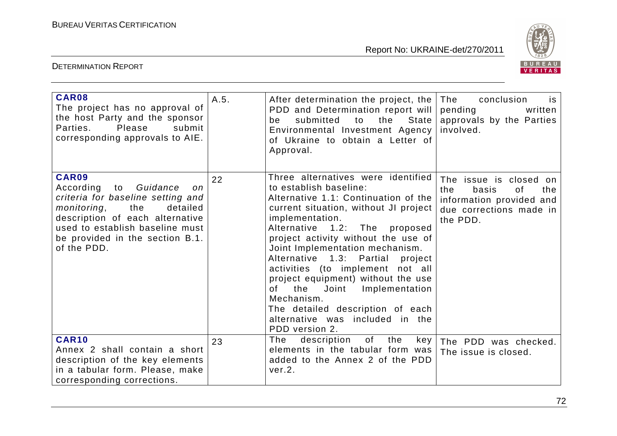

| CAR08<br>The project has no approval of<br>the host Party and the sponsor<br>Parties.<br>Please<br>submit<br>corresponding approvals to AIE.                                                                                           | A.5. | After determination the project, the<br>PDD and Determination report will<br>the<br>State<br>submitted<br>to<br>be<br>Environmental Investment Agency<br>of Ukraine to obtain a Letter of<br>Approval.                                                                                                                                                                                                                                                                                                                                      | The<br>conclusion<br>is<br>pending<br>written<br>approvals by the Parties<br>involved.                                 |
|----------------------------------------------------------------------------------------------------------------------------------------------------------------------------------------------------------------------------------------|------|---------------------------------------------------------------------------------------------------------------------------------------------------------------------------------------------------------------------------------------------------------------------------------------------------------------------------------------------------------------------------------------------------------------------------------------------------------------------------------------------------------------------------------------------|------------------------------------------------------------------------------------------------------------------------|
| CAR09<br>Guidance<br>According to<br>on<br>criteria for baseline setting and<br>monitoring,<br>the<br>detailed<br>description of each alternative<br>used to establish baseline must<br>be provided in the section B.1.<br>of the PDD. | 22   | Three alternatives were identified<br>to establish baseline:<br>Alternative 1.1: Continuation of the<br>current situation, without JI project<br>implementation.<br>Alternative 1.2: The proposed<br>project activity without the use of<br>Joint Implementation mechanism.<br>Alternative 1.3: Partial<br>project<br>activities (to implement not all<br>project equipment) without the use<br>the<br>Joint<br>Implementation<br>0f<br>Mechanism.<br>The detailed description of each<br>alternative was included in the<br>PDD version 2. | The issue is closed on<br>the<br>basis<br>0f<br>the<br>information provided and<br>due corrections made in<br>the PDD. |
| <b>CAR10</b><br>Annex 2 shall contain a short<br>description of the key elements<br>in a tabular form. Please, make<br>corresponding corrections.                                                                                      | 23   | of<br>The<br>description<br>the<br>key<br>elements in the tabular form was<br>added to the Annex 2 of the PDD<br>ver.2.                                                                                                                                                                                                                                                                                                                                                                                                                     | The PDD was checked.<br>The issue is closed.                                                                           |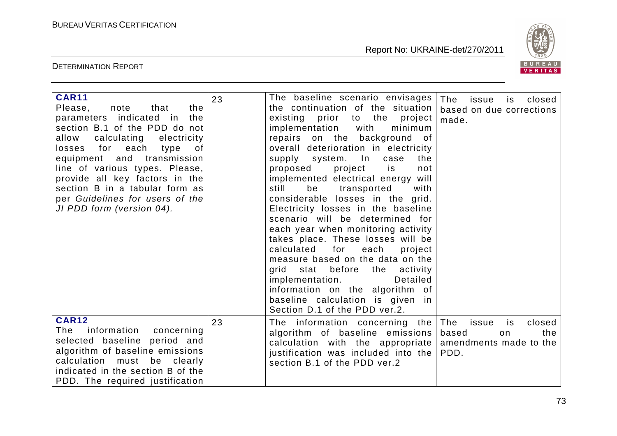

| <b>CAR11</b><br>Please,<br>note<br>that<br>the<br>parameters indicated in<br>the<br>section B.1 of the PDD do not<br>calculating<br>allow<br>electricity<br>losses for each<br>of<br>type<br>equipment and transmission<br>line of various types. Please,<br>provide all key factors in the<br>section B in a tabular form as<br>per Guidelines for users of the<br>JI PDD form (version 04). | 23 | The baseline scenario envisages<br>the continuation of the situation<br>existing prior<br>to the project<br>implementation<br>with<br>minimum<br>repairs on the background<br>of .<br>overall deterioration in electricity<br>supply system. In<br>case<br>the<br>is<br>proposed<br>project<br>not<br>implemented electrical energy will<br>still<br>be<br>transported<br>with<br>considerable losses in the grid.<br>Electricity losses in the baseline<br>scenario will be determined for<br>each year when monitoring activity<br>takes place. These losses will be<br>calculated<br>for<br>each<br>project<br>measure based on the data on the<br>grid stat before the activity<br>implementation.<br>Detailed<br>information on the algorithm of<br>baseline calculation is given in<br>Section D.1 of the PDD ver.2. | The<br>closed<br>issue<br>is<br>based on due corrections<br>made.                     |
|-----------------------------------------------------------------------------------------------------------------------------------------------------------------------------------------------------------------------------------------------------------------------------------------------------------------------------------------------------------------------------------------------|----|----------------------------------------------------------------------------------------------------------------------------------------------------------------------------------------------------------------------------------------------------------------------------------------------------------------------------------------------------------------------------------------------------------------------------------------------------------------------------------------------------------------------------------------------------------------------------------------------------------------------------------------------------------------------------------------------------------------------------------------------------------------------------------------------------------------------------|---------------------------------------------------------------------------------------|
| <b>CAR12</b><br>information<br>concerning<br>The<br>selected baseline period and<br>algorithm of baseline emissions<br>calculation<br>must be clearly<br>indicated in the section B of the<br>PDD. The required justification                                                                                                                                                                 | 23 | The information concerning the<br>algorithm of baseline emissions<br>calculation with the appropriate<br>justification was included into the<br>section B.1 of the PDD ver.2                                                                                                                                                                                                                                                                                                                                                                                                                                                                                                                                                                                                                                               | The<br>closed<br>issue<br>is<br>based<br>the<br>on.<br>amendments made to the<br>PDD. |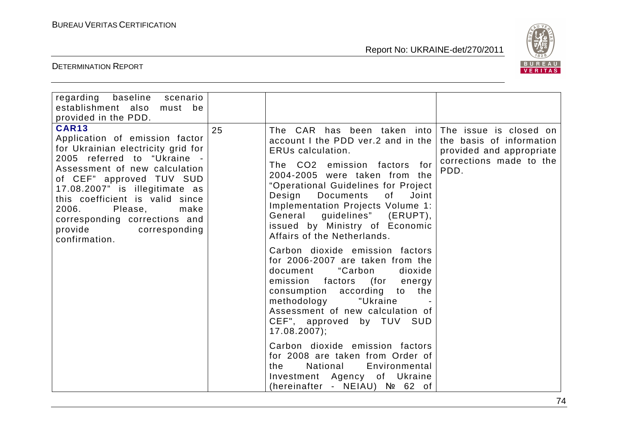

| regarding baseline scenario<br>establishment also<br>must be<br>provided in the PDD.                                                                                                                                                                                                                                                                            |    |                                                                                                                                                                                                                                                                                                                                                                                                                                                                                                                                                                                                                                                                                                                                                                                                                                                                             |                                                                                         |
|-----------------------------------------------------------------------------------------------------------------------------------------------------------------------------------------------------------------------------------------------------------------------------------------------------------------------------------------------------------------|----|-----------------------------------------------------------------------------------------------------------------------------------------------------------------------------------------------------------------------------------------------------------------------------------------------------------------------------------------------------------------------------------------------------------------------------------------------------------------------------------------------------------------------------------------------------------------------------------------------------------------------------------------------------------------------------------------------------------------------------------------------------------------------------------------------------------------------------------------------------------------------------|-----------------------------------------------------------------------------------------|
| <b>CAR13</b><br>Application of emission factor<br>for Ukrainian electricity grid for<br>2005 referred to "Ukraine -<br>Assessment of new calculation<br>of CEF" approved TUV SUD<br>17.08.2007" is illegitimate as<br>this coefficient is valid since<br>2006.<br>Please,<br>make<br>corresponding corrections and<br>provide<br>corresponding<br>confirmation. | 25 | The CAR has been taken into The issue is closed on<br>account I the PDD ver.2 and in the<br>ERUs calculation.<br>The CO2 emission factors for<br>2004-2005 were taken from the<br>"Operational Guidelines for Project<br>Design<br>Joint<br><b>Documents</b><br>of<br>Implementation Projects Volume 1:<br>General guidelines" (ERUPT),<br>issued by Ministry of Economic<br>Affairs of the Netherlands.<br>Carbon dioxide emission factors<br>for 2006-2007 are taken from the<br>"Carbon<br>document<br>dioxide<br>emission factors (for energy<br>consumption according to the<br>methodology<br>"Ukraine<br>Assessment of new calculation of<br>CEF", approved by TUV SUD<br>$17.08.2007$ ;<br>Carbon dioxide emission factors<br>for 2008 are taken from Order of<br>National<br>Environmental<br>the<br>Investment Agency of Ukraine<br>(hereinafter - NEIAU) № 62 of | the basis of information<br>provided and appropriate<br>corrections made to the<br>PDD. |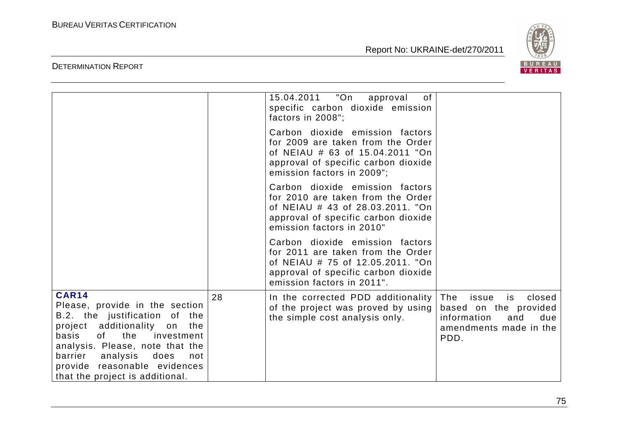

|                                                                                                                                                                                                                                                                                                                                                                                                                    |    | "On<br>15.04.2011<br>0f<br>approval<br>specific carbon dioxide emission<br>factors in 2008";                                                                                  |                                                                                                                      |
|--------------------------------------------------------------------------------------------------------------------------------------------------------------------------------------------------------------------------------------------------------------------------------------------------------------------------------------------------------------------------------------------------------------------|----|-------------------------------------------------------------------------------------------------------------------------------------------------------------------------------|----------------------------------------------------------------------------------------------------------------------|
|                                                                                                                                                                                                                                                                                                                                                                                                                    |    | Carbon dioxide emission factors<br>for 2009 are taken from the Order<br>of NEIAU # 63 of 15.04.2011 "On<br>approval of specific carbon dioxide<br>emission factors in 2009";  |                                                                                                                      |
|                                                                                                                                                                                                                                                                                                                                                                                                                    |    | Carbon dioxide emission factors<br>for 2010 are taken from the Order<br>of NEIAU # 43 of 28.03.2011. "On<br>approval of specific carbon dioxide<br>emission factors in 2010"  |                                                                                                                      |
|                                                                                                                                                                                                                                                                                                                                                                                                                    |    | Carbon dioxide emission factors<br>for 2011 are taken from the Order<br>of NEIAU # 75 of 12.05.2011. "On<br>approval of specific carbon dioxide<br>emission factors in 2011". |                                                                                                                      |
| <b>CAR14</b><br>Please, provide in the section<br>B.2. the justification of the<br>project additionality<br>the<br>on<br>the<br>basis<br>of the contract of the contract of the contract of the contract of the contract of the contract of the contract<br>investment<br>analysis. Please, note that the<br>analysis<br>does<br>barrier<br>not<br>provide reasonable evidences<br>that the project is additional. | 28 | In the corrected PDD additionality<br>of the project was proved by using<br>the simple cost analysis only.                                                                    | The<br>issue<br>closed<br>is<br>based on the provided<br>information<br>and<br>due<br>amendments made in the<br>PDD. |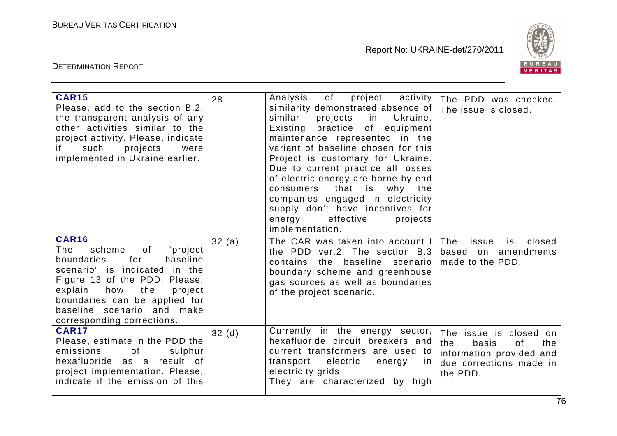

| <b>CAR15</b><br>Please, add to the section B.2.<br>the transparent analysis of any<br>other activities similar to the<br>project activity. Please, indicate<br>if.<br>such<br>projects<br>were<br>implemented in Ukraine earlier.                                                    | 28    | Analysis<br>of<br>project<br>activity<br>similarity demonstrated absence of<br>similar<br>projects<br>in<br>Ukraine.<br>Existing practice of equipment<br>maintenance represented in the<br>variant of baseline chosen for this<br>Project is customary for Ukraine.<br>Due to current practice all losses<br>of electric energy are borne by end<br>consumers; that is<br>why the<br>companies engaged in electricity<br>supply don't have incentives for<br>energy<br>effective<br>projects<br>implementation. | The PDD was checked.<br>The issue is closed.                                                                           |
|--------------------------------------------------------------------------------------------------------------------------------------------------------------------------------------------------------------------------------------------------------------------------------------|-------|------------------------------------------------------------------------------------------------------------------------------------------------------------------------------------------------------------------------------------------------------------------------------------------------------------------------------------------------------------------------------------------------------------------------------------------------------------------------------------------------------------------|------------------------------------------------------------------------------------------------------------------------|
| <b>CAR16</b><br>"project"<br>scheme<br>0f<br>The<br>for<br>baseline<br>boundaries<br>scenario" is indicated in the<br>Figure 13 of the PDD. Please,<br>explain<br>the<br>project<br>how<br>boundaries can be applied for<br>baseline scenario and make<br>corresponding corrections. | 32(a) | The CAR was taken into account I<br>the PDD ver.2. The section B.3<br>contains the baseline scenario<br>boundary scheme and greenhouse<br>gas sources as well as boundaries<br>of the project scenario.                                                                                                                                                                                                                                                                                                          | The<br>issue<br>closed<br>is<br>based on amendments<br>made to the PDD.                                                |
| <b>CAR17</b><br>Please, estimate in the PDD the<br>of<br>emissions<br>sulphur<br>hexafluoride as a result of<br>project implementation. Please,<br>indicate if the emission of this                                                                                                  | 32(d) | Currently in the energy sector,<br>hexafluoride circuit breakers and<br>current transformers are used to<br>transport electric<br>energy<br><u>in</u><br>electricity grids.<br>They are characterized by high                                                                                                                                                                                                                                                                                                    | The issue is closed on<br>the<br>basis<br>0f<br>the<br>information provided and<br>due corrections made in<br>the PDD. |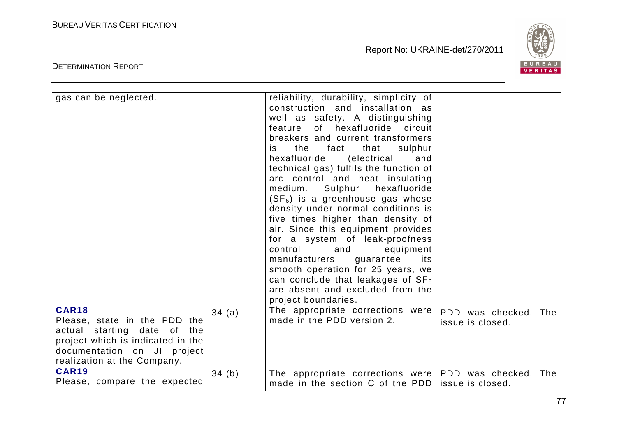

| gas can be neglected.                                                                                                                                                          |       | reliability, durability, simplicity of<br>construction and installation as<br>well as safety. A distinguishing<br>of hexafluoride circuit<br>feature<br>breakers and current transformers<br>the<br>fact<br>that<br>sulphur<br>is.<br>hexafluoride<br>(electrical<br>and<br>technical gas) fulfils the function of<br>arc control and heat insulating<br>hexafluoride<br>medium.<br>Sulphur<br>$(SF_6)$ is a greenhouse gas whose<br>density under normal conditions is<br>five times higher than density of<br>air. Since this equipment provides<br>for a system of leak-proofness<br>control<br>and<br>equipment<br>manufacturers<br>guarantee<br>its<br>smooth operation for 25 years, we<br>can conclude that leakages of $SF_6$<br>are absent and excluded from the<br>project boundaries. |                                          |
|--------------------------------------------------------------------------------------------------------------------------------------------------------------------------------|-------|--------------------------------------------------------------------------------------------------------------------------------------------------------------------------------------------------------------------------------------------------------------------------------------------------------------------------------------------------------------------------------------------------------------------------------------------------------------------------------------------------------------------------------------------------------------------------------------------------------------------------------------------------------------------------------------------------------------------------------------------------------------------------------------------------|------------------------------------------|
| <b>CAR18</b><br>Please, state in the PDD the<br>actual starting date of the<br>project which is indicated in the<br>documentation on JI project<br>realization at the Company. | 34(a) | The appropriate corrections were<br>made in the PDD version 2.                                                                                                                                                                                                                                                                                                                                                                                                                                                                                                                                                                                                                                                                                                                                   | PDD was checked. The<br>issue is closed. |
| <b>CAR19</b><br>Please, compare the expected                                                                                                                                   | 34(b) | The appropriate corrections were PDD was checked. The<br>made in the section C of the PDD                                                                                                                                                                                                                                                                                                                                                                                                                                                                                                                                                                                                                                                                                                        | issue is closed.                         |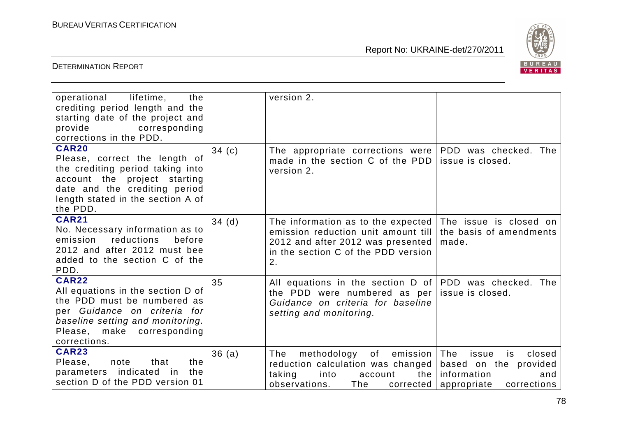

| operational<br>lifetime,<br>the<br>crediting period length and the<br>starting date of the project and<br>provide<br>corresponding<br>corrections in the PDD.                                       |          | version 2.                                                                                                                                                  |                                                                                                            |
|-----------------------------------------------------------------------------------------------------------------------------------------------------------------------------------------------------|----------|-------------------------------------------------------------------------------------------------------------------------------------------------------------|------------------------------------------------------------------------------------------------------------|
| <b>CAR20</b><br>Please, correct the length of<br>the crediting period taking into<br>account the project starting<br>date and the crediting period<br>length stated in the section A of<br>the PDD. | 34 $(c)$ | The appropriate corrections were   PDD was checked. The<br>made in the section C of the PDD<br>version 2.                                                   | issue is closed.                                                                                           |
| <b>CAR21</b><br>No. Necessary information as to<br>reductions<br>emission<br>before<br>2012 and after 2012 must bee<br>added to the section C of the<br>PDD.                                        | 34(d)    | The information as to the expected<br>emission reduction unit amount till<br>2012 and after 2012 was presented<br>in the section C of the PDD version<br>2. | The issue is closed on<br>the basis of amendments<br>made.                                                 |
| <b>CAR22</b><br>All equations in the section D of<br>the PDD must be numbered as<br>per Guidance on criteria for<br>baseline setting and monitoring.<br>Please, make corresponding<br>corrections.  | 35       | All equations in the section D of PDD was checked. The<br>the PDD were numbered as per<br>Guidance on criteria for baseline<br>setting and monitoring.      | issue is closed.                                                                                           |
| <b>CAR23</b><br>Please,<br>note<br>that<br>the<br>parameters indicated<br>the<br>in.<br>section D of the PDD version 01                                                                             | 36(a)    | of<br>emission  <br>methodology<br>The<br>reduction calculation was changed<br>taking<br>the I<br>into<br>account<br>observations.<br>The<br>corrected      | The<br>issue<br>closed<br>is.<br>based on the provided<br>information<br>and<br>appropriate<br>corrections |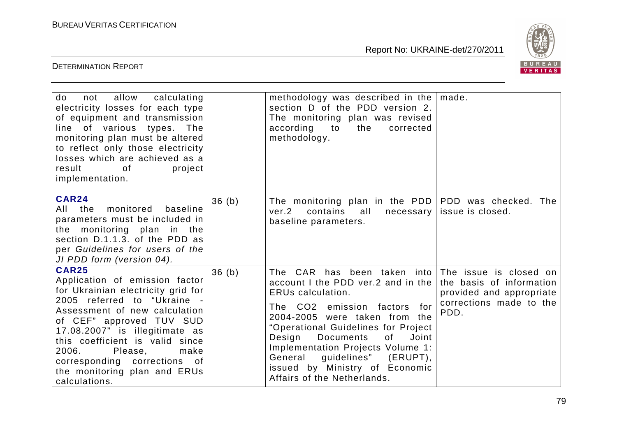

| not allow calculating<br>do<br>electricity losses for each type<br>of equipment and transmission<br>line of various types. The<br>monitoring plan must be altered<br>to reflect only those electricity<br>losses which are achieved as a<br>result<br>of<br>project<br>implementation.                                                                             |       | methodology was described in the $ $ made.<br>section D of the PDD version 2.<br>The monitoring plan was revised<br>according<br>to<br>the<br>corrected<br>methodology.                                                                                                                                                                                                                              |                                                                                                                   |
|--------------------------------------------------------------------------------------------------------------------------------------------------------------------------------------------------------------------------------------------------------------------------------------------------------------------------------------------------------------------|-------|------------------------------------------------------------------------------------------------------------------------------------------------------------------------------------------------------------------------------------------------------------------------------------------------------------------------------------------------------------------------------------------------------|-------------------------------------------------------------------------------------------------------------------|
| <b>CAR24</b><br>monitored<br>All the<br>baseline<br>parameters must be included in<br>the monitoring plan in the<br>section D.1.1.3. of the PDD as<br>per Guidelines for users of the<br>JI PDD form (version 04).                                                                                                                                                 | 36(b) | The monitoring plan in the PDD<br>ver.2<br>contains<br>all<br>necessary<br>baseline parameters.                                                                                                                                                                                                                                                                                                      | PDD was checked. The<br>issue is closed.                                                                          |
| <b>CAR25</b><br>Application of emission factor<br>for Ukrainian electricity grid for<br>2005 referred to "Ukraine -<br>Assessment of new calculation<br>of CEF" approved TUV SUD<br>17.08.2007" is illegitimate as<br>this coefficient is valid since<br>2006.<br>Please,<br>make<br>corresponding corrections of<br>the monitoring plan and ERUs<br>calculations. | 36(b) | The CAR has been taken into<br>account I the PDD ver.2 and in the<br><b>ERUs calculation.</b><br>The CO2 emission factors<br>for<br>2004-2005 were taken from the<br>"Operational Guidelines for Project<br>Design<br><b>Documents</b><br>of<br>Joint<br>Implementation Projects Volume 1:<br>General<br>guidelines"<br>$(ERUPT)$ ,<br>issued by Ministry of Economic<br>Affairs of the Netherlands. | The issue is closed on<br>the basis of information<br>provided and appropriate<br>corrections made to the<br>PDD. |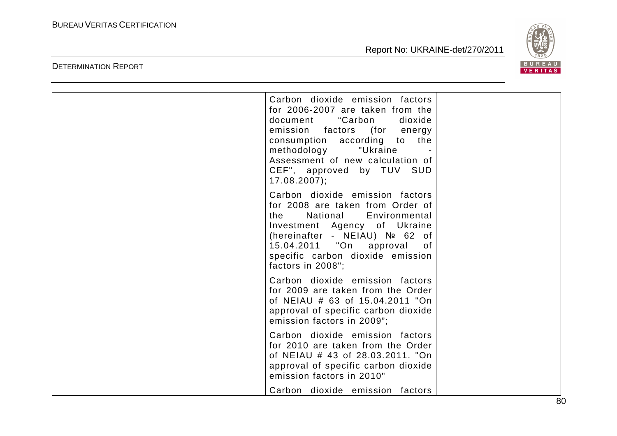DETERMINATION REPORT

Report No: UKRAINE-det/270/2011



| Carbon dioxide emission factors<br>for 2006-2007 are taken from the<br>document<br>"Carbon<br>dioxide<br>emission factors (for energy<br>consumption according to the<br>methodology<br>"Ukraine<br>Assessment of new calculation of<br>CEF", approved by TUV SUD<br>$17.08.2007$ ; |  |
|-------------------------------------------------------------------------------------------------------------------------------------------------------------------------------------------------------------------------------------------------------------------------------------|--|
| Carbon dioxide emission factors<br>for 2008 are taken from Order of<br>the<br>National<br>Environmental<br>Investment Agency of Ukraine<br>(hereinafter - NEIAU) Nº 62 of<br>15.04.2011 "On approval<br>of<br>specific carbon dioxide emission<br>factors in 2008";                 |  |
| Carbon dioxide emission factors<br>for 2009 are taken from the Order<br>of NEIAU # 63 of 15.04.2011 "On<br>approval of specific carbon dioxide<br>emission factors in 2009";                                                                                                        |  |
| Carbon dioxide emission factors<br>for 2010 are taken from the Order<br>of NEIAU # 43 of 28.03.2011. "On<br>approval of specific carbon dioxide<br>emission factors in 2010"                                                                                                        |  |
| Carbon dioxide emission factors                                                                                                                                                                                                                                                     |  |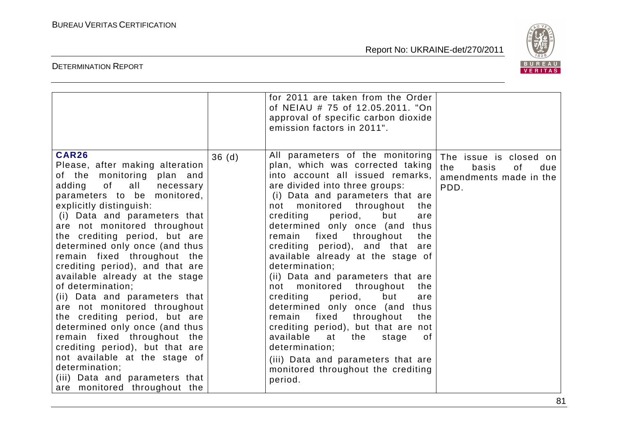

|                                                                                                                                                                                                                                                                                                                                                                                                                                                                                                                                                                                                                                                                                                                                                                 |       | for 2011 are taken from the Order<br>of NEIAU # 75 of 12.05.2011. "On<br>approval of specific carbon dioxide<br>emission factors in 2011".                                                                                                                                                                                                                                                                                                                                                                                                                                                                                                                                                                                                                                                                            |                                                                                       |
|-----------------------------------------------------------------------------------------------------------------------------------------------------------------------------------------------------------------------------------------------------------------------------------------------------------------------------------------------------------------------------------------------------------------------------------------------------------------------------------------------------------------------------------------------------------------------------------------------------------------------------------------------------------------------------------------------------------------------------------------------------------------|-------|-----------------------------------------------------------------------------------------------------------------------------------------------------------------------------------------------------------------------------------------------------------------------------------------------------------------------------------------------------------------------------------------------------------------------------------------------------------------------------------------------------------------------------------------------------------------------------------------------------------------------------------------------------------------------------------------------------------------------------------------------------------------------------------------------------------------------|---------------------------------------------------------------------------------------|
| <b>CAR26</b><br>Please, after making alteration<br>of the monitoring plan and<br>adding<br>of all<br>necessary<br>parameters to be monitored,<br>explicitly distinguish:<br>(i) Data and parameters that<br>are not monitored throughout<br>the crediting period, but are<br>determined only once (and thus<br>remain fixed throughout the<br>crediting period), and that are<br>available already at the stage<br>of determination;<br>(ii) Data and parameters that<br>are not monitored throughout<br>the crediting period, but are<br>determined only once (and thus<br>remain fixed throughout the<br>crediting period), but that are<br>not available at the stage of<br>determination;<br>(iii) Data and parameters that<br>are monitored throughout the | 36(d) | All parameters of the monitoring<br>plan, which was corrected taking<br>into account all issued remarks,<br>are divided into three groups:<br>(i) Data and parameters that are<br>monitored throughout<br>not<br>the<br>crediting<br>period,<br>but<br>are<br>determined only once (and thus<br>fixed<br>throughout<br>remain<br>the<br>crediting period), and that<br>are<br>available already at the stage of<br>determination;<br>(ii) Data and parameters that are<br>monitored throughout<br>the<br>not<br>crediting<br>period,<br>but<br>are<br>determined only once (and<br>thus<br>fixed<br>throughout<br>remain<br>the<br>crediting period), but that are not<br>available at<br>the<br>0f<br>stage<br>determination;<br>(iii) Data and parameters that are<br>monitored throughout the crediting<br>period. | The issue is closed on<br>the<br>basis<br>0f<br>due<br>amendments made in the<br>PDD. |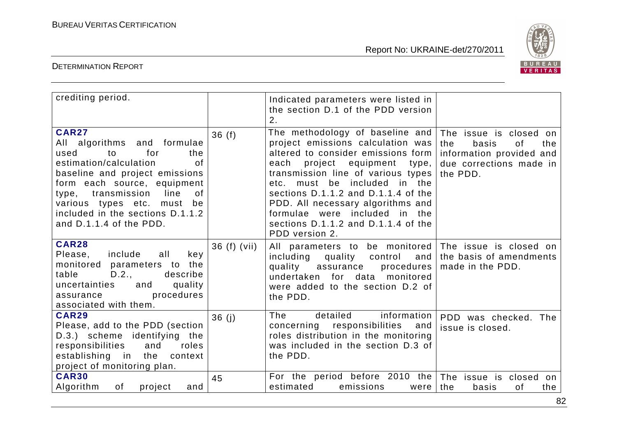

| crediting period.                                                                                                                                                                                                                                                                                                   |               | Indicated parameters were listed in<br>the section D.1 of the PDD version<br>2.                                                                                                                                                                                                                                                                                                            |                                                                                                                            |
|---------------------------------------------------------------------------------------------------------------------------------------------------------------------------------------------------------------------------------------------------------------------------------------------------------------------|---------------|--------------------------------------------------------------------------------------------------------------------------------------------------------------------------------------------------------------------------------------------------------------------------------------------------------------------------------------------------------------------------------------------|----------------------------------------------------------------------------------------------------------------------------|
| <b>CAR27</b><br>All algorithms and formulae<br>for<br>to<br>used<br>the<br>estimation/calculation<br><b>of</b><br>baseline and project emissions<br>form each source, equipment<br>transmission<br>line<br>of<br>type,<br>various types etc. must be<br>included in the sections D.1.1.2<br>and D.1.1.4 of the PDD. | 36(f)         | The methodology of baseline and<br>project emissions calculation was<br>altered to consider emissions form<br>each project equipment type,<br>transmission line of various types<br>etc. must be included in the<br>sections $D.1.1.2$ and $D.1.1.4$ of the<br>PDD. All necessary algorithms and<br>formulae were included in the<br>sections D.1.1.2 and D.1.1.4 of the<br>PDD version 2. | The issue is closed<br>on.<br>the<br>the<br>basis<br>0f<br>information provided and<br>due corrections made in<br>the PDD. |
| <b>CAR28</b><br>Please,<br>include<br>all<br>key<br>monitored parameters to the<br>table<br>D.2.,<br>describe<br>uncertainties<br>quality<br>and<br>procedures<br>assurance<br>associated with them.                                                                                                                | $36(f)$ (vii) | All parameters to be monitored The issue is closed on<br>including<br>quality control<br>and<br>quality assurance<br>procedures  <br>undertaken for data monitored<br>were added to the section D.2 of<br>the PDD.                                                                                                                                                                         | the basis of amendments<br>made in the PDD.                                                                                |
| <b>CAR29</b><br>Please, add to the PDD (section<br>D.3.) scheme identifying the<br>responsibilities<br>and<br>roles<br>establishing in the context<br>project of monitoring plan.                                                                                                                                   | 36(j)         | detailed information<br>The<br>concerning responsibilities<br>and<br>roles distribution in the monitoring<br>was included in the section D.3 of<br>the PDD.                                                                                                                                                                                                                                | PDD was checked. The<br>issue is closed.                                                                                   |
| <b>CAR30</b><br>Algorithm<br>of<br>project<br>and                                                                                                                                                                                                                                                                   | 45            | For the period before 2010 the<br>estimated<br>emissions<br>were                                                                                                                                                                                                                                                                                                                           | The issue is closed<br>on<br>the<br>basis<br>the<br>οf                                                                     |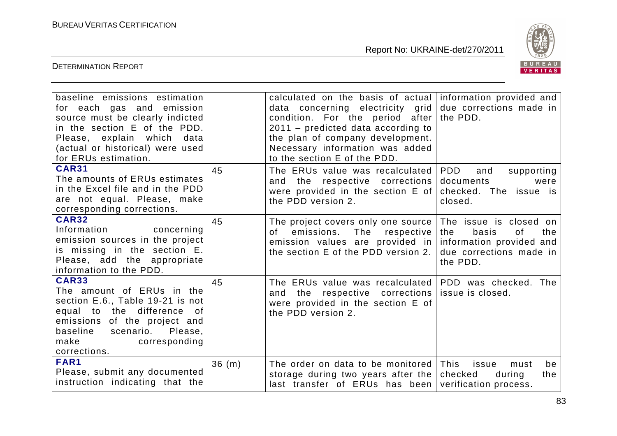

| baseline emissions estimation                                 |       | calculated on the basis of actual information provided and                                  |                           |
|---------------------------------------------------------------|-------|---------------------------------------------------------------------------------------------|---------------------------|
| for each gas and emission<br>source must be clearly indicted  |       | data concerning electricity grid due corrections made in<br>condition. For the period after | the PDD.                  |
| in the section E of the PDD.                                  |       | $2011$ – predicted data according to                                                        |                           |
| Please, explain which<br>data                                 |       | the plan of company development.                                                            |                           |
| (actual or historical) were used                              |       | Necessary information was added                                                             |                           |
| for ERUs estimation.                                          |       | to the section E of the PDD.                                                                |                           |
| <b>CAR31</b>                                                  | 45    | The ERUs value was recalculated   PDD                                                       | and<br>supporting         |
| The amounts of ERUs estimates                                 |       | the respective corrections<br>and                                                           | documents<br>were         |
| in the Excel file and in the PDD                              |       | were provided in the section $E$ of                                                         | checked. The issue is     |
| are not equal. Please, make<br>corresponding corrections.     |       | the PDD version 2.                                                                          | closed.                   |
| <b>CAR32</b>                                                  | 45    |                                                                                             | The issue is closed on    |
| Information<br>concerning                                     |       | The project covers only one source<br>The respective<br>of<br>emissions.                    | 0f<br>the<br>the<br>basis |
| emission sources in the project                               |       | emission values are provided in information provided and                                    |                           |
| is missing in the section E.                                  |       | the section E of the PDD version 2.                                                         | due corrections made in   |
| Please, add the appropriate                                   |       |                                                                                             | the PDD.                  |
| information to the PDD.                                       |       |                                                                                             |                           |
| <b>CAR33</b>                                                  | 45    | The ERUs value was recalculated PDD was checked. The                                        |                           |
| The amount of ERUs in the<br>section E.6., Table 19-21 is not |       | and the respective corrections                                                              | issue is closed.          |
| equal to the difference of                                    |       | were provided in the section E of<br>the PDD version 2.                                     |                           |
| emissions of the project and                                  |       |                                                                                             |                           |
| baseline scenario. Please,                                    |       |                                                                                             |                           |
| make<br>corresponding                                         |       |                                                                                             |                           |
| corrections.                                                  |       |                                                                                             |                           |
| FAR1                                                          | 36(m) | The order on data to be monitored This                                                      | issue<br>be<br>must       |
| Please, submit any documented                                 |       | storage during two years after the                                                          | checked<br>during<br>the  |
| instruction indicating that the                               |       | last transfer of $ERUs$ has been verification process.                                      |                           |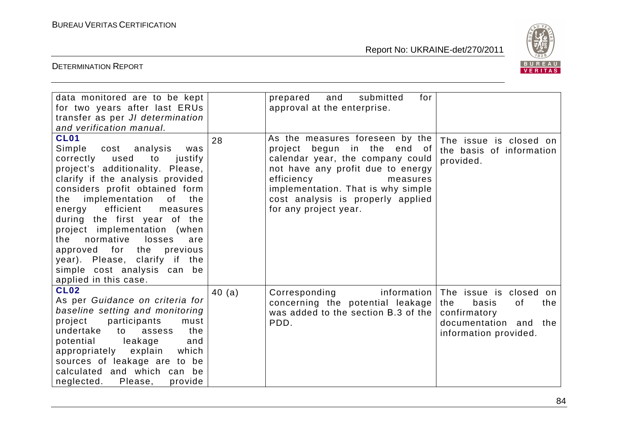

| data monitored are to be kept<br>for two years after last ERUs<br>transfer as per JI determination<br>and verification manual.                                                                                                                                                                                                                                                                                                                                                              |        | for<br>and<br>submitted<br>prepared<br>approval at the enterprise.                                                                                                                                                                                                    |                                                                                                                          |
|---------------------------------------------------------------------------------------------------------------------------------------------------------------------------------------------------------------------------------------------------------------------------------------------------------------------------------------------------------------------------------------------------------------------------------------------------------------------------------------------|--------|-----------------------------------------------------------------------------------------------------------------------------------------------------------------------------------------------------------------------------------------------------------------------|--------------------------------------------------------------------------------------------------------------------------|
| <b>CL01</b><br>Simple cost analysis<br>was<br>correctly used<br>to<br>justify<br>project's additionality. Please,<br>clarify if the analysis provided<br>considers profit obtained form<br>implementation<br>of<br>the<br>the<br>efficient<br>energy<br>measures<br>during the first year of the<br>project implementation (when<br>losses<br>normative<br>the<br>are<br>approved for the previous<br>year). Please, clarify if the<br>simple cost analysis can be<br>applied in this case. | 28     | As the measures foreseen by the<br>project begun in the end of<br>calendar year, the company could<br>not have any profit due to energy<br>efficiency<br>measures<br>implementation. That is why simple<br>cost analysis is properly applied<br>for any project year. | The issue is closed on<br>the basis of information<br>provided.                                                          |
| <b>CL02</b><br>As per Guidance on criteria for<br>baseline setting and monitoring<br>participants<br>project<br>must<br>undertake<br>the<br>assess<br>to<br>potential<br>leakage<br>and<br>appropriately explain<br>which<br>sources of leakage are to be<br>calculated and which can be<br>neglected. Please,<br>provide                                                                                                                                                                   | 40 (a) | Corresponding<br>information<br>concerning the potential leakage<br>was added to the section B.3 of the<br>PDD.                                                                                                                                                       | The issue is closed on<br>the<br>basis<br>of<br>the<br>confirmatory<br>documentation and<br>the<br>information provided. |